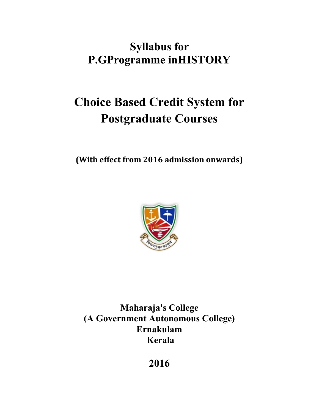# **Syllabus for P.GProgramme inHISTORY**

# **Choice Based Credit System for Postgraduate Courses**

**(With effect from 2016 admission onwards)**



**Maharaja's College (A Government Autonomous College) Ernakulam Kerala**

**2016**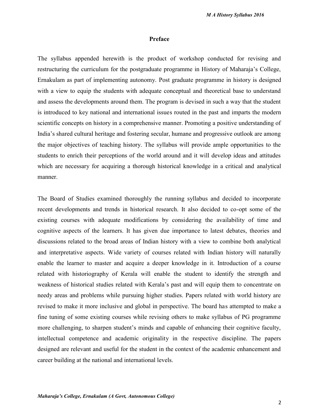#### **Preface**

The syllabus appended herewith is the product of workshop conducted for revising and restructuring the curriculum for the postgraduate programme in History of Maharaja's College, Ernakulam as part of implementing autonomy. Post graduate programme in history is designed with a view to equip the students with adequate conceptual and theoretical base to understand and assess the developments around them. The program is devised in such a way that the student is introduced to key national and international issues routed in the past and imparts the modern scientific concepts on history in a comprehensive manner. Promoting a positive understanding of India's shared cultural heritage and fostering secular, humane and progressive outlook are among the major objectives of teaching history. The syllabus will provide ample opportunities to the students to enrich their perceptions of the world around and it will develop ideas and attitudes which are necessary for acquiring a thorough historical knowledge in a critical and analytical manner.

The Board of Studies examined thoroughly the running syllabus and decided to incorporate recent developments and trends in historical research. It also decided to co-opt some of the existing courses with adequate modifications by considering the availability of time and cognitive aspects of the learners. It has given due importance to latest debates, theories and discussions related to the broad areas of Indian history with a view to combine both analytical and interpretative aspects. Wide variety of courses related with Indian history will naturally enable the learner to master and acquire a deeper knowledge in it. Introduction of a course related with historiography of Kerala will enable the student to identify the strength and weakness of historical studies related with Kerala's past and will equip them to concentrate on needy areas and problems while pursuing higher studies. Papers related with world history are revised to make it more inclusive and global in perspective. The board has attempted to make a fine tuning of some existing courses while revising others to make syllabus of PG programme more challenging, to sharpen student's minds and capable of enhancing their cognitive faculty, intellectual competence and academic originality in the respective discipline. The papers designed are relevant and useful for the student in the context of the academic enhancement and career building at the national and international levels.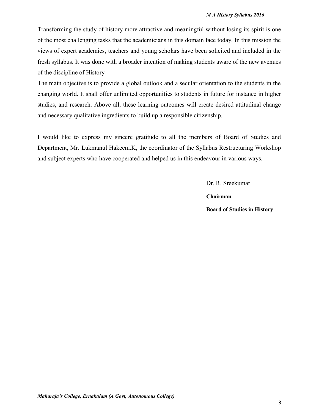Transforming the study of history more attractive and meaningful without losing its spirit is one of the most challenging tasks that the academicians in this domain face today. In this mission the views of expert academics, teachers and young scholars have been solicited and included in the fresh syllabus. It was done with a broader intention of making students aware of the new avenues of the discipline of History

The main objective is to provide a global outlook and a secular orientation to the students in the changing world. It shall offer unlimited opportunities to students in future for instance in higher studies, and research. Above all, these learning outcomes will create desired attitudinal change and necessary qualitative ingredients to build up a responsible citizenship.

I would like to express my sincere gratitude to all the members of Board of Studies and Department, Mr. Lukmanul Hakeem.K, the coordinator of the Syllabus Restructuring Workshop and subject experts who have cooperated and helped us in this endeavour in various ways.

> Dr. R. Sreekumar **Chairman Board of Studies in History**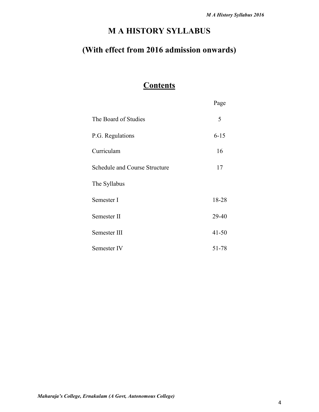# **M A HISTORY SYLLABUS**

# **(With effect from 2016 admission onwards)**

# **Contents**

|                               | Page      |
|-------------------------------|-----------|
| The Board of Studies          | 5         |
| P.G. Regulations              | $6 - 15$  |
| Curriculam                    | 16        |
| Schedule and Course Structure | 17        |
| The Syllabus                  |           |
| Semester I                    | 18-28     |
| Semester II                   | 29-40     |
| Semester III                  | $41 - 50$ |
| Semester IV                   | 51-78     |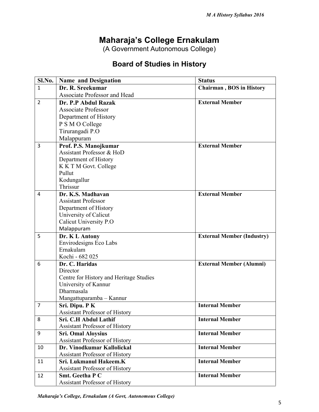# **Maharaja's College Ernakulam**

**(A Government Autonomous College)**

# **Board of Studies in History**

| Sl.No.         | <b>Name and Designation</b>             | <b>Status</b>                     |
|----------------|-----------------------------------------|-----------------------------------|
| 1              | Dr. R. Sreekumar                        | <b>Chairman, BOS in History</b>   |
|                | <b>Associate Professor and Head</b>     |                                   |
| $\overline{2}$ | Dr. P.P Abdul Razak                     | <b>External Member</b>            |
|                | <b>Associate Professor</b>              |                                   |
|                | Department of History                   |                                   |
|                | P S M O College                         |                                   |
|                | Tirurangadi P.O                         |                                   |
|                | Malappuram                              |                                   |
| 3              | Prof. P.S. Manojkumar                   | <b>External Member</b>            |
|                | Assistant Professor & HoD               |                                   |
|                | Department of History                   |                                   |
|                | K K T M Govt. College                   |                                   |
|                | Pullut                                  |                                   |
|                | Kodungallur                             |                                   |
|                | Thrissur                                |                                   |
| 4              | Dr. K.S. Madhavan                       | <b>External Member</b>            |
|                | <b>Assistant Professor</b>              |                                   |
|                | Department of History                   |                                   |
|                | University of Calicut                   |                                   |
|                | Calicut University P.O                  |                                   |
|                | Malappuram                              |                                   |
| 5              | Dr. K L Antony                          | <b>External Member (Industry)</b> |
|                | Envirodesigns Eco Labs                  |                                   |
|                | Ernakulam                               |                                   |
|                | Kochi - 682 025                         |                                   |
| 6              | Dr. C. Haridas                          | <b>External Member (Alumni)</b>   |
|                | Director                                |                                   |
|                | Centre for History and Heritage Studies |                                   |
|                | University of Kannur                    |                                   |
|                | Dharmasala                              |                                   |
|                | Mangattuparamba - Kannur                |                                   |
| $\overline{7}$ | Sri. Dipu. PK                           | <b>Internal Member</b>            |
|                | <b>Assistant Professor of History</b>   |                                   |
| 8              | Sri. C.H Abdul Lathif                   | <b>Internal Member</b>            |
|                | <b>Assistant Professor of History</b>   |                                   |
| 9              | <b>Sri. Omal Aloysius</b>               | <b>Internal Member</b>            |
|                | <b>Assistant Professor of History</b>   |                                   |
| 10             | Dr. Vinodkumar Kallolickal              | <b>Internal Member</b>            |
|                | Assistant Professor of History          |                                   |
| 11             | Sri. Lukmanul Hakeem.K                  | <b>Internal Member</b>            |
|                | <b>Assistant Professor of History</b>   |                                   |
| 12             | <b>Smt. Geetha P C</b>                  | <b>Internal Member</b>            |
|                | <b>Assistant Professor of History</b>   |                                   |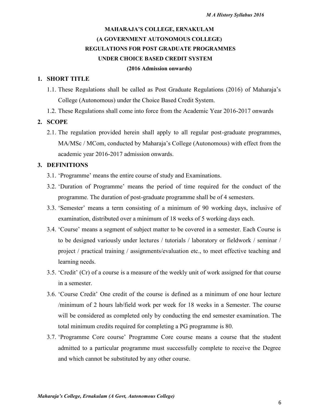## **MAHARAJA'S COLLEGE, ERNAKULAM (A GOVERNMENT AUTONOMOUS COLLEGE) REGULATIONS FOR POST GRADUATE PROGRAMMES UNDER CHOICE BASED CREDIT SYSTEM (2016 Admission onwards)**

#### **1. SHORT TITLE**

- 1.1. These Regulations shall be called as Post Graduate Regulations (2016) of Maharaja's College (Autonomous) under the Choice Based Credit System.
- 1.2. These Regulations shall come into force from the Academic Year 2016-2017 onwards

#### **2. SCOPE**

2.1. The regulation provided herein shall apply to all regular post-graduate programmes, MA/MSc / MCom, conducted by Maharaja's College (Autonomous) with effect from the academic year 2016-2017 admission onwards.

#### **3. DEFINITIONS**

- 3.1. 'Programme' means the entire course of study and Examinations.
- 3.2. 'Duration of Programme' means the period of time required for the conduct of the programme. The duration of post-graduate programme shall be of 4 semesters.
- 3.3. 'Semester' means a term consisting of a minimum of 90 working days, inclusive of examination, distributed over a minimum of 18 weeks of 5 working days each.
- 3.4. 'Course' means a segment of subject matter to be covered in a semester. Each Course is to be designed variously under lectures / tutorials / laboratory or fieldwork / seminar / project / practical training / assignments/evaluation etc., to meet effective teaching and learning needs.
- 3.5. 'Credit' (Cr) of a course is a measure of the weekly unit of work assigned for that course in a semester.
- 3.6. 'Course Credit' One credit of the course is defined as a minimum of one hour lecture /minimum of 2 hours lab/field work per week for 18 weeks in a Semester. The course will be considered as completed only by conducting the end semester examination. The total minimum credits required for completing a PG programme is 80.
- 3.7. 'Programme Core course' Programme Core course means a course that the student admitted to a particular programme must successfully complete to receive the Degree and which cannot be substituted by any other course.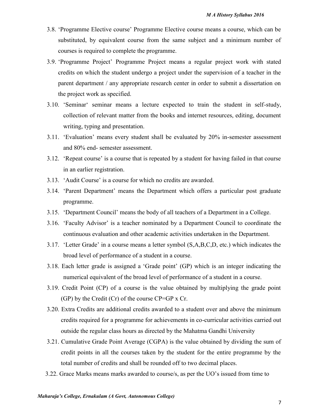- 3.8. 'Programme Elective course' Programme Elective course means a course, which can be substituted, by equivalent course from the same subject and a minimum number of courses is required to complete the programme.
- 3.9. 'Programme Project' Programme Project means a regular project work with stated credits on which the student undergo a project under the supervision of a teacher in the parent department / any appropriate research center in order to submit a dissertation on the project work as specified.
- 3.10. 'Seminar' seminar means a lecture expected to train the student in self-study, collection of relevant matter from the books and internet resources, editing, document writing, typing and presentation.
- 3.11. 'Evaluation' means every student shall be evaluated by 20% in-semester assessment and 80% end- semester assessment.
- 3.12. 'Repeat course' is a course that is repeated by a student for having failed in that course in an earlier registration.
- 3.13. 'Audit Course' is a course for which no credits are awarded.
- 3.14. 'Parent Department' means the Department which offers a particular post graduate programme.
- 3.15. 'Department Council' means the body of all teachers of a Department in a College.
- 3.16. 'Faculty Advisor' is a teacher nominated by a Department Council to coordinate the continuous evaluation and other academic activities undertaken in the Department.
- 3.17. 'Letter Grade' in a course means a letter symbol (S,A,B,C,D, etc.) which indicates the broad level of performance of a student in a course.
- 3.18. Each letter grade is assigned a 'Grade point' (GP) which is an integer indicating the numerical equivalent of the broad level of performance of a student in a course.
- 3.19. Credit Point (CP) of a course is the value obtained by multiplying the grade point (GP) by the Credit (Cr) of the course CP=GP x Cr.
- 3.20. Extra Credits are additional credits awarded to a student over and above the minimum credits required for a programme for achievements in co-curricular activities carried out outside the regular class hours as directed by the Mahatma Gandhi University
- 3.21. Cumulative Grade Point Average (CGPA) is the value obtained by dividing the sum of credit points in all the courses taken by the student for the entire programme by the total number of credits and shall be rounded off to two decimal places.
- 3.22. Grace Marks means marks awarded to course/s, as per the UO's issued from time to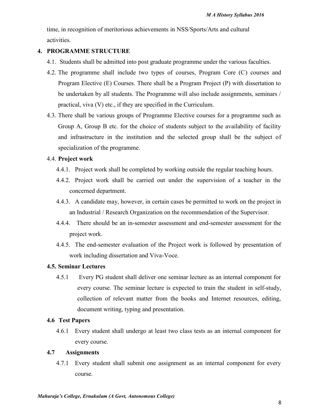time, in recognition of meritorious achievements in NSS/Sports/Arts and cultural activities.

#### **4. PROGRAMME STRUCTURE**

- 4.1. Students shall be admitted into post graduate programme under the various faculties.
- 4.2. The programme shall include two types of courses, Program Core (C) courses and Program Elective (E) Courses. There shall be a Program Project (P) with dissertation to be undertaken by all students. The Programme will also include assignments, seminars / practical, viva (V) etc., if they are specified in the Curriculum.
- 4.3. There shall be various groups of Programme Elective courses for a programme such as Group A, Group B etc. for the choice of students subject to the availability of facility and infrastructure in the institution and the selected group shall be the subject of specialization of the programme.

#### 4.4. **Project work**

- 4.4.1. Project work shall be completed by working outside the regular teaching hours.
- 4.4.2. Project work shall be carried out under the supervision of a teacher in the concerned department.
- 4.4.3. A candidate may, however, in certain cases be permitted to work on the project in an Industrial / Research Organization on the recommendation of the Supervisor.
- 4.4.4. There should be an in-semester assessment and end-semester assessment for the project work.
- 4.4.5. The end-semester evaluation of the Project work is followed by presentation of work including dissertation and Viva-Voce.

#### **4.5. Seminar Lectures**

4.5.1 Every PG student shall deliver one seminar lecture as an internal component for every course. The seminar lecture is expected to train the student in self-study, collection of relevant matter from the books and Internet resources, editing, document writing, typing and presentation.

#### **4.6 Test Papers**

4.6.1 Every student shall undergo at least two class tests as an internal component for every course.

#### **4.7 Assignments**

4.7.1 Every student shall submit one assignment as an internal component for every course.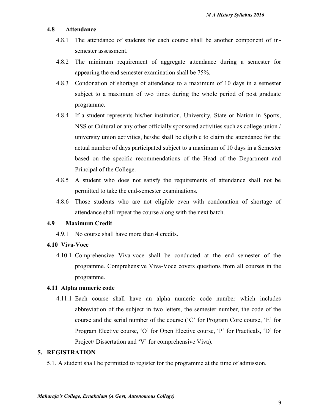#### **4.8 Attendance**

- 4.8.1 The attendance of students for each course shall be another component of in semester assessment.
- 4.8.2 The minimum requirement of aggregate attendance during a semester for appearing the end semester examination shall be 75%.
- 4.8.3 Condonation of shortage of attendance to a maximum of 10 days in a semester subject to a maximum of two times during the whole period of post graduate programme.
- 4.8.4 If a student represents his/her institution, University, State or Nation in Sports, NSS or Cultural or any other officially sponsored activities such as college union / university union activities, he/she shall be eligible to claim the attendance for the actual number of days participated subject to a maximum of 10 days in a Semester based on the specific recommendations of the Head of the Department and Principal of the College.
- 4.8.5 A student who does not satisfy the requirements of attendance shall not be permitted to take the end-semester examinations.
- 4.8.6 Those students who are not eligible even with condonation of shortage of attendance shall repeat the course along with the next batch.

#### **4.9 Maximum Credit**

4.9.1 No course shall have more than 4 credits.

#### **4.10 Viva-Voce**

4.10.1 Comprehensive Viva-voce shall be conducted at the end semester of the programme. Comprehensive Viva-Voce covers questions from all courses in the programme.

#### **4.11 Alpha numeric code**

4.11.1 Each course shall have an alpha numeric code number which includes abbreviation of the subject in two letters, the semester number, the code of the course and the serial number of the course ('C' for Program Core course, 'E' for Program Elective course, 'O' for Open Elective course, 'P' for Practicals, 'D' for Project/ Dissertation and 'V' for comprehensive Viva).

#### **5. REGISTRATION**

5.1. A student shall be permitted to register for the programme at the time of admission.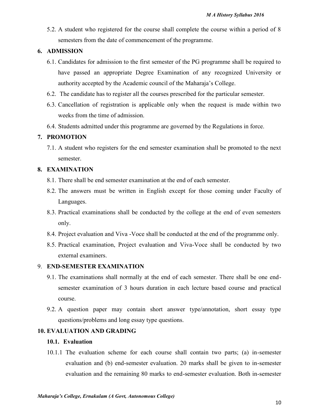5.2. A student who registered for the course shall complete the course within a period of 8 semesters from the date of commencement of the programme.

#### **6. ADMISSION**

- 6.1. Candidates for admission to the first semester of the PG programme shall be required to have passed an appropriate Degree Examination of any recognized University or authority accepted by the Academic council of the Maharaja's College.
- 6.2. The candidate has to register all the courses prescribed for the particular semester.
- 6.3. Cancellation of registration is applicable only when the request is made within two weeks from the time of admission.
- 6.4. Students admitted under this programme are governed by the Regulations in force.

### **7. PROMOTION**

7.1. A student who registers for the end semester examination shall be promoted to the next semester.

#### **8. EXAMINATION**

- 8.1. There shall be end semester examination at the end of each semester.
- 8.2. The answers must be written in English except for those coming under Faculty of Languages.
- 8.3. Practical examinations shall be conducted by the college at the end of even semesters only.
- 8.4. Project evaluation and Viva -Voce shall be conducted at the end of the programme only.
- 8.5. Practical examination, Project evaluation and Viva-Voce shall be conducted by two external examiners.

#### 9. **END-SEMESTER EXAMINATION**

- 9.1. The examinations shall normally at the end of each semester. There shall be one end semester examination of 3 hours duration in each lecture based course and practical course.
- 9.2. A question paper may contain short answer type/annotation, short essay type questions/problems and long essay type questions.

#### **10. EVALUATION AND GRADING**

#### **10.1. Evaluation**

10.1.1 The evaluation scheme for each course shall contain two parts; (a) in-semester evaluation and (b) end-semester evaluation. 20 marks shall be given to in-semester evaluation and the remaining 80 marks to end-semester evaluation. Both in-semester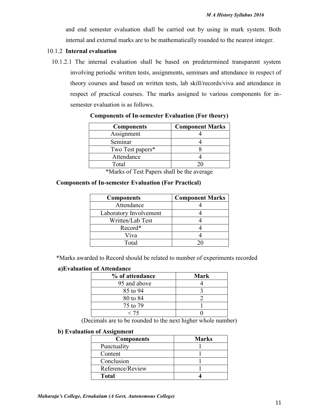and end semester evaluation shall be carried out by using in mark system. Both internal and external marks are to be mathematically rounded to the nearest integer.

#### 10.1.2 **Internal evaluation**

10.1.2.1 The internal evaluation shall be based on predetermined transparent system involving periodic written tests, assignments, seminars and attendance in respect of theory courses and based on written tests, lab skill/records/viva and attendance in respect of practical courses. The marks assigned to various components for in semester evaluation is as follows.

| <b>Components</b> | <b>Component Marks</b> |
|-------------------|------------------------|
| Assignment        |                        |
| Seminar           |                        |
| Two Test papers*  |                        |
| Attendance        |                        |
| Total             |                        |

**Components of In-semester Evaluation (For theory)**

\*Marks of Test Papers shall be the average

#### **Components of In-semester Evaluation (For Practical)**

| <b>Components</b>      | <b>Component Marks</b> |
|------------------------|------------------------|
| Attendance             |                        |
| Laboratory Involvement |                        |
| Written/Lab Test       |                        |
| Record*                |                        |
| Viva                   |                        |
| $\Gamma$ otal          |                        |

\*Marks awarded to Record should be related to number of experiments recorded

#### **a)Evaluation of Attendance**

| % of attendance | <b>Mark</b> |
|-----------------|-------------|
| 95 and above    |             |
| 85 to 94        |             |
| 80 to 84        |             |
| 75 to 79        |             |
| < 75            |             |

(Decimals are to be rounded to the next higher whole number)

#### **b) Evaluation of Assignment**

| <b>Components</b> | <b>Marks</b> |
|-------------------|--------------|
| Punctuality       |              |
| Content           |              |
| Conclusion        |              |
| Reference/Review  |              |
| Total             |              |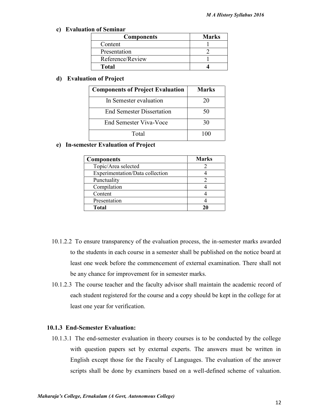#### **c) Evaluation of Seminar**

| <b>Components</b> | <b>Marks</b> |
|-------------------|--------------|
| Content           |              |
| Presentation      |              |
| Reference/Review  |              |
| Total             |              |

#### **d) Evaluation of Project**

| <b>Components of Project Evaluation</b> | Marks |
|-----------------------------------------|-------|
| In Semester evaluation                  | 20    |
| <b>End Semester Dissertation</b>        | 50    |
| <b>End Semester Viva-Voce</b>           | 30    |
| Total                                   |       |

#### **e) In-semester Evaluation of Project**

| <b>Components</b>               | <b>Marks</b> |
|---------------------------------|--------------|
| Topic/Area selected             |              |
| Experimentation/Data collection |              |
| Punctuality                     |              |
| Compilation                     |              |
| Content                         |              |
| Presentation                    |              |
| <b>Total</b>                    |              |

- 10.1.2.2 To ensure transparency of the evaluation process, the in-semester marks awarded to the students in each course in a semester shall be published on the notice board at least one week before the commencement of external examination. There shall not be any chance for improvement for in semester marks.
- 10.1.2.3 The course teacher and the faculty advisor shall maintain the academic record of each student registered for the course and a copy should be kept in the college for at least one year for verification.

#### **10.1.3 End-Semester Evaluation:**

10.1.3.1 The end-semester evaluation in theory courses is to be conducted by the college with question papers set by external experts. The answers must be written in English except those for the Faculty of Languages. The evaluation of the answer scripts shall be done by examiners based on a well-defined scheme of valuation.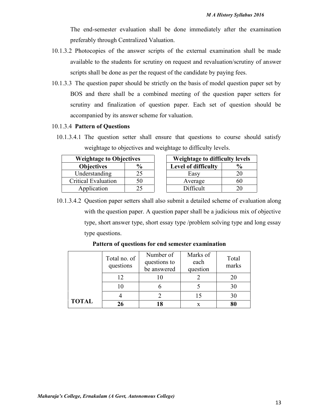The end-semester evaluation shall be done immediately after the examination preferably through Centralized Valuation.

- 10.1.3.2 Photocopies of the answer scripts of the external examination shall be made available to the students for scrutiny on request and revaluation/scrutiny of answer scripts shall be done as per the request of the candidate by paying fees.
- 10.1.3.3 The question paper should be strictly on the basis of model question paper set by BOS and there shall be a combined meeting of the question paper setters for scrutiny and finalization of question paper. Each set of question should be accompanied by its answer scheme for valuation.

#### 10.1.3.4 **Pattern of Questions**

10.1.3.4.1 The question setter shall ensure that questions to course should satisfy weightage to objectives and weightage to difficulty levels.

| <b>Weightage to Objectives</b> |                    |  |  |  |  |
|--------------------------------|--------------------|--|--|--|--|
| <b>Objectives</b>              | $\frac{0}{\alpha}$ |  |  |  |  |
| Understanding                  | 25                 |  |  |  |  |
| <b>Critical Evaluation</b>     | 50                 |  |  |  |  |
| Application                    | 25                 |  |  |  |  |

| <b>Weightage to Objectives</b> |               | <b>Weightage to difficulty levels</b> |                     |               |
|--------------------------------|---------------|---------------------------------------|---------------------|---------------|
| <b>Objectives</b>              | $\frac{6}{9}$ |                                       | Level of difficulty | $\frac{6}{9}$ |
| Understanding                  |               |                                       | Easy                |               |
| <b>Critical Evaluation</b>     | 50            |                                       | Average             | 60            |
| Application                    |               |                                       | Difficult           |               |

10.1.3.4.2 Question paper setters shall also submit a detailed scheme of evaluation along with the question paper. A question paper shall be a judicious mix of objective type, short answer type, short essay type /problem solving type and long essay type questions.

|              | Total no. of<br>questions | Number of<br>questions to<br>be answered | Marks of<br>each<br>question | Total<br>marks |
|--------------|---------------------------|------------------------------------------|------------------------------|----------------|
|              | 12                        |                                          |                              | 20             |
|              | 10                        |                                          |                              | 30             |
|              |                           |                                          |                              | 30             |
| <b>TOTAL</b> | 26                        |                                          |                              | 80             |

#### **Pattern of questions for end semester examination**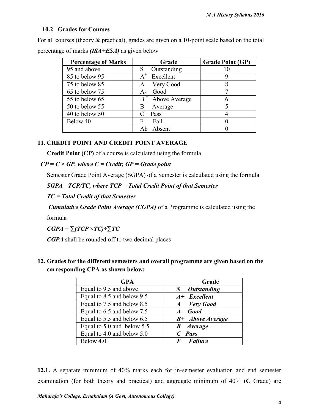#### **10.2 Grades for Courses**

For all courses (theory & practical), grades are given on a 10-point scale based on the total percentage of marks *(ISA+ESA)* as given below

| <b>Percentage of Marks</b> | Grade               | <b>Grade Point (GP)</b> |
|----------------------------|---------------------|-------------------------|
| 95 and above               | Outstanding         |                         |
| 85 to below 95             | $A^+$<br>Excellent  |                         |
| 75 to below 85             | Very Good<br>A      |                         |
| 65 to below 75             | Good<br>$A -$       |                         |
| 55 to below 65             | $B^+$ Above Average | h                       |
| 50 to below 55             | Average<br>В        |                         |
| 40 to below 50             | Pass                |                         |
| Below 40                   | Fail<br>F           |                         |
|                            | Absent              |                         |

### **11. CREDIT POINT AND CREDIT POINT AVERAGE**

**Credit Point (CP)** of a course is calculated using the formula

#### *CP = C × GP, where C = Credit; GP = Grade point*

Semester Grade Point Average (SGPA) of a Semester is calculated using the formula

*SGPA= TCP/TC, where TCP = Total Credit Point of that Semester*

#### *TC = Total Credit of that Semester*

*Cumulative Grade Point Average (CGPA)* of a Programme is calculated using the

formula

 $CGPA = \sum (TCP \times TC) \div \sum TC$ 

*CGPA* shall be rounded off to two decimal places

### **12. Grades for the different semesters and overall programme are given based on the corresponding CPA as shown below:**

| <b>GPA</b>                 | Grade                   |
|----------------------------|-------------------------|
| Equal to 9.5 and above     | <b>Outstanding</b><br>S |
| Equal to 8.5 and below 9.5 | $A+$ Excellent          |
| Equal to 7.5 and below 8.5 | A Very Good             |
| Equal to 6.5 and below 7.5 | A- Good                 |
| Equal to 5.5 and below 6.5 | <b>B+</b> Above Average |
| Equal to 5.0 and below 5.5 | <b>B</b> Average        |
| Equal to 4.0 and below 5.0 | $C$ Pass                |
| Below 4.0                  | <b>F</b> Failure        |

**12.1.** A separate minimum of 40% marks each for in-semester evaluation and end semester examination (for both theory and practical) and aggregate minimum of 40% (**C** Grade) are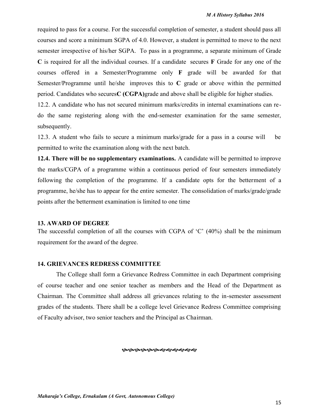required to pass for a course. For the successful completion of semester, a student should pass all courses and score a minimum SGPA of 4.0. However, a student is permitted to move to the next semester irrespective of his/her SGPA. To pass in a programme, a separate minimum of Grade **C** is required for all the individual courses. If a candidate secures **F** Grade for any one of the courses offered in a Semester/Programme only **F** grade will be awarded for that Semester/Programme until he/she improves this to **C** grade or above within the permitted period. Candidates who secures**C (CGPA)**grade and above shall be eligible for higher studies.

12.2. A candidate who has not secured minimum marks/credits in internal examinations can re do the same registering along with the end-semester examination for the same semester, subsequently.

12.3. A student who fails to secure a minimum marks/grade for a pass in a course will be permitted to write the examination along with the next batch.

**12.4. There will be no supplementary examinations.** A candidate will be permitted to improve the marks/CGPA of a programme within a continuous period of four semesters immediately following the completion of the programme. If a candidate opts for the betterment of a programme, he/she has to appear for the entire semester. The consolidation of marks/grade/grade points after the betterment examination is limited to one time

#### **13. AWARD OF DEGREE**

The successful completion of all the courses with CGPA of 'C' (40%) shall be the minimum requirement for the award of the degree.

#### **14. GRIEVANCES REDRESS COMMITTEE**

The College shall form a Grievance Redress Committee in each Department comprising of course teacher and one senior teacher as members and the Head of the Department as Chairman. The Committee shall address all grievances relating to the in-semester assessment grades of the students. There shall be a college level Grievance Redress Committee comprising of Faculty advisor, two senior teachers and the Principal as Chairman.

**��������������**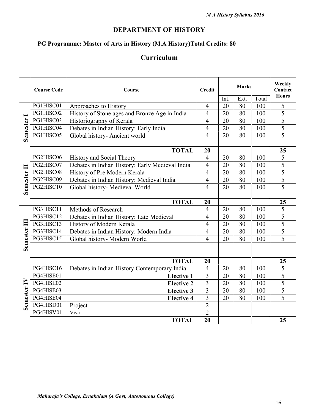### **DEPARTMENT OF HISTORY**

## **PG Programme: Master of Arts in History (M.A History)Total Credits: 80**

### **Curriculum**

|                         | <b>Course Code</b> | Course                                          | <b>Credit</b>  |      | <b>Marks</b> |       | Weekly<br>Contact |
|-------------------------|--------------------|-------------------------------------------------|----------------|------|--------------|-------|-------------------|
|                         |                    |                                                 |                | Int. | Ext.         | Total | <b>Hours</b>      |
|                         | PG1HISC01          | Approaches to History                           | $\overline{4}$ | 20   | 80           | 100   | 5                 |
|                         | PG1HISC02          | History of Stone ages and Bronze Age in India   | $\overline{4}$ | 20   | 80           | 100   | 5                 |
|                         | PG1HISC03          | Historiography of Kerala                        | 4              | 20   | 80           | 100   | 5                 |
|                         | PG1HISC04          | Debates in Indian History: Early India          | $\overline{4}$ | 20   | 80           | 100   | 5                 |
| Semester                | PG1HISC05          | Global history- Ancient world                   | $\overline{4}$ | 20   | 80           | 100   | $\overline{5}$    |
|                         |                    |                                                 |                |      |              |       |                   |
|                         |                    | <b>TOTAL</b>                                    | 20             |      |              |       | 25                |
|                         | PG2HISC06          | History and Social Theory                       | $\overline{4}$ | 20   | 80           | 100   | 5                 |
|                         | PG2HISC07          | Debates in Indian History: Early Medieval India | $\overline{4}$ | 20   | 80           | 100   | $\overline{5}$    |
|                         | PG2HISC08          | History of Pre Modern Kerala                    | 4              | 20   | 80           | 100   | 5                 |
| Semester <sub>II</sub>  | PG2HISC09          | Debates in Indian History: Medieval India       | $\overline{4}$ | 20   | 80           | 100   | 5                 |
|                         | PG2HISC10          | Global history- Medieval World                  | $\overline{4}$ | 20   | 80           | 100   | 5                 |
|                         |                    |                                                 |                |      |              |       |                   |
|                         |                    | <b>TOTAL</b>                                    | 20             |      |              |       | 25                |
|                         | PG3HISC11          | Methods of Research                             | $\overline{4}$ | 20   | 80           | 100   | 5                 |
|                         | PG3HISC12          | Debates in Indian History: Late Medieval        | $\overline{4}$ | 20   | 80           | 100   | 5                 |
|                         | PG3HISC13          | History of Modern Kerala                        | $\overline{4}$ | 20   | 80           | 100   | 5                 |
|                         | PG3HISC14          | Debates in Indian History: Modern India         | $\overline{4}$ | 20   | 80           | 100   | 5                 |
|                         | PG3HISC15          | Global history- Modern World                    | $\overline{4}$ | 20   | 80           | 100   | 5                 |
| Semester <sub>III</sub> |                    |                                                 |                |      |              |       |                   |
|                         |                    |                                                 |                |      |              |       |                   |
|                         |                    | <b>TOTAL</b>                                    | 20             |      |              |       | 25                |
|                         | PG4HISC16          | Debates in Indian History Contemporary India    | 4              | 20   | 80           | 100   | 5                 |
|                         | PG4HISE01          | <b>Elective 1</b>                               | 3              | 20   | 80           | 100   | 5                 |
|                         | PG4HISE02          | <b>Elective 2</b>                               | $\overline{3}$ | 20   | 80           | 100   | 5                 |
|                         | PG4HISE03          | <b>Elective 3</b>                               | $\overline{3}$ | 20   | 80           | 100   | 5                 |
| Semester <sub>IV</sub>  | PG4HISE04          | <b>Elective 4</b>                               | $\overline{3}$ | 20   | 80           | 100   | 5                 |
|                         | PG4HISD01          | Project                                         | $\overline{2}$ |      |              |       |                   |
|                         | PG4HISV01          | Viva                                            | $\overline{2}$ |      |              |       |                   |
|                         |                    | <b>TOTAL</b>                                    | 20             |      |              |       | 25                |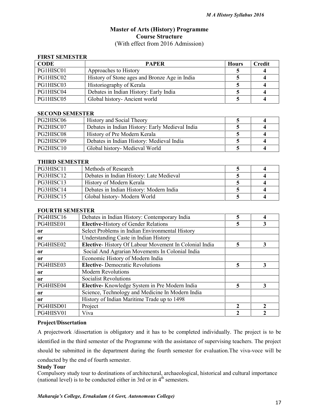#### **Master of Arts (History) Programme Course Structure** (With effect from 2016 Admission)

#### **FIRST SEMESTER**

| <b>CODE</b> | <b>PAPER</b>                                  | <b>Hours</b> | <b>Credit</b> |
|-------------|-----------------------------------------------|--------------|---------------|
| PG1HISC01   | Approaches to History                         |              |               |
| PG1HISC02   | History of Stone ages and Bronze Age in India |              |               |
| PG1HISC03   | Historiography of Kerala                      |              |               |
| PG1HISC04   | Debates in Indian History: Early India        |              |               |
| PG1HISC05   | Global history-Ancient world                  |              |               |

#### **SECOND SEMESTER**

| PG2HISC06 | <b>History and Social Theory</b>                |  |
|-----------|-------------------------------------------------|--|
| PG2HISC07 | Debates in Indian History: Early Medieval India |  |
| PG2HISC08 | History of Pre Modern Kerala                    |  |
| PG2HISC09 | Debates in Indian History: Medieval India       |  |
| PG2HISC10 | Global history- Medieval World                  |  |

#### **THIRD SEMESTER**

| PG3HISC11 | Methods of Research                      |  |
|-----------|------------------------------------------|--|
| PG3HISC12 | Debates in Indian History: Late Medieval |  |
| PG3HISC13 | History of Modern Kerala                 |  |
| PG3HISC14 | Debates in Indian History: Modern India  |  |
| PG3HISC15 | Global history- Modern World             |  |

#### **FOURTH SEMESTER**

| PG4HISC16     | Debates in Indian History: Contemporary India         |   | 4              |
|---------------|-------------------------------------------------------|---|----------------|
| PG4HISE01     | <b>Elective-History of Gender Relations</b>           | 5 | 3              |
| 0r            | Select Problems in Indian Environmental History       |   |                |
| <sub>or</sub> | Understanding Caste in Indian History                 |   |                |
| PG4HISE02     | Elective-History Of Labour Movement In Colonial India | 5 | 3              |
| 0r            | Social And Agrarian Movements In Colonial India       |   |                |
| <sub>or</sub> | Economic History of Modern India                      |   |                |
| PG4HISE03     | <b>Elective-</b> Democratic Revolutions               | 5 | 3              |
| 0r            | <b>Modern Revolutions</b>                             |   |                |
| <sub>or</sub> | <b>Socialist Revolutions</b>                          |   |                |
| PG4HISE04     | Elective-Knowledge System in Pre Modern India         | 5 | 3              |
| 0r            | Science, Technology and Medicine In Modern India      |   |                |
| <sub>or</sub> | History of Indian Maritime Trade up to 1498           |   |                |
| PG4HISD01     | Project                                               | 2 | $\mathfrak{D}$ |
| PG4HISV01     | Viva                                                  |   |                |

#### **Project/Dissertation**

A projectwork /dissertation is obligatory and it has to be completed individually. The project is to be identified in the third semester of the Programme with the assistance of supervising teachers. The project should be submitted in the department during the fourth semester for evaluation.The viva-voce will be conducted by the end of fourth semester.

#### **Study Tour**

Compulsory study tour to destinations of architectural, archaeological, historical and cultural importance (national level) is to be conducted either in 3rd or in  $4<sup>th</sup>$  semesters.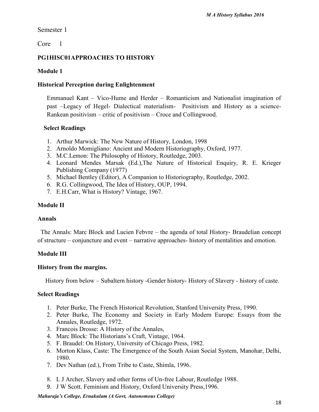Semester 1

Core 1

### **PG1HISC01APPROACHES TO HISTORY**

### **Module 1**

### **Historical Perception during Enlightenment**

Emmanuel Kant – Vico-Hume and Herder – Romanticism and Nationalist imagination of past –Legacy of Hegel- Dialectical materialism- Positivism and History as a science- Rankean positivism – critic of positivism – Croce and Collingwood.

### **Select Readings**

- 1. Arthur Marwick: The New Nature of History, London, 1998
- 2. Arnoldo Momigliano: Ancient and Modern Historiography, Oxford, 1977.
- 3. M.C.Lemon: The Philosophy of History, Routledge, 2003.
- 4. Leonard Mendes Marsak (Ed.),The Nature of Historical Enquiry, R. E. Krieger Publishing Company (1977)
- 5. Michael Bentley (Editor), A Companion to Historiography, Routledge, 2002.
- 6. R.G. Collingwood, The Idea of History, OUP, 1994.
- 7. E.H.Carr, What is History? Vintage, 1967.

### **Module II**

#### **Annals**

The Annals: Marc Block and Lucien Febvre – the agenda of total History- Braudelian concept of structure – conjuncture and event – narrative approaches- history of mentalities and emotion.

### **Module III**

### **History from the margins.**

History from below – Subaltern history -Gender history- History of Slavery - history of caste.

### **Select Readings**

- 1. Peter Burke, The French Historical Revolution, Stanford University Press, 1990.
- 2. Peter Burke, The Economy and Society in Early Modern Europe: Essays from the Annales, Routledge, 1972.
- 3. Francois Drosse: A History of the Annales,
- 4. Marc Block: The Historians's Craft, Vintage, 1964.
- 5. F. Braudel: On History, University of Chicago Press, 1982.
- 6. Morton Klass, Caste: The Emergence of the South Asian Social System, Manohar, Delhi, 1980.
- 7. Dev Nathan (ed.), From Tribe to Caste, Shimla, 1996.
- 8. L J Archer, Slavery and other forms of Un-free Labour, Routledge 1988.
- 9. J W Scott. Feminism and History, Oxford University Press,1996.

#### *Maharaja's College, Ernakulam (A Govt, Autonomous College)*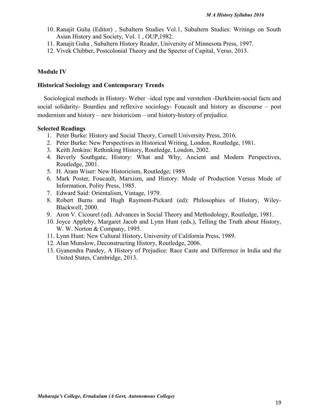- 10. Ranajit Guha (Editor) , Subaltern Studies Vol.1, Subaltern Studies: Writings on South Asian History and Society, Vol. 1 , OUP,1982.
- 11. Ranajit Guha , Subaltern History Reader, University of Minnesota Press, 1997.
- 12. Vivek Chibber, Postcolonial Theory and the Specter of Capital, Verso, 2013.

#### **Module IV**

#### **Historical Sociology and Contemporary Trends**

Sociological methods in History- Weber –ideal type and verstehen -Durkheim-social facts and social solidarity- Bourdieu and reflexive sociology- Foucault and history as discourse – post modernism and history – new historicism – oral history-history of prejudice.

#### **Selected Readings**

- 1. Peter Burke: History and Social Theory, Cornell University Press, 2016.
- 2. Peter Burke: New Perspectives in Historical Writing, London, Routledge, 1981.
- 3. Keith Jenkins: Rethinking History, Routledge, London, 2002.
- 4. Beverly Southgate, History: What and Why, Ancient and Modern Perspectives, Routledge, 2001.
- 5. H. Aram Wiser: New Historicism, Routledge; 1989.
- 6. Mark Poster, Foucault, Marxism, and History: Mode of Production Versus Mode of Information, Polity Press, 1985.
- 7. Edward Said: Orientalism, Vintage, 1979.
- 8. Robert Burns and Hugh Rayment-Pickard (ed): Philosophies of History, Wiley- Blackwell, 2000.
- 9. Aron V. Cicourel (ed). Advances in Social Theory and Methodology, Routledge, 1981.
- 10. Joyce Appleby, Margaret Jacob and Lynn Hunt (eds.), Telling the Truth about History, W. W. Norton & Company, 1995.
- 11. Lynn Hunt: New Cultural History, University of California Press, 1989.
- 12. Alun Munslow, Deconstructing History, Routledge, 2006.
- 13. Gyanendra Pandey, A History of Prejudice: Race Caste and Difference in India and the United States, Cambridge, 2013.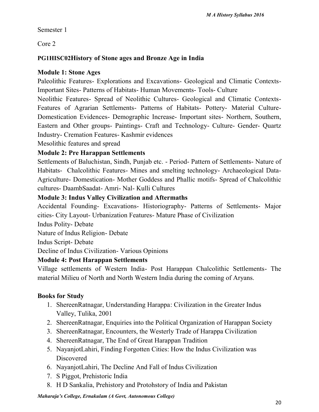Semester 1

Core 2

### **PG1HISC02History of Stone ages and Bronze Age in India**

### **Module 1: Stone Ages**

Paleolithic Features- Explorations and Excavations- Geological and Climatic Contexts-Important Sites- Patterns of Habitats- Human Movements- Tools- Culture

Neolithic Features- Spread of Neolithic Cultures- Geological and Climatic Contexts- Features of Agrarian Settlements- Patterns of Habitats- Pottery- Material Culture- Domestication Evidences- Demographic Increase- Important sites- Northern, Southern, Eastern and Other groups- Paintings- Craft and Technology- Culture- Gender- Quartz Industry- Cremation Features- Kashmir evidences

Mesolithic features and spread

### **Module 2: Pre Harappan Settlements**

Settlements of Baluchistan, Sindh, Punjab etc. - Period- Pattern of Settlements- Nature of Habitats- Chalcolithic Features- Mines and smelting technology- Archaeological Data- Agriculture- Domestication- Mother Goddess and Phallic motifs- Spread of Chalcolithic cultures- DaambSaadat- Amri- Nal- Kulli Cultures

### **Module 3: Indus Valley Civilization and Aftermaths**

Accidental Founding- Excavations- Historiography- Patterns of Settlements- Major cities- City Layout- Urbanization Features- Mature Phase of Civilization

Indus Polity- Debate

Nature of Indus Religion- Debate

Indus Script- Debate

Decline of Indus Civilization- Various Opinions

### **Module 4: Post Harappan Settlements**

Village settlements of Western India- Post Harappan Chalcolithic Settlements- The material Milieu of North and North Western India during the coming of Aryans.

### **Books for Study**

- 1. ShereenRatnagar, Understanding Harappa: Civilization in the Greater Indus Valley, Tulika, 2001
- 2. ShereenRatnagar, Enquiries into the Political Organization of Harappan Society
- 3. ShereenRatnagar, Encounters, the Westerly Trade of Harappa Civilization
- 4. ShereenRatnagar, The End of Great Harappan Tradition
- 5. NayanjotLahiri, Finding Forgotten Cities: How the Indus Civilization was Discovered
- 6. NayanjotLahiri, The Decline And Fall of Indus Civilization
- 7. S Piggot, Prehistoric India
- 8. H D Sankalia, Prehistory and Protohstory of India and Pakistan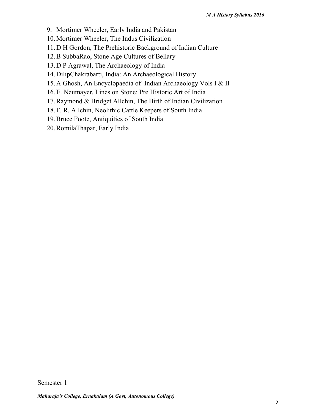- 9. Mortimer Wheeler, Early India and Pakistan
- 10.Mortimer Wheeler, The Indus Civilization
- 11.D H Gordon, The Prehistoric Background of Indian Culture
- 12.B SubbaRao, Stone Age Cultures of Bellary
- 13.D P Agrawal, The Archaeology of India
- 14.DilipChakrabarti, India: An Archaeological History
- 15.A Ghosh, An Encyclopaedia of Indian Archaeology Vols I & II
- 16.E. Neumayer, Lines on Stone: Pre Historic Art of India
- 17.Raymond & Bridget Allchin, The Birth of Indian Civilization
- 18. F. R. Allchin, Neolithic Cattle Keepers of South India
- 19.Bruce Foote, Antiquities of South India
- 20.RomilaThapar, Early India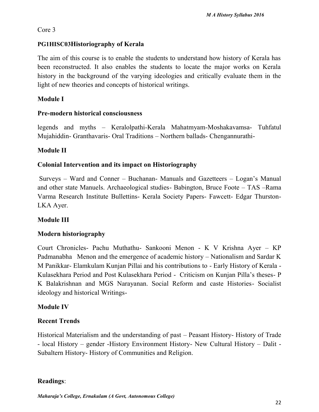### Core 3

### **PG1HISC03Historiography of Kerala**

The aim of this course is to enable the students to understand how history of Kerala has been reconstructed. It also enables the students to locate the major works on Kerala history in the background of the varying ideologies and critically evaluate them in the light of new theories and concepts of historical writings.

### **Module I**

### **Pre-modern historical consciousness**

legends and myths – Keralolpathi-Kerala Mahatmyam-Moshakavamsa- Tuhfatul Mujahiddin- Granthavaris- Oral Traditions – Northern ballads- Chengannurathi-

### **Module II**

### **Colonial Intervention and its impact on Historiography**

Surveys – Ward and Conner – Buchanan- Manuals and Gazetteers – Logan's Manual and other state Manuels. Archaeological studies- Babington, Bruce Foote – TAS –Rama Varma Research Institute Bullettins- Kerala Society Papers- Fawcett- Edgar Thurston- LKA Ayer.

### **Module III**

### **Modern historiography**

Court Chronicles- Pachu Muthathu- Sankooni Menon - K V Krishna Ayer – KP Padmanabha Menon and the emergence of academic history – Nationalism and Sardar K M Panikkar- Elamkulam Kunjan Pillai and his contributions to - Early History of Kerala - Kulasekhara Period and Post Kulasekhara Period - Criticism on Kunjan Pilla's theses- P K Balakrishnan and MGS Narayanan. Social Reform and caste Histories- Socialist ideology and historical Writings-

### **Module IV**

### **Recent Trends**

Historical Materialism and the understanding of past – Peasant History- History of Trade - local History – gender -History Environment History- New Cultural History – Dalit - Subaltern History- History of Communities and Religion.

### **Readings**:

*Maharaja's College, Ernakulam (A Govt, Autonomous College)*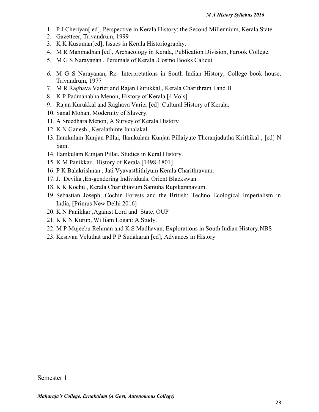- 1. P J Cheriyan[ ed], Perspective in Kerala History: the Second Millennium, Kerala State
- 2. Gazetteer, Trivandrum, 1999
- 3. K K Kusuman[ed], Issues in Kerala Historiography.
- 4. M R Manmadhan [ed], Archaeology in Kerala, Publication Division, Farook College.
- 5. M G S Narayanan , Perumals of Kerala .Cosmo Books Calicut
- *6.* M G S Narayanan, Re- Interpretations in South Indian History, College book house, Trivandrum, 1977
- 7. M R Raghava Varier and Rajan Gurukkal , Kerala Charithram I and II
- 8. K P Padmanabha Menon, History of Kerala [4 Vols]
- 9. Rajan Kurukkal and Raghava Varier [ed] Cultural History of Kerala.
- 10. Sanal Mohan, Modernity of Slavery.
- 11. A Sreedhara Menon, A Survey of Kerala History
- 12. K N Ganesh , Keralathinte Innalakal.
- 13. Ilamkulam Kunjan Pillai, Ilamkulam Kunjan Pillaiyute Theranjadutha Krithikal , [ed] N Sam.
- 14. Ilamkulam Kunjan Pillai, Studies in Keral History.
- 15. K M Panikkar , History of Kerala [1498-1801]
- 16. P K Balakrishnan , Jati Vyavasthithiyum Kerala Charithravum.
- 17. J. Devika ,En-gendering Individuals. Orient Blackswan
- 18. K K Kochu , Kerala Charithtavum Samuha Rupikaranavum.
- 19. Sebastian Joseph, Cochin Forests and the British: Techno Ecological Imperialism in India, [Primus New Delhi 2016]
- 20. K N Panikkar ,Against Lord and State, OUP
- 21. K K N Kurup, William Logan: A Study.
- 22. M P Mujeebu Rehman and K S Madhavan, Explorations in South Indian History.NBS
- 23. Kesavan Veluthat and P P Sudakaran [ed], Advances in History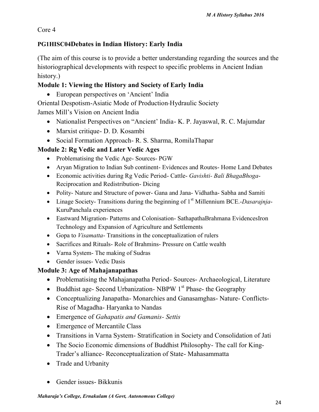Core 4

### **PG1HISC04Debates in Indian History: Early India**

(The aim of this course is to provide a better understanding regarding the sources and the historiographical developments with respect to specific problems in Ancient Indian history.)

### **Module 1: Viewing the History and Society of Early India**

European perspectives on 'Ancient' India

Oriental Despotism-Asiatic Mode of Production-Hydraulic Society

James Mill's Vision on Ancient India

- Nationalist Perspectives on "Ancient' India- K. P. Jayaswal, R. C. Majumdar
- Marxist critique- D. D. Kosambi
- Social Formation Approach- R. S. Sharma, RomilaThapar

### **Module 2: Rg Vedic and Later Vedic Ages**

- Problematising the Vedic Age- Sources- PGW
- Aryan Migration to Indian Sub continent- Evidences and Routes- Home Land Debates
- Economic activities during Rg Vedic Period- Cattle- *Gavishti- Bali BhagaBhoga* Reciprocation and Redistribution- Dicing
- Polity- Nature and Structure of power- Gana and Jana- Vidhatha- Sabha and Samiti
- Linage Society- Transitions during the beginning of 1st Millennium BCE.-*Dasarajnja* KuruPanchala experiences
- Eastward Migration- Patterns and Colonisation- SathapathaBrahmana EvidencesIron Technology and Expansion of Agriculture and Settlements
- Gopa to *Visamatta* Transitions in the conceptualization of rulers
- Sacrifices and Rituals-Role of Brahmins-Pressure on Cattle wealth
- Varna System- The making of Sudras
- Gender issues- Vedic Dasis

### **Module 3: Age of Mahajanapathas**

- Problematising the Mahajanapatha Period-Sources-Archaeological, Literature
- Buddhist age- Second Urbanization- NBPW  $1<sup>st</sup>$  Phase- the Geography
- Conceptualizing Janapatha- Monarchies and Ganasamghas- Nature- Conflicts- Rise of Magadha- Haryanka to Nandas
- Emergence of *Gahapatis and Gamanis- Settis*
- Emergence of Mercantile Class
- Transitions in Varna System- Stratification in Society and Consolidation of Jati
- The Socio Economic dimensions of Buddhist Philosophy- The call for King-Trader's alliance- Reconceptualization of State- Mahasammatta
- Trade and Urbanity
- Gender issues- Bikkunis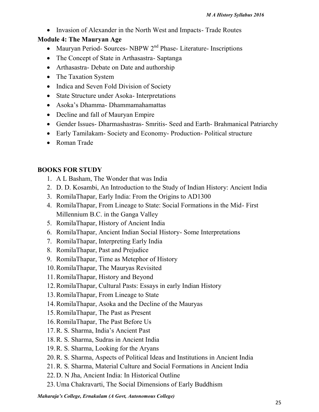Invasion of Alexander in the North West and Impacts- Trade Routes

### **Module 4: The Mauryan Age**

- Mauryan Period- Sources- NBPW  $2<sup>nd</sup>$  Phase- Literature- Inscriptions
- The Concept of State in Arthasastra- Saptanga
- Arthasastra- Debate on Date and authorship
- The Taxation System
- Indica and Seven Fold Division of Society
- State Structure under Asoka- Interpretations
- Asoka's Dhamma- Dhammamahamattas
- Decline and fall of Mauryan Empire
- Gender Issues- Dharmashastras- Smritis- Seed and Earth- Brahmanical Patriarchy
- Early Tamilakam- Society and Economy- Production- Political structure
- Roman Trade

### **BOOKS FOR STUDY**

- 1. A L Basham, The Wonder that was India
- 2. D. D. Kosambi, An Introduction to the Study of Indian History: Ancient India
- 3. RomilaThapar, Early India: From the Origins to AD1300
- 4. RomilaThapar, From Lineage to State: Social Formations in the Mid- First Millennium B.C. in the Ganga Valley
- 5. RomilaThapar, History of Ancient India
- 6. RomilaThapar, Ancient Indian Social History- Some Interpretations
- 7. RomilaThapar, Interpreting Early India
- 8. RomilaThapar, Past and Prejudice
- 9. RomilaThapar, Time as Metephor of History
- 10.RomilaThapar, The Mauryas Revisited
- 11.RomilaThapar, History and Beyond
- 12.RomilaThapar, Cultural Pasts: Essays in early Indian History
- 13.RomilaThapar, From Lineage to State
- 14.RomilaThapar, Asoka and the Decline of the Mauryas
- 15.RomilaThapar, The Past as Present
- 16.RomilaThapar, The Past Before Us
- 17.R. S. Sharma, India's Ancient Past
- 18.R. S. Sharma, Sudras in Ancient India
- 19.R. S. Sharma, Looking for the Aryans
- 20.R. S. Sharma, Aspects of Political Ideas and Institutions in Ancient India
- 21.R. S. Sharma, Material Culture and Social Formations in Ancient India
- 22.D. N Jha, Ancient India: In Historical Outline
- 23.Uma Chakravarti, The Social Dimensions of Early Buddhism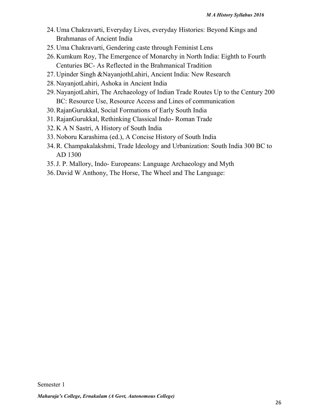- 24.Uma Chakravarti, Everyday Lives, everyday Histories: Beyond Kings and Brahmanas of Ancient India
- 25.Uma Chakravarti, Gendering caste through Feminist Lens
- 26.Kumkum Roy, The Emergence of Monarchy in North India: Eighth to Fourth Centuries BC- As Reflected in the Brahmanical Tradition
- 27.Upinder Singh &NayanjothLahiri, Ancient India: New Research
- 28.NayanjotLahiri, Ashoka in Ancient India
- 29.NayanjotLahiri, The Archaeology of Indian Trade Routes Up to the Century 200 BC: Resource Use, Resource Access and Lines of communication
- 30.RajanGurukkal, Social Formations of Early South India
- 31.RajanGurukkal, Rethinking Classical Indo- Roman Trade
- 32.K A N Sastri, A History of South India
- 33.Noboru Karashima (ed.), A Concise History of South India
- 34.R. Champakalakshmi, Trade Ideology and Urbanization: South India 300 BC to AD 1300
- 35.J. P. Mallory, Indo- Europeans: Language Archaeology and Myth
- 36.David W Anthony, The Horse, The Wheel and The Language: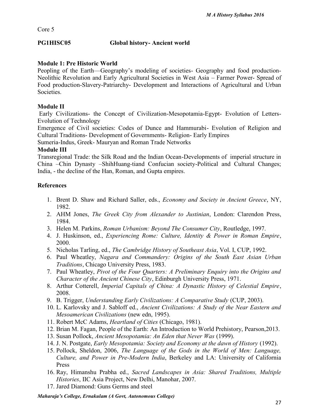Core 5

### **PG1HISC05 Global history- Ancient world**

### **Module 1: Pre Historic World**

Peopling of the Earth—Geography's modeling of societies- Geography and food production-Neolithic Revolution and Early Agricultural Societies in West Asia – Farmer Power- Spread of Food production-Slavery-Patriarchy- Development and Interactions of Agricultural and Urban Societies.

### **Module II**

Early Civilizations- the Concept of Civilization-Mesopotamia-Egypt- Evolution of Letters- Evolution of Technology

Emergence of Civil societies: Codes of Dunce and Hammurabi- Evolution of Religion and Cultural Traditions- Development of Governments- Religion- Early Empires

Sumeria-Indus, Greek- Mauryan and Roman Trade Networks

#### **Module III**

Transregional Trade: the Silk Road and the Indian Ocean-Developments of imperial structure in China –Chin Dynasty –ShihHuang*-*tiand Confucian society-Political and Cultural Changes; India, - the decline of the Han, Roman, and Gupta empires.

### **References**

- 1. Brent D. Shaw and Richard Saller, eds., *Economy and Society in Ancient Greece*, NY, 1982.
- 2. AHM Jones, *The Greek City from Alexander to Justinian*, London: Clarendon Press, 1984.
- 3. Helen M. Parkins, *Roman Urbanism: Beyond The Consumer City*, Routledge, 1997.
- 4. J. Huskinson, ed., *Experiencing Rome: Culture, Identity & Power in Roman Empire*, 2000.
- 5. Nicholas Tarling, ed., *The Cambridge History of Southeast Asia*, Vol. I, CUP, 1992.
- 6. Paul Wheatley, *Nagara and Commandery: Origins of the South East Asian Urban Traditions*, Chicago University Press, 1983.
- 7. Paul Wheatley, *Pivot of the Four Quarters: A Preliminary Enquiry into the Origins and Character of the Ancient Chinese City*, Edinburgh University Press, 1971.
- 8. Arthur Cotterell, *Imperial Capitals of China: A Dynastic History of Celestial Empire*, 2008.
- 9. B. Trigger, *Understanding Early Civilizations: A Comparative Study* (CUP, 2003).
- 10. L. Karlovsky and J. Sabloff ed., *Ancient Civilizations: A Study of the Near Eastern and Mesoamerican Civilizations* (new edn, 1995).
- 11. Robert McC Adams, *Heartland of Cities* (Chicago, 1981).
- 12. Brian M. Fagan, People of the Earth: An Introduction to World Prehistory, Pearson,2013.
- 13. Susan Pollock, *Ancient Mesopotamia: An Eden that Never Was* (1999).
- 14. J. N. Postgate, *Early Mesopotamia: Society and Economy at the dawn of History* (1992).
- 15. Pollock, Sheldon, 2006, *The Language of the Gods in the World of Men: Language, Culture, and Power in Pre-Modern India*, Berkeley and LA: University of California Press
- 16. Ray, Himanshu Prabha ed., *Sacred Landscapes in Asia: Shared Traditions, Multiple Histories*, IIC Asia Project, New Delhi, Manohar, 2007.
- 17. Jared Diamond: Guns Germs and steel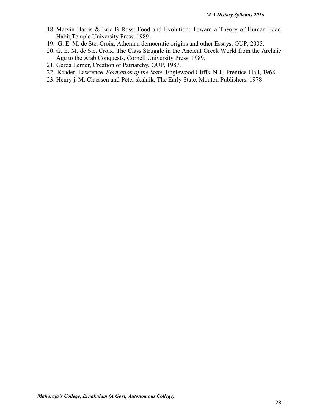- 18. Marvin Harris & Eric B Ross: Food and Evolution: Toward a Theory of Human Food Habit,Temple University Press, 1989.
- 19. G. E. M. de Ste. Croix, Athenian democratic origins and other Essays, OUP, 2005.
- 20. G. E. M. de Ste. Croix, The Class Struggle in the Ancient Greek World from the Archaic Age to the Arab Conquests, Cornell University Press, 1989.
- 21. Gerda Lerner, Creation of Patriarchy, OUP, 1987.
- 22. Krader, Lawrence. *Formation of the State*. Englewood Cliffs, N.J.: Prentice-Hall, 1968.
- 23. Henry j. M. Claessen and Peter skalnik, The Early State, Mouton Publishers, 1978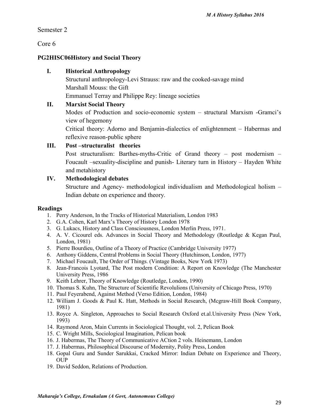Semester 2

Core 6

### **PG2HISC06History and Social Theory**

### **I. Historical Anthropology**

Structural anthropology-Levi Strauss: raw and the cooked-savage mind Marshall Mouss: the Gift

Emmanuel Terray and Philippe Rey: lineage societies

### **II. Marxist Social Theory**

Modes of Production and socio-economic system – structural Marxism -Gramci's view of hegemony

Critical theory: Adorno and Benjamin-dialectics of enlightenment – Habermas and reflexive reason-public sphere

### **III. Post –structuralist theories**

Post structuralism: Barthes-myths-Critic of Grand theory – post modernism – Foucault –sexuality-discipline and punish- Literary turn in History – Hayden White and metahistory

### **IV. Methodological debates**

Structure and Agency- methodological individualism and Methodological holism – Indian debate on experience and theory.

#### **Readings**

- 1. Perry Anderson, In the Tracks of Historical Materialism, London 1983
- 2. G.A. Cohen, Karl Marx's Theory of History London 1978
- 3. G. Lukacs, History and Class Consciousness, London Merlin Press, 1971.
- 4. A. V. Cicourel eds. Advances in Social Theory and Methodology (Routledge & Kegan Paul, London, 1981)
- 5. Pierre Bourdieu, Outline of a Theory of Practice (Cambridge University 1977)
- 6. Anthony Giddens, Central Problems in Social Theory (Hutchinson, London, 1977)
- 7. Michael Foucault, The Order of Things. (Vintage Books, New York 1973)
- 8. Jean-Francois Lyotard, The Post modern Condition: A Report on Knowledge (The Manchester University Press, 1986
- 9. Keith Lehrer, Theory of Knowledge (Routledge, London, 1990)
- 10. Thomas S. Kuhn, The Structure of Scientific Revolulions (University of Chicago Press, 1970)
- 11. Paul Feyerabend, Against Method (Verso Edition, London, 1984)
- 12. William J. Goods & Paul K. Hatt, Methods in Social Research, (Mcgraw-HilI Book Company, 1981)
- 13. Royce A. Singleton, Approaches to Social Research Oxford et.al.University Press (New York, 1993)
- 14. Raymond Aron, Main Currents in Sociological Thought, vol. 2, Pelican Book
- 15. C. Wright Mills, Sociological Imagination, Pelican book
- 16. J. Habermas, The Theory of Communicative ACtion 2 vols. Heinemann, London
- 17. J. Habermas, Philosophical Discourse of Modernity, Polity Press, London
- 18. Gopal Guru and Sunder Sarukkai, Cracked Mirror: Indian Debate on Experience and Theory, OUP
- 19. David Seddon, Relations of Production.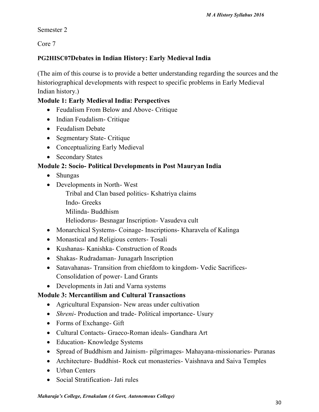Semester 2

Core 7

### **PG2HISC07Debates in Indian History: Early Medieval India**

(The aim of this course is to provide a better understanding regarding the sources and the historiographical developments with respect to specific problems in Early Medieval Indian history.)

### **Module 1: Early Medieval India: Perspectives**

- Feudalism From Below and Above- Critique
- Indian Feudalism Critique
- Feudalism Debate
- Segmentary State- Critique
- Conceptualizing Early Medieval
- Secondary States

### **Module 2: Socio- Political Developments in Post Mauryan India**

- Shungas
- Developments in North- West
	- Tribal and Clan based politics- Kshatriya claims
	- Indo- Greeks
	- Milinda- Buddhism
	- Heliodorus- Besnagar Inscription- Vasudeva cult
- Monarchical Systems- Coinage- Inscriptions- Kharavela of Kalinga
- Monastical and Religious centers Tosali
- Kushanas- Kanishka- Construction of Roads
- Shakas- Rudradaman- Junagarh Inscription
- Satavahanas- Transition from chiefdom to kingdom- Vedic Sacrifices-Consolidation of power- Land Grants
- Developments in Jati and Varna systems

### **Module 3: Mercantilism and Cultural Transactions**

- Agricultural Expansion- New areas under cultivation
- *Shreni* Production and trade- Political importance- Usury
- Forms of Exchange- Gift
- Cultural Contacts- Graeco-Roman ideals- Gandhara Art
- Education- Knowledge Systems
- Spread of Buddhism and Jainism- pilgrimages- Mahayana-missionaries- Puranas
- Architecture- Buddhist- Rock cut monasteries- Vaishnava and Saiva Temples
- Urban Centers
- Social Stratification- Jati rules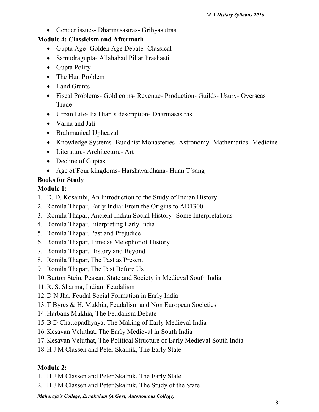• Gender issues- Dharmasastras- Grihyasutras

### **Module 4: Classicism and Aftermath**

- Gupta Age- Golden Age Debate- Classical
- Samudragupta- Allahabad Pillar Prashasti
- Gupta Polity
- The Hun Problem
- Land Grants
- Fiscal Problems- Gold coins- Revenue- Production- Guilds- Usury- Overseas Trade
- Urban Life- Fa Hian's description- Dharmasastras
- Varna and Jati
- Brahmanical Upheaval
- Knowledge Systems- Buddhist Monasteries- Astronomy- Mathematics- Medicine
- Literature- Architecture- Art
- Decline of Guptas
- Age of Four kingdoms- Harshavardhana- Huan T'sang

### **Books for Study**

### **Module 1:**

- 1. D. D. Kosambi, An Introduction to the Study of Indian History
- 2. Romila Thapar, Early India: From the Origins to AD1300
- 3. Romila Thapar, Ancient Indian Social History- Some Interpretations
- 4. Romila Thapar, Interpreting Early India
- 5. Romila Thapar, Past and Prejudice
- 6. Romila Thapar, Time as Metephor of History
- 7. Romila Thapar, History and Beyond
- 8. Romila Thapar, The Past as Present
- 9. Romila Thapar, The Past Before Us
- 10.Burton Stein, Peasant State and Society in Medieval South India
- 11.R. S. Sharma, Indian Feudalism
- 12.D N Jha, Feudal Social Formation in Early India
- 13.T Byres & H. Mukhia, Feudalism and Non European Societies
- 14.Harbans Mukhia, The Feudalism Debate
- 15.B D Chattopadhyaya, The Making of Early Medieval India
- 16.Kesavan Veluthat, The Early Medieval in South India
- 17.Kesavan Veluthat, The Political Structure of Early Medieval South India
- 18.H J M Classen and Peter Skalnik, The Early State

### **Module 2:**

- 1. H J M Classen and Peter Skalnik, The Early State
- 2. H J M Classen and Peter Skalnik, The Study of the State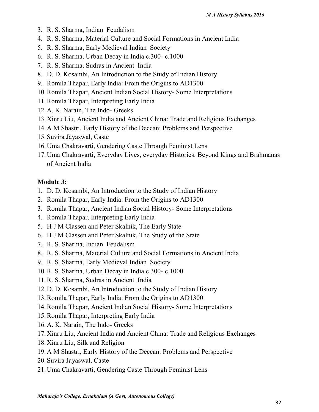- 3. R. S. Sharma, Indian Feudalism
- 4. R. S. Sharma, Material Culture and Social Formations in Ancient India
- 5. R. S. Sharma, Early Medieval Indian Society
- 6. R. S. Sharma, Urban Decay in India c.300- c.1000
- 7. R. S. Sharma, Sudras in Ancient India
- 8. D. D. Kosambi, An Introduction to the Study of Indian History
- 9. Romila Thapar, Early India: From the Origins to AD1300
- 10.Romila Thapar, Ancient Indian Social History- Some Interpretations
- 11.Romila Thapar, Interpreting Early India
- 12.A. K. Narain, The Indo- Greeks
- 13.Xinru Liu, Ancient India and Ancient China: Trade and Religious Exchanges
- 14.A M Shastri, Early History of the Deccan: Problems and Perspective
- 15. Suvira Jayaswal, Caste
- 16.Uma Chakravarti, Gendering Caste Through Feminist Lens
- 17.Uma Chakravarti, Everyday Lives, everyday Histories: Beyond Kings and Brahmanas of Ancient India

### **Module 3:**

- 1. D. D. Kosambi, An Introduction to the Study of Indian History
- 2. Romila Thapar, Early India: From the Origins to AD1300
- 3. Romila Thapar, Ancient Indian Social History- Some Interpretations
- 4. Romila Thapar, Interpreting Early India
- 5. H J M Classen and Peter Skalnik, The Early State
- 6. H J M Classen and Peter Skalnik, The Study of the State
- 7. R. S. Sharma, Indian Feudalism
- 8. R. S. Sharma, Material Culture and Social Formations in Ancient India
- 9. R. S. Sharma, Early Medieval Indian Society
- 10.R. S. Sharma, Urban Decay in India c.300- c.1000
- 11.R. S. Sharma, Sudras in Ancient India
- 12.D. D. Kosambi, An Introduction to the Study of Indian History
- 13.Romila Thapar, Early India: From the Origins to AD1300
- 14.Romila Thapar, Ancient Indian Social History- Some Interpretations
- 15.Romila Thapar, Interpreting Early India
- 16.A. K. Narain, The Indo- Greeks
- 17.Xinru Liu, Ancient India and Ancient China: Trade and Religious Exchanges
- 18.Xinru Liu, Silk and Religion
- 19.A M Shastri, Early History of the Deccan: Problems and Perspective
- 20. Suvira Jayaswal, Caste
- 21.Uma Chakravarti, Gendering Caste Through Feminist Lens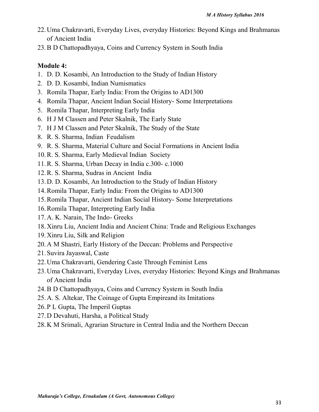- 22.Uma Chakravarti, Everyday Lives, everyday Histories: Beyond Kings and Brahmanas of Ancient India
- 23.B D Chattopadhyaya, Coins and Currency System in South India

### **Module 4:**

- 1. D. D. Kosambi, An Introduction to the Study of Indian History
- 2. D. D. Kosambi, Indian Numismatics
- 3. Romila Thapar, Early India: From the Origins to AD1300
- 4. Romila Thapar, Ancient Indian Social History- Some Interpretations
- 5. Romila Thapar, Interpreting Early India
- 6. H J M Classen and Peter Skalnik, The Early State
- 7. H J M Classen and Peter Skalnik, The Study of the State
- 8. R. S. Sharma, Indian Feudalism
- 9. R. S. Sharma, Material Culture and Social Formations in Ancient India
- 10.R. S. Sharma, Early Medieval Indian Society
- 11.R. S. Sharma, Urban Decay in India c.300- c.1000
- 12.R. S. Sharma, Sudras in Ancient India
- 13.D. D. Kosambi, An Introduction to the Study of Indian History
- 14.Romila Thapar, Early India: From the Origins to AD1300
- 15.Romila Thapar, Ancient Indian Social History- Some Interpretations
- 16.Romila Thapar, Interpreting Early India
- 17.A. K. Narain, The Indo- Greeks
- 18.Xinru Liu, Ancient India and Ancient China: Trade and Religious Exchanges
- 19.Xinru Liu, Silk and Religion
- 20.A M Shastri, Early History of the Deccan: Problems and Perspective
- 21. Suvira Jayaswal, Caste
- 22.Uma Chakravarti, Gendering Caste Through Feminist Lens
- 23.Uma Chakravarti, Everyday Lives, everyday Histories: Beyond Kings and Brahmanas of Ancient India
- 24.B D Chattopadhyaya, Coins and Currency System in South India
- 25.A. S. Altekar, The Coinage of Gupta Empireand its Imitations
- 26. P L Gupta, The Imperil Guptas
- 27.D Devahuti, Harsha, a Political Study
- 28.K M Srimali, Agrarian Structure in Central India and the Northern Deccan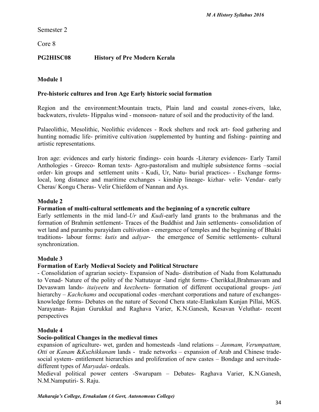Semester 2

Core 8

### **PG2HISC08 History of Pre Modern Kerala**

#### **Module 1**

#### **Pre-historic cultures and Iron Age Early historic social formation**

Region and the environment:Mountain tracts, Plain land and coastal zones-rivers, lake, backwaters, rivulets- Hippalus wind - monsoon- nature of soil and the productivity of the land.

Palaeolithic, Mesolithic, Neolithic evidences - Rock shelters and rock art- food gathering and hunting nomadic life- primitive cultivation /supplemented by hunting and fishing- painting and artistic representations.

Iron age: evidences and early historic findings- coin hoards -Literary evidences- Early Tamil Anthologies - Greeco- Roman texts- Agro-pastoralism and multiple subsistence forms –social order- kin groups and settlement units - Kudi, Ur, Natu- burial practices- - Exchange formslocal, long distance and maritime exchanges - kinship lineage- kizhar- velir- Vendar- early Cheras/ Kongu Cheras- Velir Chiefdom of Nannan and Ays.

#### **Module 2**

#### **Formation of multi-cultural settlements and the beginning of a syncretic culture**

Early settlements in the mid land-*Ur* and *Kudi*-early land grants to the brahmanas and the formation of Brahmin settlement- Traces of the Buddhist and Jain settlements- consolidation of wet land and parambu purayidam cultivation - emergence of temples and the beginning of Bhakti traditions- labour forms: *kutis* and *adiyar*- the emergence of Semitic settlements- cultural synchronization.

#### **Module 3**

#### **Formation of Early Medieval Society and Political Structure**

- Consolidation of agrarian society- Expansion of Nadu- distribution of Nadu from Kolattunadu to Venad- Nature of the polity of the Nattutayar -land right forms- Cherikkal,Brahmasvam and Devaswam lands- *itaiyeetu* and *keezheetu*- formation of different occupational groups- *jati* hierarchy – *Kachchams* and occupational codes -merchant corporations and nature of exchangesknowledge forms- Debates on the nature of Second Chera state-Elankulam Kunjan Pillai, MGS. Narayanan- Rajan Gurukkal and Raghava Varier, K.N.Ganesh, Kesavan Veluthat- recent perspectives

#### **Module 4**

#### **Socio-political Changes in the medieval times**

expansion of agriculture- wet, garden and homesteads -land relations – *Janmam, Verumpattam, Otti* or *Kanam* &*Kuzhikkanam* lands- trade networks – expansion of Arab and Chinese trade social system- entitlement hierarchies and proliferation of new castes – Bondage and servitude different types of *Maryadai*- ordeals.

Medieval political power centers -Swarupam – Debates- Raghava Varier, K.N.Ganesh, N.M.Namputiri- S. Raju.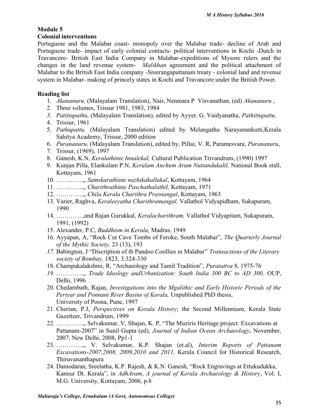# **Module 5**

### **Colonial interventions**

Portuguese and the Malabar coast- monopoly over the Malabar trade- decline of Arab and Portuguese trade- impact of early colonial contacts- political interventions in Kochi -Dutch in Travancore- British East India Company in Malabar-expeditions of Mysore rulers and the changes in the land revenue system- *Malikhan* agreement and the political attachment of Malabar to the British East India company -Sreerangapattanam treaty - colonial land and revenue system in Malabar- making of princely states in Kochi and Travancore under the British Power.

#### **Reading list**

- 1. *Akananuru,* (Malayalam Translation), Nair, Nenmara P Visvanathan, (ed) *Akananuru* ,
- 2. Three volumes, Trissur 1981, 1983, 1984
- *3. Patittupathu,* (Malayalam Translation), edited by Ayyer, G. Vaidyanatha, *Pathittupattu,*
- 4. Trissur, 1961
- 5. *Pathupattu,* (Malayalam Translation) edited by Melangathu Narayanankutti,Kerala Sahitya Academy, Trissur, 2000 edition
- 6. *Purananuru,* (Malayalam Translation), edited by, Pillai, V. R, Paramesvara, *Purananuru*,
- 7. Trissur, (1969), 1997
- 8. Ganesh, K.N, *Keralathinte Innalekal,* Cultural Publication Trivandrum, (1990) 1997
- 9. Kunjan Pilla, Elankulam P.N, *Keralam Anchum Arum Nuttandukalil,* National Book stall, Kottayam, 1961
- 10. ………….,, *Samskarathinte nazhikakallukal*, Kottayam, 1964
- 11. ………….,, *Charithrathinte Paschathalathil,* Kottayam, 1971
- 12. ………….,, *Chila Kerala Charithra Prasnangal*, Kottayam, 1963
- 13. Varier, Raghva, *Keraleeyatha Charithramangal,* Vallathol Vidyapidham, Sukapuram, 1990
- 14. ………….,and Rajan Gurukkal, *Keralacharithram,* Vallathol Vidyapitam, Sukapuram, 1991, (1992)
- 15. Alexander, P.C, *Buddhism in Kerala,* Madras, 1949
- 16. Ayyapan, A, "Rock Cut Cave Tombs of Feroke, South Malabar", *The Quarterly Journal of the Mythic Society,* 23 (13), 193
- *17.* Babington, J "Discription of th Pandoo Coollies in Malabar" *Transactions of the Literary society of Bombay,* 1823, 3:324-330
- 18. Champakalakshmi, R, "Archaeology and Tamil Tradition", *Puratattva* 8, 1975-76
- *19.* ………….,, *Trade Ideology andUrbanization: South India 300 BC to AD 300,* OUP, Delhi, 1996
- 20. Chedambath, Rajan, *Investigations into the Mgalithic and Early Historic Periods of the Periyar and Ponnani River Basins of Kerala,* Unpublished PhD thesis, University of Poona, Pune, 1997
- 21. Cherian, P.J, *Perspectives on Kerala History*; the Second Millennium, Kerala State Gazetteer, Trivandrum, 1999
- 22. ………….,, Selvakumar, V, Shajan, K. P, "The Muziris Heritage project: Excavations at Pattanam-2007" in Sunil Gupta (ed), *Journal of Indian Ocean Archaeology*, November, 2007, New Delhi, 2008, Pp1-1
- 23. ………….,, V. Selvakumar, K.P. Shajan (et.al), *Interim Reports of Pattanam Excavations-2007,2008, 2009,2010 and 2011,* Kerala Council for Historical Research, Thiruvananthapura
- 24. Damodaran, Sreelatha, K.P. Rajesh, & K.N. Ganesh, "Rock Engravings at Ettukudukka, Kannur Dt. Kerala", in *AdhAram*, *A journal of Kerala Archaeology & History*, Vol. I, M.G. University, Kottayam, 2006, p.8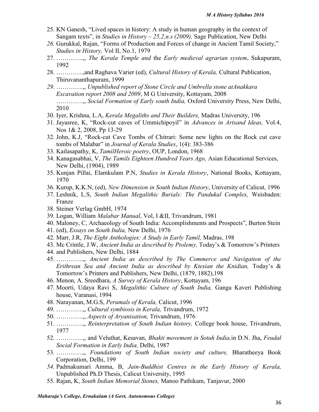- 25. KN Ganesh, "Lived spaces in history: A study in human geography in the context of Sangam texts", in *Studies in History – 25,2,n.s (2009),* Sage Publication, New Delhi
- *26.* Gurukkal, Rajan, "Forms of Production and Forces of change in Ancient Tamil Society," *Studies in History,* Vol II, No.1, 1979
- 27. ………….,, *The Kerala Temple and* the *Early medieval agrarian system*, Sukapuram, 1992
- 28. ………….,and Raghava Varier (ed), *Cultural History of Kerala,* Cultural Publication, Thiruvananthapuram, 1999
- *29.* ………….,, *Unpublished report of Stone Circle and Umbrella stone atAnakkara Excavation report 2008 and 2009*, M G University, Kottayam, 2008 ………….,, *Social Formation of Early south India,* Oxford University Press, New Delhi, 2010
- 30. Iyer, Krishna, L.A, *Kerala Megaliths and Their Builders,* Madras University, 196
- 31. Jayasree, K, "Rock-cut caves of Ummichipoyil" in *Advances in Artsand Ideas,* Vol.4, Nos 1& 2, 2008, Pp 13-29
- 32. John, K.J, "Rock-cut Cave Tombs of Chitrari: Some new lights on the Rock cut cave tombs of Malabar" in *Journal of Kerala Studies*, 1(4): 383-386
- 33. Kailasapathy, K, *TamilHeroic poetry*, OUP, London, 1968
- 34. Kanagasabhai, V, *The Tamils Eighteen Hundred Years Ago,* Asian Educational Services, New Delhi, (1904), 1989
- 35. Kunjan Pillai, Elamkulam P.N, *Studies in Kerala History*, National Books, Kottayam, 1970
- 36. Kurup, K.K.N, (ed), *New Dimension in South Indian History*, University of Calicut, 1996
- 37. Leshnik, L.S, *South Indian Megalithic Burials: The Pandukal Complex,* Weisbaden: Franze
- 38. Steiner Verlag GmbH, 1974
- 39. Logan, William *Malabar Manual*, Vol, I &II, Trivandrum, 1981
- 40. Maloney, C, Archaeology of South India: Accomplishments and Prospects", Burton Stein
- 41. (ed), *Essays on South India,* New Delhi, 1976
- 42. Marr, J.R, *The Eight Anthologies: A Study in Early Tamil,* Madras, 198
- 43. Mc Crintle, J.W, *Ancient India as described by Ptolemy,* Today's & Tomorrow's Printers
- 44. and Publishers, New Delhi, 1884
- 45. ………….,, *Ancient India as described by The Commerce and Navigation of the Erithrean Sea and Ancient India as described by Ktesian the Knidian,* Today's & Tomorrow's Printers and Publishers, New Delhi, (1879, 1882),198
- 46. Menon, A. Sreedhara, *A Survey of Kerala History*, Kottayam, 196
- 47. Moorti, Udaya Ravi S, *Megalithic Culture of South India,* Ganga Kaveri Publishing house, Varanasi, 1994
- 48. Narayanan, M.G.S, *Perumals of Kerala,* Calicut, 1996
- 49. ………….,, *Cultural symbiosis in Kerala,* Trivandrum, 1972
- 50. ………….,, *Aspects of Aryanisation,* Trivandrum, 1976
- 51. ………….,, *Reinterpretation of South Indian history,* College book house, Trivandrum, 1977
- 52. ………….,, and Veluthat, Kesavan, *Bhakti movement in Sotuh India,*in D.N. Jha, *Feudal Social Formation in Early India,* Delhi, 1987
- 53. ………….,, *Foundations of South Indian society and culture,* Bharatheeya Book Corporation, Delhi, 199
- *54.* Padmakumari Amma, B, *Jain-Buddhist Centres in the Early History of Kerala,* Unpublished Ph.D Thesis, Calicut University, 1995
- 55. Rajan, K, *South Indian Memorial Stones,* Manoo Pathikam, Tanjavur, 2000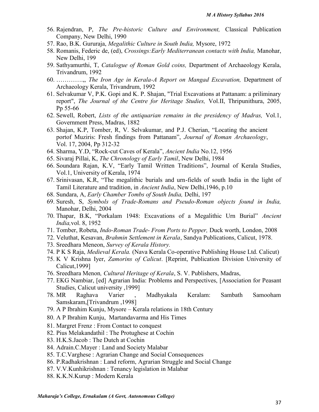- 56. Rajendran, P, *The Pre-historic Culture and Environment,* Classical Publication Company, New Delhi, 1990
- 57. Rao, B.K. Gururaja, *Megalithic Culture in South India,* Mysore, 1972
- 58. Romanis, Federic de, (ed), *Crossings:Early Mediterranean contacts with India,* Manohar, New Delhi, 199
- 59. Sathyamurthi, T, *Catalogue of Roman Gold coins,* Department of Archaeology Kerala, Trivandrum, 1992
- 60. ………….,, *The Iron Age in Kerala-A Report on Mangad Excavation,* Department of Archaeology Kerala, Trivandrum, 1992
- 61. Selvakumar V, P.K. Gopi and K. P. Shajan, "Trial Excavations at Pattanam: a priliminary report", *The Journal of the Centre for Heritage Studies,* Vol.II, Thripunithura, 2005, Pp 55-66
- 62. Sewell, Robert, *Lists of the antiquarian remains in the presidency of Madras,* Vol.1, Government Press, Madras, 1882
- 63. Shajan, K.P, Tomber, R, V. Selvakumar, and P.J. Cherian, "Locating the ancient portof Muziris: Fresh findings from Pattanam", *Journal of Roman Archaeology*, Vol. 17, 2004, Pp 312-32
- 64. Sharma, Y.D, "Rock-cut Caves of Kerala", *Ancient India* No.12, 1956
- 65. Sivaraj Pillai, K, *The Chronology of Early Tamil*, New Delhi, 1984
- 66. Soundara Rajan, K.V, "Early Tamil Written Traditions", Journal of Kerala Studies, Vol.1, University of Kerala, 1974
- 67. Srinivasan, K.R, "The megalithic burials and urn-fields of south India in the light of Tamil Literature and tradition, in *Ancient India*, New Delhi,1946, p.10
- 68. Sundara, A, *Early Chamber Tombs of South India,* Delhi, 197
- 69. Suresh, S, *Symbols of Trade-Romans and Pseudo-Roman objects found in India,* Manohar, Delhi, 2004
- 70. Thapar, B.K, "Porkalam 1948: Excavations of a Megalithic Urn Burial" *Ancient India,*vol. 8, 1952
- 71. Tomber, Robeta, *Indo-Roman Trade- From Ports to Pepper,* Duck worth, London, 2008
- 72. Veluthat, Kesavan, *Brahmin Settlement in Kerala*, Sandya Publications, Calicut, 1978.
- 73. Sreedhara Meneon, *Survey of Kerala History.*
- 74. P K S Raja, *Medieval Kerala.* (Nava Kerala Co-operative Publishing House Ltd. Calicut)
- 75. K V Krishna Iyer, *Zamorins of Calicut*. [Reprint, Publication Division University of Calicut,1999]
- 76. Sreedhara Menon*, Cultural Heritage of Kerala*, S. V. Publishers, Madras,
- 77. EKG Nambiar, [ed] Agrarian India: Problems and Perspectives, [Association for Peasant Studies, Calicut university ,1999]
- 78. MR Raghava Varier , Madhyakala Keralam: Sambath Samooham Samskaram,[Trivandrum ,1998]
- 79. A P Ibrahim Kunju, Mysore Kerala relations in 18th Century
- 80. A P Ibrahim Kunju, Martandavarma and His Times
- 81. Margret Frenz : From Contact to conquest
- 82. Pius Melakandathil : The Protughese at Cochin
- 83. H.K.S.Jacob : The Dutch at Cochin
- 84. Adrain.C.Mayer : Land and Society Malabar
- 85. T.C.Varghese : Agrarian Change and Social Consequences
- 86. P.Radhakrishnan : Land reform, Agrarian Struggle and Social Change
- 87. V.V.Kunhikrishnan : Tenancy legislation in Malabar
- 88. K.K.N.Kurup : Modern Kerala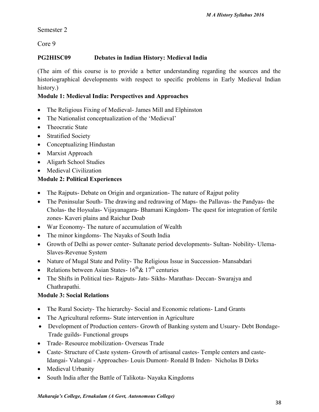Semester 2

Core 9

# **PG2HISC09 Debates in Indian History: Medieval India**

(The aim of this course is to provide a better understanding regarding the sources and the historiographical developments with respect to specific problems in Early Medieval Indian history.)

# **Module 1: Medieval India: Perspectives and Approaches**

- The Religious Fixing of Medieval- James Mill and Elphinston
- The Nationalist conceptualization of the 'Medieval'
- Theocratic State
- Stratified Society
- Conceptualizing Hindustan
- Marxist Approach
- Aligarh School Studies
- Medieval Civilization

# **Module 2: Political Experiences**

- The Rajputs- Debate on Origin and organization- The nature of Rajput polity
- The Peninsular South- The drawing and redrawing of Maps- the Pallavas- the Pandyas- the Cholas- the Hoysalas- Vijayanagara- Bhamani Kingdom- The quest for integration of fertile zones- Kaveri plains and Raichur Doab
- War Economy- The nature of accumulation of Wealth
- The minor kingdoms- The Nayaks of South India
- Growth of Delhi as power center- Sultanate period developments- Sultan- Nobility- Ulema- Slaves-Revenue System
- Nature of Mugal State and Polity- The Religious Issue in Succession-Mansabdari
- Relations between Asian States-  $16^{th}$ &  $17^{th}$  centuries
- The Shifts in Political ties- Rajputs- Jats- Sikhs- Marathas- Deccan- Swarajya and Chathrapathi.

# **Module 3: Social Relations**

- The Rural Society- The hierarchy- Social and Economic relations- Land Grants
- The Agricultural reforms- State intervention in Agriculture
- Development of Production centers- Growth of Banking system and Usuary- Debt Bondage- Trade guilds- Functional groups
- Trade- Resource mobilization- Overseas Trade
- Caste- Structure of Caste system- Growth of artisanal castes- Temple centers and caste-Idangai- Valangai - Approaches- Louis Dumont- Ronald B Inden- Nicholas B Dirks
- Medieval Urbanity
- South India after the Battle of Talikota- Nayaka Kingdoms

#### *Maharaja's College, Ernakulam (A Govt, Autonomous College)*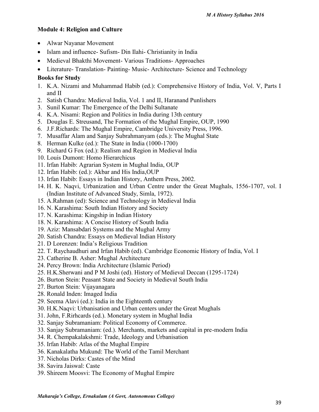# **Module 4: Religion and Culture**

- Alwar Nayanar Movement
- Islam and influence- Sufism- Din Ilahi- Christianity in India
- Medieval Bhakthi Movement- Various Traditions- Approaches
- Literature- Translation- Painting- Music- Architecture- Science and Technology

# **Books for Study**

- 1. K.A. Nizami and Muhammad Habib (ed.): Comprehensive History of India, Vol. V, Parts I and II
- 2. Satish Chandra: Medieval India, Vol. 1 and II, Haranand Punlishers
- 3. Sunil Kumar: The Emergence of the Delhi Sultanate
- 4. K.A. Nisami: Region and Politics in India during 13th century
- 5. Douglas E. Streusand, The Formation of the Mughal Empire, OUP, 1990
- 6. J.F.Richards: The Mughal Empire, Cambridge University Press, 1996.
- 7. Musaffar Alam and Sanjay Subrahmanyam (eds.): The Mughal State
- 8. Herman Kulke (ed.): The State in India (1000-1700)
- 9. Richard G Fox (ed.): Realism and Region in Medieval India
- 10. Louis Dumont: Homo Hierarchicus
- 11. Irfan Habib: Agrarian System in Mughal India, OUP
- 12. Irfan Habib: (ed.): Akbar and His India,OUP
- 13. Irfan Habib: Essays in Indian History, Anthem Press, 2002.
- 14. H. K. Naqvi, Urbanization and Urban Centre under the Great Mughals, 1556-1707, vol. I (Indian Institute of Advanced Study, Simla, 1972).
- 15. A.Rahman (ed): Science and Technology in Medieval India
- 16. N. Karashima: South Indian History and Society
- 17. N. Karashima: Kingship in Indian History
- 18. N. Karashima: A Concise History of South India
- 19. Aziz: Mansabdari Systems and the Mughal Army
- 20. Satish Chandra: Essays on Medieval Indian History
- 21. D Lorenzen: India's Religious Tradition
- 22. T. Raychaudhuri and Irfan Habib (ed). Cambridge Economic History of India, Vol. I
- 23. Catherine B. Asher: Mughal Architecture
- 24. Percy Brown: India Architecture (Islamic Period)
- 25. H.K.Sherwani and P M Joshi (ed). History of Medieval Deccan (1295-1724)
- 26. Burton Stein: Peasant State and Society in Medieval South India
- 27. Burton Stein: Vijayanagara
- 28. Ronald Inden: Imaged India
- 29. Seema Alavi (ed.): India in the Eighteenth century
- 30. H.K.Naqvi: Urbanisation and Urban centers under the Great Mughals
- 31. John, F.Rirhcards (ed.). Monetary system in Mughal India
- 32. Sanjay Subramaniam: Political Economy of Commerce.
- 33. Sanjay Subramaniam: (ed.). Merchants, markets and capital in pre-modern India
- 34. R. Chempakalakshmi: Trade, Ideology and Urbanisation
- 35. Irfan Habib: Atlas of the Mughal Empire
- 36. Kanakalatha Mukund: The World of the Tamil Merchant
- 37. Nicholas Dirks: Castes of the Mind
- 38. Savira Jaiswal: Caste
- 39. Shireem Moosvi: The Economy of Mughal Empire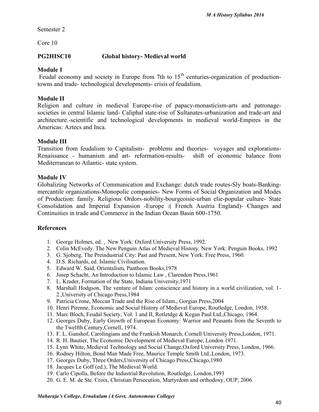Semester 2

Core 10

## **PG2HISC10 Global history- Medieval world**

## **Module 1**

Feudal economy and society in Europe from 7th to  $15<sup>th</sup>$  centuries-organization of productiontowns and trade- technological developments- crisis of feudalism.

### **Module II**

Religion and culture in medieval Europe-rise of papacy-monasticism-arts and patronage societies in central Islamic land- Caliphal state-rise of Sultanates-urbanization and trade-art and architecture.-scientific and technological developments in medieval world-Empires in the Americas: Aztecs and Inca.

#### **Module III**

Transition from feudalism to Capitalism- problems and theories- voyages and explorations- Renaissance - humanism and art- reformation-results- shift of economic balance from Mediterranean to Atlantic- state system.

### **Module IV**

Globalizing Networks of Communication and Exchange: dutch trade routes-Sly boats-Banking mercantile organizations-Monopolic companies- New Forms of Social Organization and Modes of Production: family. Religious Ordors-nobility-bourgeoisie-urban elie-popular culture- State Consolidation and Imperial Expansion -Europe :( French Austria England)- Changes and Continuities in trade and Commerce in the Indian Ocean Basin 600-1750.

#### **References**

- 1. George Holmes, ed. , New York: Oxford University Press, 1992.
- 2. Colin McEvedy. The New Penguin Atlas of Medieval History. New York: Penguin Books, 1992
- 3. G. Sjoberg, The Preindustrial City: Past and Present, New York: Free Press, 1960.
- 4. D.S. Richards, ed. Islamic Civilisation.
- 5. Edward W. Said, Orientalism, Pantheon Books,1978
- 6. Josep Schacht, An Introduction to Islamic Law , Clarendon Press,1961
- 7. L. Krader, Formation of the State, Indiana University,1971
- 8. Marshall Hodgson, The venture of Islam: conscience and history in a world civilization, vol. 1- 2.,University of Chicago Press,1984
- 9. Patricia Crone, Meccan Trade and the Rise of Islam., Gorgias Press,2004
- 10. Henri Pirenne, Economic and Social History of Medieval Europe, Routledge, London, 1958.
- 11. Marc Bloch, Feudal Society, Vol. 1 and II, Rotletdge & Kegan Paul Ltd.,Chicago, 1964.
- 12. Georges Duby, Early Growth of European Economy: Warrior and Peasants from the Seventh to the Twelfth Century,Cornell, 1974.
- 13. F. L. Ganshof, Carolingians and the Frankish Monarch, Cornell University Press,London, 1971.
- 14. R. H. Bautier, The Economic Development of Medieval Europe, London 1971.
- 15. Lynn White, Medieval Technology and Social Change,Oxford University Press, London, 1966.
- 16. Rodney Hilton, Bond Man Made Free, Maurice Temple Smith Ltd.,London, 1973.
- 17. Georges Duby, Three Orders,University of Chicago Press,Chicago,1980
- 18. Jacques Le Goff (ed.), The Medieval World.
- 19. Carlo Cipolla, Before the Industrial Revolution, Routledge, London,1993
- 20. G. E. M. de Ste. Croix, Christian Persecution, Martyrdom and orthodoxy, OUP, 2006.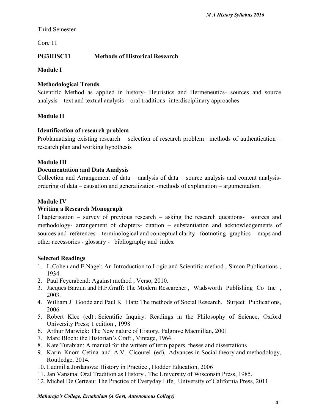# Third Semester

Core 11

# **PG3HISC11 Methods of Historical Research**

**Module I**

# **Methodological Trends**

Scientific Method as applied in history- Heuristics and Hermeneutics- sources and source analysis – text and textual analysis – oral traditions- interdisciplinary approaches

# **Module II**

# **Identification of research problem**

Problamatising existing research – selection of research problem –methods of authentication – research plan and working hypothesis

# **Module III**

# **Documentation and Data Analysis**

Collection and Arrangement of data – analysis of data – source analysis and content analysis ordering of data – causation and generalization -methods of explanation – argumentation.

# **Module IV**

# **Writing a Research Monograph**

Chapterisation – survey of previous research – asking the research questions- sources and methodology- arrangement of chapters- citation – substantiation and acknowledgements of sources and references – terminological and conceptual clarity –footnoting -graphics - maps and other accessories - glossary - bibliography and index

## **Selected Readings**

- 1. L.Cohen and E.Nagel: An Introduction to Logic and Scientific method , Simon Publications , 1934.
- 2. Paul Feyerabend: Against method , Verso, 2010.
- 3. Jacques Barzun and H.F.Graff: The Modern Researcher , Wadsworth Publishing Co Inc , 2003.
- 4. William J Goode and Paul K Hatt: The methods of Social Research, Surjeet Publications, 2006
- 5. Robert Klee (ed) : Scientific Inquiry: Readings in the Philosophy of Science, Oxford University Press; 1 edition , 1998
- 6. Arthur Marwick: The New nature of History, Palgrave Macmillan, 2001
- 7. Marc Bloch: the Historian's Craft , Vintage, 1964.
- 8. Kate Turabian: A manual for the writers of term papers, theses and dissertations
- 9. Karin Knorr Cetina and A.V. Cicourel (ed), Advances in Social theory and methodology, Routledge, 2014.
- 10. Ludmilla Jordanova: History in Practice , Hodder Education, 2006
- 11. Jan Vansina: Oral Tradition as History , The University of Wisconsin Press, 1985.
- 12. Michel De Certeau: The Practice of Everyday Life, University of California Press, 2011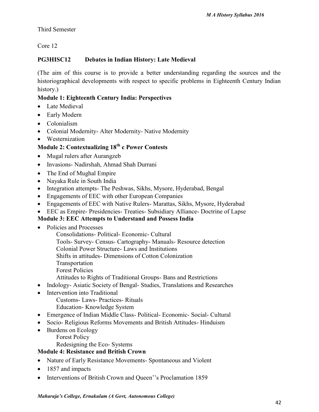# Third Semester

Core 12

# **PG3HISC12 Debates in Indian History: Late Medieval**

(The aim of this course is to provide a better understanding regarding the sources and the historiographical developments with respect to specific problems in Eighteenth Century Indian history.)

# **Module 1: Eighteenth Century India: Perspectives**

- Late Medieval
- Early Modern
- Colonialism
- Colonial Modernity- Alter Modernity- Native Modernity
- Westernization

# **Module 2: Contextualizing 18th c Power Contests**

- Mugal rulers after Aurangzeb
- Invasions- Nadirshah, Ahmad Shah Durrani
- The End of Mughal Empire
- Nayaka Rule in South India
- Integration attempts- The Peshwas, Sikhs, Mysore, Hyderabad, Bengal
- Engagements of EEC with other European Companies
- Engagements of EEC with Native Rulers- Marattas, Sikhs, Mysore, Hyderabad
- EEC as Empire- Presidencies- Treaties- Subsidiary Alliance- Doctrine of Lapse

# **Module 3: EEC Attempts to Understand and Possess India**

- Policies and Processes
	- Consolidations- Political- Economic- Cultural
	- Tools- Survey- Census- Cartography- Manuals- Resource detection
	- Colonial Power Structure- Laws and Institutions
	- Shifts in attitudes- Dimensions of Cotton Colonization
	- Transportation
	- Forest Policies
	- Attitudes to Rights of Traditional Groups- Bans and Restrictions
- Indology- Asiatic Society of Bengal- Studies, Translations and Researches
- Intervention into Traditional
	- Customs- Laws- Practices- Rituals
	- Education- Knowledge System
- Emergence of Indian Middle Class- Political- Economic- Social- Cultural
- Socio- Religious Reforms Movements and British Attitudes- Hinduism
- Burdens on Ecology
	- Forest Policy

Redesigning the Eco- Systems

# **Module 4: Resistance and British Crown**

- Nature of Early Resistance Movements- Spontaneous and Violent
- 1857 and impacts
- Interventions of British Crown and Queen''s Proclamation 1859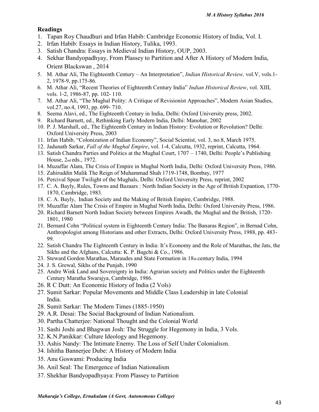- 1. Tapan Roy Chaudhuri and Irfan Habib: Cambridge Economic History of India, Vol. I.
- 2. Irfan Habib: Essays in Indian History, Tulika, 1993.
- 3. Satish Chandra: Essays in Medieval Indian History, OUP, 2003.
- 4. Sekhar Bandyopadhyay, From Plassey to Partition and After A History of Modern India, Orient Blackswan , 2014
- 5. M. Athar Ali, The Eighteenth Century An Interpretation", *Indian Historical Review,* vol.V, vols.1- 2, 1978-9, pp.175-86.
- 6. M. Athar Ali, "Recent Theories of Eighteenth Century India" *Indian Historical Review*, vol. XIII, vols. 1-2, 1986-87, pp. 102- 110.
- 7. M. Athar Ali, "The Mughal Polity: A Critique of Revisionist Approaches", Modern Asian Studies, vol.27, no.4, 1993, pp. 699- 710.
- 8. Seema Alavi, ed., The Eighteenth Century in India, Delhi: Oxford University press, 2002.
- 9. Richard Barnett, ed., Rethinking Early Modern India, Delhi: Manohar, 2002
- 10. P. J. Marshall, ed., The Eighteenth Century in Indian History: Evolution or Revolution? Delhi: Oxford University Press, 2003
- 11. Irfan Habib, "Colonization of Indian Economy", Social Scientist, vol. 3, no.8, March 1975.
- 12. Jadunath Sarkar, *Fall of the Mughal Empire*, vol. 1-4, Calcutta, 1932, reprint, Calcutta, 1964.
- 13. Satish Chandra Parties and Politics at the Mughal Court, 1707 1740, Delhi: People's Publishing House, 2nd eds., 1972.
- 14. Muzaffar Alam, The Crisis of Empire in Mughal North India, Delhi: Oxford University Press, 1986.
- 15. Zahiruddin Malik The Reign of Muhammad Shah 1719-1748, Bombay, 1977
- 16. Percival Spear Twilight of the Mughals, Delhi: Oxford University Press, reprint, 2002
- 17. C. A. Bayly, Rules, Towns and Bazaars : North Indian Society in the Age of British Expantion, 1770- 1870, Cambridge, 1983.
- 18. C. A. Bayly, Indian Society and the Making of British Empire, Cambridge, 1988.
- 19. Muzaffar Alam The Crisis of Empire in Mughal North India, Delhi: Oxford University Press, 1986.
- 20. Richard Barnett North Indian Society between Empires Awadh, the Mughal and the British, 1720- 1801, 1980
- 21. Bernard Cohn "Political system in Eighteenth Century India: The Banaras Region", in Bernad Cohn, Anthropologist among Historians and other Extracts, Delhi: Oxford University Press, 1988, pp. 483- 99.
- 22. Satish Chandra The Eighteenth Century in India: It's Economy and the Role of Marathas, the Jats, the Sikhs and the Afghans, Calcutta: K. P. Bagchi & Co., 1986.
- 23. Steward Gordon Marathas, Maraudes and State Formation in 18th century India, 1994
- 24. J. S. Grewal, Sikhs of the Punjab, 1990
- 25. Andre Wink Land and Sovereignty in India: Agrarian society and Politics under the Eighteenth Century Maratha Swarajya, Cambridge, 1986.
- 26. R C Dutt: An Economic History of India (2 Vols)
- 27. Sumit Sarkar: Popular Movements and Middle Class Leadership in late Colonial India.
- 28. Sumit Sarkar: The Modern Times (1885-1950)
- 29. A.R. Desai: The Social Background of Indian Nationalism.
- 30. Partha Chatterjee: National Thought and the Colonial World
- 31. Sashi Joshi and Bhagwan Josh: The Struggle for Hegemony in India, 3 Vols.
- 32. K.N.Panikkar: Culture Ideology and Hegemony.
- 33. Ashis Nandy: The Intimate Enemy. The Loss of Self Under Colonialism.
- 34. Ishitha Bannerjee Dube: A History of Modern India
- 35. Anu Goswami: Producing India
- 36. Anil Seal: The Emergence of Indian Nationalism
- 37. Shekhar Bandyopadhyaya: From Plassey to Partition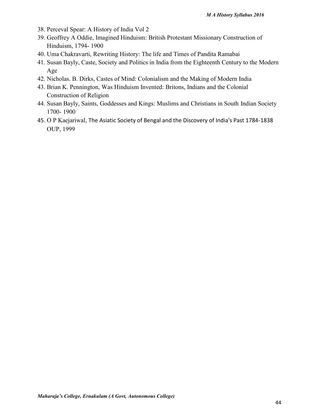- 38. Perceval Spear: A History of India Vol 2
- 39. Geoffrey A Oddie, Imagined Hinduism: British Protestant Missionary Construction of Hinduism, 1794- 1900
- 40. Uma Chakravarti, Rewriting History: The life and Times of Pandita Ramabai
- 41. Susan Bayly, Caste, Society and Politics in India from the Eighteenth Century to the Modern Age
- 42. Nicholas. B. Dirks, Castes of Mind: Colonialism and the Making of Modern India
- 43. Brian K. Pennington, Was Hinduism Invented: Britons, Indians and the Colonial Construction of Religion
- 44. Susan Bayly, Saints, Goddesses and Kings: Muslims and Christians in South Indian Society 1700- 1900
- 45. O P Kaejariwal, The Asiatic Society of Bengal and the Discovery of India's Past 1784-1838 OUP, 1999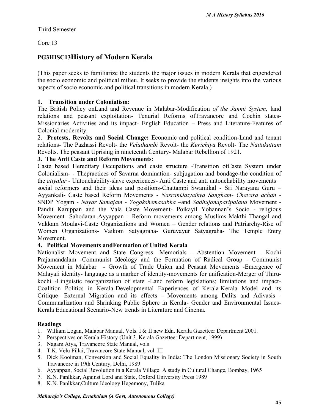## Third Semester

Core 13

# **PG3HISC13History of Modern Kerala**

(This paper seeks to familiarize the students the major issues in modern Kerala that engendered the socio economic and political milieu. It seeks to provide the students insights into the various aspects of socio economic and political transitions in modern Kerala.)

## **1. Transition under Colonialism:**

The British Policy onLand and Revenue in Malabar-Modification *of the Janmi System,* land relations and peasant exploitation- Tenurial Reforms ofTravancore and Cochin states- Missionaries Activities and its impact- English Education – Press and Literature-Features of Colonial modernity.

2. **Protests, Revolts and Social Change:** Economic and political condition-Land and tenant relations- The Pazhassi Revolt- the *Veluthambi* Revolt- the *Kurichiya* Revolt- The *Nattukuttam* Revolts. The peasant Uprising in nineteenth Century- Malabar Rebellion of 1921.

# **3. The Anti Caste and Reform Movements**:

Caste based Hereditary Occupations and caste structure *-*Transition ofCaste System under Colonialism- - Thepractices of Savarna domination- subjugation and bondage-the condition of the *atiyalar* - Untouchability-slave experiences- Anti Caste and anti untouchability movements – social reformers and their ideas and positions-Chattampi Swamikal - Sri Narayana Guru – Ayyankali- Caste based Reform Movements - *NasraniJatyaikya Sangham- Chavara achan -* SNDP Yogam - *Nayar Samajam* - *Yogakshemasabha* –and *Sadhujanaparipalana* Movement - Pandit Karuppan and the Vala Caste Movement- Poikayil Yohannan's Socio - religious Movement- Sahodaran Ayyappan – Reform movements among Muslims-Makthi Thangal and Vakkam Moulavi-Caste Organizations and Women – Gender relations and Patriarchy-Rise of Women Organizations- Vaikom Satyagraha- Guruvayur Satyagraha- The Temple Entry Movement.

## **4. Political Movements andFormation of United Kerala**

Nationalist Movement and State Congress- Memorials - Abstention Movement - Kochi Prajamandalam -Communist Ideology and the Formation of Radical Group - Communist Movement in Malabar **-** Growth of Trade Union and Peasant Movements *-*Emergence of Malayali identity- language as a marker of identity-movements for unification-Merger of Thiru kochi -Linguistic reorganization of state -Land reform legislations; limitations and impact- Coalition Politics in Kerala-Developmental Experiences of Kerala-Kerala Model and its Critique- External Migration and its effects - Movements among Dalits and Adivasis - Communalization and Shrinking Public Sphere in Kerala- Gender and Environmental Issues- Kerala Educational Scenario-New trends in Literature and Cinema.

## **Readings**

- 1. William Logan, Malabar Manual, Vols. I & II new Edn. Kerala Gazetteer Department 2001.
- 2. Perspectives on Kerala History (Unit 3, Kerala Gazetteer Department, 1999)
- 3. Nagam Aiya, Travancore State Manual, vols
- 4. T.K. Velu Pillai, Travancore State Manual, vol. III
- 5. Dick Kooiman, Conversion and Social Equality in India: The London Missionary Society in South Travancore in 19th Century, Delhi, 1989
- 6. Ayyappan, Social Revolution in a Kerala Village: A study in Cultural Change, Bombay, 1965
- 7. K.N. Panlkkar, Against Lord and State, Oxford University Press 1989
- 8. K.N. Panlkkar,Culture Ideology Hegemony, Tulika

#### *Maharaja's College, Ernakulam (A Govt, Autonomous College)*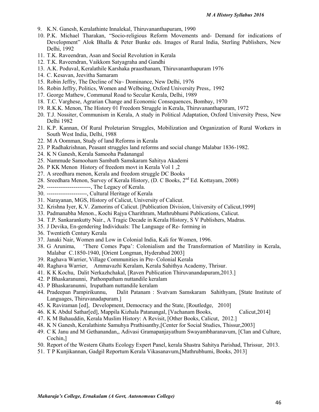- 9. K.N. Ganesh, Keralathinte Innalekal, Thiruvananthapuram, 1990
- 10. P.K. Michael Tharakan, "Socio-religious Reform Movements and- Demand for indications of Development" Alok Bhalla & Peter Bunke eds. Images of Rural India, Sterling Publishers, New Delhi, 1992
- 11. T.K. Raveendran, Asan and Social Revolution in Kerala
- 12. T.K. Raveendran, Vaikkom Satyagraha and Gandhi
- 13. A.K. Poduval, Keralathile Karshaka praasthanam, Thiruvananthapuram 1976
- 14. C. Kesavan, Jeevitha Samaram
- 15. Robin Jeffry, The Decline of Na~ Dominance, New Delhi, 1976
- 16. Robin Jeffry, Politics, Women and Welbeing, Oxford University Press,. 1992
- 17. George Mathew, Communal Road to Secular Kerala, Delhi, 1989
- 18. T.C. Varghese, Agrarian Change and Economic Consequences, Bombay, 1970
- 19. R.K.K. Menon, The History 01 Freedom Struggle in Kerala, Thiruvananthapuram, 1972
- 20. T.J. Nossiter, Communism in Kerala, A study in Political Adaptation, Oxford University Press, New Delhi 1982
- 21. K.P. Kannan, Of Rural Proletarian Struggles, Mobilization and Organization of Rural Workers in South West India, Delhi, 1988
- 22. M A Oomman, Study of land Reforms in Kerala
- 23. P Radhakrishnan, Peasant struggles land reforms and social change Malabar 1836-1982.
- 24. K N Ganesh, Kerala Samooha Padanangal
- 25. Nammude Samooham Sambath Samskaram Sahitya Akademi
- 26. P KK Menon History of freedom movt in Kerala Vol 1 ,2
- 27. A sreedhara menon, Kerala and freedom struggle DC Books
- 28. Sreedhara Menon, Survey of Kerala History, (D. C Books, 2<sup>nd</sup> Ed. Kottayam, 2008)
- 29. -----------------------, The Legacy of Kerala.
- 30. ---------------------, Cultural Heritage of Kerala
- 31. Narayanan, MGS, History of Calicut, University of Calicut.
- 32. Krishna Iyer, K.V. Zamorins of Calicut. [Publication Division, University of Calicut,1999]
- 33. Padmanabha Menon., Kochi Rajya Charithram, Mathrubhumi Publications, Calicut.
- 34. T.P. Sankarankutty Nair., A Tragic Decade in Kerala History, S V Publishers, Madras.
- 35. J Devika, En-gendering Individuals: The Language of Re- forming in
- 36. Twentieth Century Kerala
- 37. Janaki Nair, Women and Low in Colonial India, Kali for Women, 1996.
- 38. G Arunima, 'There Comes Papa': Colonialism and the Transformation of Matriliny in Kerala, Malabar C.1850-1940, [Orient Longman, Hyderabad 2003]
- 39. Raghava Warrier, Village Communities in Pre- Colonial Kerala
- 40. Raghava Warrier, Ammavazhi Keralam, Kerala Sahithya Academy, Thrisur.
- 41. K K Kochu, Dalit Nerkazhchakal, [Raven Publication Thiruvanandapuram,2013.]
- 42. P Bhaskaranunni, Pathonpatham nuttandile keralam
- 43. P Bhaskaranunni, Irupatham nuttandile keralam
- 44. Pradeepan Pampirikunnu, Dalit Patanam : Svatvam Samskaram Sahithyam, [State Institute of Languages, Thiruvanadapuram.]
- 45. K Raviraman [ed], Development, Democracy and the State, [Routledge, 2010]
- 46. K K Abdul Sathar[ed], Mappila Kizhala Patanangal, [Vachanam Books, Calicut,2014]
- 47. K M Bahauddin, Kerala Muslim History: A Revisit, [Other Books, Calicut, 2012.]
- 48. K N Ganesh, Keralathinte Samuhya Prathisanthy,[Center for Social Studies, Thissur,2003]
- 49. C K Janu and M Gethanandan,, Adivasi Gramapanjayathum Swayambharanavum, [Clan and Culture, Cochin,]
- 50. Report of the Western Ghatts Ecology Expert Panel, kerala Shastra Sahitya Parishad, Thrissur, 2013.
- 51. T P Kunjikannan, Gadgil Reportum Kerala Vikasanavum,[Mathrubhumi, Books, 2013]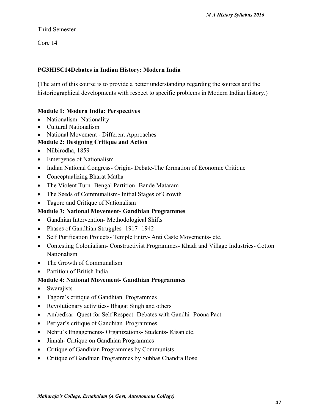# Third Semester

Core 14

# **PG3HISC14Debates in Indian History: Modern India**

(The aim of this course is to provide a better understanding regarding the sources and the historiographical developments with respect to specific problems in Modern Indian history.)

# **Module 1: Modern India: Perspectives**

- Nationalism- Nationality
- Cultural Nationalism
- National Movement Different Approaches

# **Module 2: Designing Critique and Action**

- Nilbirodha, 1859
- Emergence of Nationalism
- Indian National Congress- Origin- Debate-The formation of Economic Critique
- Conceptualizing Bharat Matha
- The Violent Turn- Bengal Partition- Bande Mataram
- The Seeds of Communalism Initial Stages of Growth
- Tagore and Critique of Nationalism

# **Module 3: National Movement- Gandhian Programmes**

- Gandhian Intervention-Methodological Shifts
- Phases of Gandhian Struggles- 1917-1942
- Self Purification Projects- Temple Entry-Anti Caste Movements- etc.
- Contesting Colonialism- Constructivist Programmes- Khadi and Village Industries- Cotton Nationalism
- The Growth of Communalism
- Partition of British India

# **Module 4: National Movement- Gandhian Programmes**

- Swarajists
- Tagore's critique of Gandhian Programmes
- Revolutionary activities- Bhagat Singh and others
- Ambedkar- Quest for Self Respect- Debates with Gandhi- Poona Pact
- Periyar's critique of Gandhian Programmes
- Nehru's Engagements- Organizations- Students- Kisan etc.
- Jinnah- Critique on Gandhian Programmes
- Critique of Gandhian Programmes by Communists
- Critique of Gandhian Programmes by Subhas Chandra Bose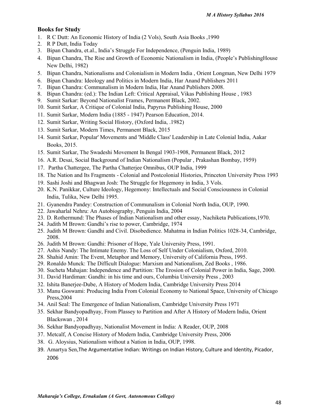#### **Books for Study**

- 1. R C Dutt: An Economic History of India (2 Vols), South Asia Books ,1990
- 2. R P Dutt, India Today
- 3. Bipan Chandra, et.al., India's Struggle For Independence, (Penguin India, 1989)
- 4. Bipan Chandra, The Rise and Growth of Economic Nationalism in India, (People's PublishingHouse New Delhi, 1982)
- 5. Bipan Chandra, Nationalisms and Colonialism in Modern India , Orient Longman, New Delhi 1979
- 6. Bipan Chandra: Ideology and Politics in Modern India, Har Anand Publishers 2011
- 7. Bipan Chandra: Communalism in Modern India, Har Anand Publishers 2008.
- 8. Bipan Chandra: (ed.): The Indian Left: Critical Appraisal, Vikas Publishing House , 1983
- 9. Sumit Sarkar: Beyond Nationalist Frames, Permanent Black, 2002.
- 10. Sumit Sarkar, A Critique of Colonial India, Papyrus Publishing House, 2000
- 11. Sumit Sarkar, Modern India (1885 1947) Pearson Education, 2014.
- 12. Sumit Sarkar, Writing Social History, (Oxford India, .1982)
- 13. Sumit Sarkar, Modern Times, Permanent Black, 2015
- 14. Sumit Sarkar, Popular' Movements and 'Middle Class' Leadership in Late Colonial India, Aakar Books, 2015.
- 15. Sumit Sarkar, The Swadeshi Movement In Bengal 1903-1908, Permanent Black, 2012
- 16. A.R. Desai, Social Background of Indian Nationalism (Popular , Prakashan Bombay, 1959)
- 17. Partha Chattergee, The Partha Chatterjee Omnibus, OUP India, 1999
- 18. The Nation and Its Fragments Colonial and Postcolonial Histories, Princeton University Press 1993
- 19. Sashi Joshi and Bhagwan Josh: The Struggle for Hegemony in India, 3 Vols.
- 20. K.N. Panikkar, Culture Ideology, Hegemony: Intellectuals and Social Consciousness in Colonial India, Tulika, New Delhi 1995.
- 21. Gyanendra Pandey: Construction of Communalism in Colonial North India, OUP, 1990.
- 22. Jawaharlal Nehru: An Autobiography, Penguin India, 2004
- 23. D. Rothermund: The Phases of Indian Nationalism and other essay, Nachiketa Publications,1970.
- 24. Judith M Brown: Gandhi's rise to power, Cambridge, 1974
- 25. Judith M Brown: Gandhi and Civil. Disobedience. Mahatma in Indian Politics 1028-34, Cambridge, 2008.
- 26. Judith M Brown: Gandhi: Prisoner of Hope, Yale University Press, 1991.
- 27. Ashis Nandy: The Intimate Enemy. The Loss of Self Under Colonialism, Oxford, 2010.
- 28. Shahid Amin: The Event, Metaphor and Memory, University of California Press, 1995.
- 29. Ronaldo Munck: The Difficult Dialogue: Marxism and Nationalism, Zed Books , 1986.
- 30. Sucheta Mahajan: Independence and Partition: The Erosion of Colonial Power in India, Sage, 2000.
- 31. David Hardiman: Gandhi: in his time and ours, Columbia University Press , 2003
- 32. Ishita Banerjee-Dube, A History of Modern India, Cambridge University Press 2014
- 33. Manu Goswami: Producing India From Colonial Economy to National Space, University of Chicago Press,2004
- 34. Anil Seal: The Emergence of Indian Nationalism, Cambridge University Press 1971
- 35. Sekhar Bandyopadhyay, From Plassey to Partition and After A History of Modern India, Orient Blackswan , 2014
- 36. Sekhar Bandyopadhyay, Nationalist Movement in India: A Reader, OUP, 2008
- 37. Metcalf, A Concise History of Modern India, Cambridge University Press, 2006
- 38. G. Aloysius, Nationalism without a Nation in India, OUP, 1998.
- 39. Amartya Sen,The Argumentative Indian: Writings on Indian History, Culture and Identity, Picador, 2006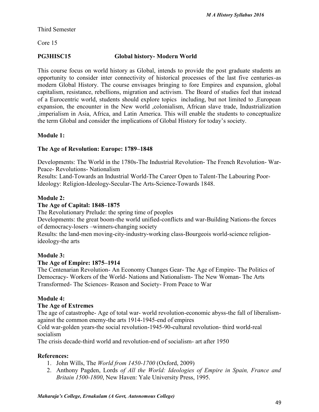Third Semester

Core 15

# **PG3HISC15 Global history- Modern World**

This course focus on world history as Global, intends to provide the post graduate students an opportunity to consider inter connectivity of historical processes of the last five centuries-as modern Global History. The course envisages bringing to fore Empires and expansion, global capitalism, resistance, rebellions, migration and activism. The Board of studies feel that instead of a Eurocentric world, students should explore topics including, but not limited to ,European expansion, the encounter in the New world ,colonialism, African slave trade, Industrialization ,imperialism in Asia, Africa, and Latin America. This will enable the students to conceptualize the term Global and consider the implications of Global History for today's society.

# **Module 1:**

# **The Age of Revolution: Europe: 1789–1848**

Developments: The World in the 1780s-The Industrial Revolution- The French Revolution- War- Peace- Revolutions- Nationalism

Results: Land-Towards an Industrial World-The Career Open to Talent-The Labouring Poor-Ideology: Religion-Ideology-Secular-The Arts-Science-Towards 1848.

# **Module 2:**

# **The Age of Capital: 1848–1875**

The Revolutionary Prelude: the spring time of peoples

Developments: the great boom-the world unified-conflicts and war-Building Nations-the forces of democracy-losers –winners-changing society

Results: the land-men moving-city-industry-working class-Bourgeois world-science religionideology-the arts

## **Module 3:**

## **The Age of Empire: 1875–1914**

The Centenarian Revolution- An Economy Changes Gear- The Age of Empire- The Politics of Democracy- Workers of the World- Nations and Nationalism- The New Woman- The Arts Transformed- The Sciences- Reason and Society- From Peace to War

## **Module 4:**

## **The Age of Extremes**

The age of catastrophe- Age of total war- world revolution-economic abyss-the fall of liberalism against the common enemy-the arts 1914-1945-end of empires

Cold war-golden years-the social revolution-1945-90-cultural revolution- third world-real socialism

The crisis decade-third world and revolution-end of socialism- art after 1950

# **References:**

- 1. John Wills, The *World from 1450-1700* (Oxford, 2009)
- 2. Anthony Pagden, Lords *of All the World: Ideologies of Empire in Spain, France and Britain 1500-1800*, New Haven: Yale University Press, 1995.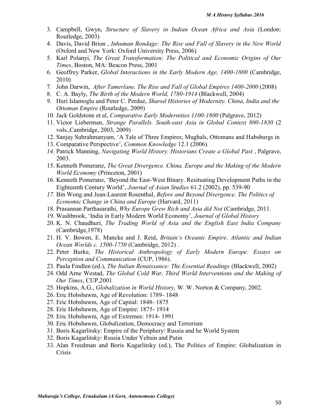- 3. Campbell, Gwyn, *Structure of Slavery in Indian Ocean Africa and Asia* (London: Routledge, 2003)
- 4. Davis, David Brion , *Inhuman Bondage: The Rise and Fall of Slavery in the New World* (Oxford and New York: Oxford University Press, 2006)
- 5. Karl Polanyi, *The Great Transformation: The Political and Economic Origins of Our Times*, Boston, MA: Beacon Press, 2001
- 6. Geoffrey Parker, *Global Interactions in the Early Modern Age, 1400-1800* (Cambridge, 2010)
- 7. John Darwin, *After Tamerlane. The Rise and Fall of Global Empires 1400-2000* (2008)
- 8. C. A. Bayly, *The Birth of the Modern World, 1780-1914* (Blackwell, 2004)
- *9.* Huri Islamoglu and Peter C. Perdue, *Shared Histories of Modernity. China, India and the Ottoman Empire* (Routledge, 2009)
- 10. Jack Goldstone et al, *Comparative Early Modernities 1100-1800* (Palgrave, 2012)
- 11. Victor Lieberman, *Strange Parallels. South-east Asia in Global Context 800-1830* (2 vols.,Cambridge, 2003, 2009)
- 12. Sanjay Subrahmanyam, 'A Tale of Three Empires; Mughals, Ottomans and Habsburgs in
- 13. Comparative Perspective', *Common Knowledge* 12.1 (2006).
- *14.* Patrick Manning, *Navigating World History. Historians Create a Global Past* , Palgrave, 2003.
- 15. Kenneth Pomeranz, *The Great Divergence. China, Europe and the Making of the Modern World Economy* (Princeton, 2001)
- 16. Kenneth Pomeranz, 'Beyond the East-West Binary. Resituating Development Paths in the Eighteenth Century World', *Journal of Asian Studies* 61.2 (2002), pp. 539-90
- *17.* Bin Wong and Jean-Laurent Rosenthal, *Before and Beyond Divergence. The Politics of Economic Change in China and Europe* (Harvard, 2011)
- 18. Prasannan Parthasarathi, *Why Europe Grew Rich and Asia did Not* (Cambridge, 2011.
- 19. Washbrook, 'India in Early Modern World Economy', *Journal of Global History*
- 20. K. N. Chaudhuri, *The Trading World of Asia and the English East India Company* (Cambridge,1978)
- 21. H. V. Bowen, E. Mancke and J. Reid, *Britain's Oceanic Empire*. *Atlantic and Indian Ocean Worlds c. 1500-1750* (Cambridge, 2012) .
- 22. Peter Burke, *The Historical Anthropology of Early Modern Europe: Essays on Perception and Communication* (CUP, 1986).
- 23. Paula Findlen (ed.), *The Italian Renaissance: The Essential Readings* (Blackwell, 2002)
- 24. Odd Arne Westad, *The Global Cold War, Third World Interventions and the Making of Our Times*, CUP,2001
- 25. Hopkins, A.G., *Globalization in World History,* W. W. Norton & Company, 2002.
- 26. Eric Hobsbawm, Age of Revolution: 1789- 1848
- 27. Eric Hobsbawm, Age of Capital: 1848- 1875
- 28. Eric Hobsbawm, Age of Empire: 1875- 1914
- 29. Eric Hobsbawm, Age of Extremes: 1914- 1991
- 30. Eric Hobsbawm, Globalization, Democracy and Terrorism
- 31. Boris Kagarlitsky: Empire of the Periphery: Russia and he World System
- 32. Boris Kagarlitsky: Russia Under Yeltsin and Putin
- 33. Alan Freedman and Boris Kagarlitsky (ed.), The Politics of Empire: Globalization in Crisis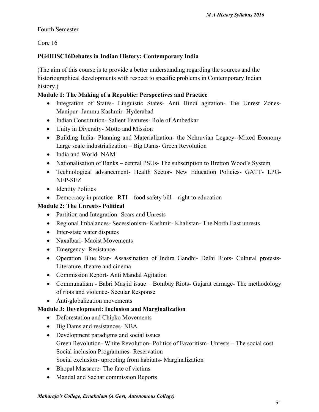## Fourth Semester

Core 16

# **PG4HISC16Debates in Indian History: Contemporary India**

(The aim of this course is to provide a better understanding regarding the sources and the historiographical developments with respect to specific problems in Contemporary Indian history.)

# **Module 1: The Making of a Republic: Perspectives and Practice**

- Integration of States- Linguistic States- Anti Hindi agitation- The Unrest Zones-Manipur- Jammu Kashmir- Hyderabad
- Indian Constitution- Salient Features- Role of Ambedkar
- Unity in Diversity- Motto and Mission
- Building India- Planning and Materialization- the Nehruvian Legacy--Mixed Economy Large scale industrialization – Big Dams- Green Revolution
- India and World- NAM
- Nationalisation of Banks central PSUs- The subscription to Bretton Wood's System
- Technological advancement- Health Sector- New Education Policies- GATT- LPG- NEP-SEZ
- Identity Politics
- Democracy in practice  $-RTI$  food safety bill right to education

# **Module 2: The Unrests- Political**

- Partition and Integration- Scars and Unrests
- Regional Imbalances- Secessionism- Kashmir- Khalistan- The North East unrests
- Inter-state water disputes
- Naxalbari- Maoist Movements
- Emergency-Resistance
- Operation Blue Star- Assassination of Indira Gandhi- Delhi Riots- Cultural protests- Literature, theatre and cinema
- Commission Report- Anti Mandal Agitation
- Communalism Babri Masjid issue Bombay Riots- Gujarat carnage- The methodology of riots and violence- Secular Response
- Anti-globalization movements

# **Module 3: Development: Inclusion and Marginalization**

- Deforestation and Chipko Movements
- Big Dams and resistances- NBA
- Development paradigms and social issues Green Revolution- White Revolution- Politics of Favoritism- Unrests – The social cost Social inclusion Programmes- Reservation Social exclusion- uprooting from habitats- Marginalization
- Bhopal Massacre- The fate of victims
- Mandal and Sachar commission Reports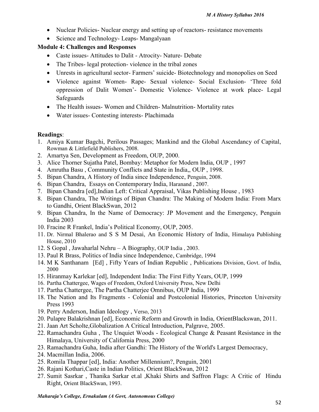- Nuclear Policies- Nuclear energy and setting up of reactors- resistance movements
- Science and Technology- Leaps- Mangalyaan

# **Module 4: Challenges and Responses**

- Caste issues Attitudes to Dalit Atrocity Nature Debate
- The Tribes- legal protection- violence in the tribal zones
- Unrests in agricultural sector- Farmers' suicide- Biotechnology and monopolies on Seed
- Violence against Women- Rape- Sexual violence- Social Exclusion- 'Three fold oppression of Dalit Women'- Domestic Violence- Violence at work place- Legal Safeguards
- The Health issues- Women and Children-Malnutrition-Mortality rates
- Water issues- Contesting interests- Plachimada

## **Readings**:

- 1. Amiya Kumar Bagchi, Perilous Passages; Mankind and the Global Ascendancy of Capital, Rowman & Littlefield Publishers, 2008.
- 2. Amartya Sen, Development as Freedom, OUP, 2000.
- 3. Alice Thorner Sujatha Patel, Bombay: Metaphor for Modern India, OUP , 1997
- 4. Amrutha Basu , Community Conflicts and State in India,, OUP , 1998.
- 5. Bipan Chandra, A History of India since Independence, Penguin, 2008.
- 6. Bipan Chandra, Essays on Contemporary India, Haranand , 2007.
- 7. Bipan Chandra [ed],Indian Left: Critical Appraisal, Vikas Publishing House , 1983
- 8. Bipan Chandra, The Writings of Bipan Chandra: The Making of Modern India: From Marx to Gandhi, Orient BlackSwan, 2012
- 9. Bipan Chandra, In the Name of Democracy: JP Movement and the Emergency, Penguin India 2003
- 10. Fracine R Frankel, India's Political Economy, OUP, 2005.
- 11. Dr. Nirmal Bhalerao and S S M Desai, An Economic History of India, Himalaya Publishing House, 2010
- 12. S Gopal , Jawaharlal Nehru A Biography, OUP India , 2003.
- 13. Paul R Brass, Politics of India since Independence, Cambridge, 1994
- 14. M K Santhanam [Ed] , Fifty Years of Indian Republic , Publications Division, Govt. of India, 2000
- 15. Hiranmay Karlekar [ed], Independent India: The First Fifty Years, OUP, 1999
- 16. Partha Chattergee, Wages of Freedom, Oxford University Press, New Delhi
- 17. Partha Chattergee, The Partha Chatterjee Omnibus, OUP India, 1999
- 18. The Nation and Its Fragments Colonial and Postcolonial Histories, Princeton University Press 1993
- 19. Perry Anderson, Indian Ideology , Verso, 2013
- 20. Pulapre Balakrishnan [ed], Economic Reform and Growth in India, OrientBlackswan, 2011.
- 21. Jaan Art Scholte,Globalization A Critical Introduction, Palgrave, 2005.
- 22. Ramachandra Guha , The Unquiet Woods Ecological Change & Peasant Resistance in the Himalaya, University of California Press, 2000
- 23. Ramachandra Guha, India after Gandhi: The History of the World's Largest Democracy,
- 24. Macmillan India, 2006.
- 25. Romila Thappar [ed], India: Another Millennium?, Penguin, 2001
- 26. Rajani Kothari,Caste in Indian Politics, Orient BlackSwan, 2012
- 27. Sumit Sasrkar , Thanika Sarkar et.al ,Khaki Shirts and Saffron Flags: A Critic of Hindu Right, Orient BlackSwan, 1993.

#### *Maharaja's College, Ernakulam (A Govt, Autonomous College)*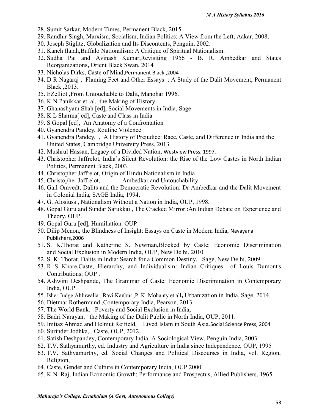- 28. Sumit Sarkar, Modern Times, Permanent Black, 2015
- 29. Randhir Singh, Marxism, Socialism, Indian Politics: A View from the Left, Aakar, 2008.
- 30. Joseph Stiglitz, Globalization and Its Discontents, Penguin, 2002.
- 31. Kanch Ilaiah,Buffalo Nationalism: A Critique of Spiritual Nationalism.
- 32. Sudha Pai and Avinash Kumar,Revisiting 1956 B. R. Ambedkar and States Reorganizations**,** Orient Black Swan, 2014
- 33. Nicholas Dirks, Caste of Mind,Permanent Black ,2004
- 34. D R Nagaraj , Flaming Feet and Other Essays : A Study of the Dalit Movement, Permanent Black ,2013.
- 35. EZelliot ,From Untouchable to Dalit, Manohar 1996.
- 36. K N Panikkar et. al, the Making of History
- 37. Ghanashyam Shah [ed], Social Movements in India, Sage
- 38. K L Sharma[ ed], Caste and Class in India
- 39. S Gopal [ed], An Anatomy of a Confrontation
- 40. Gyanendra Pandey, Routine Violence
- 41. Gyanendra Pandey, , A History of Prejudice: Race, Caste, and Difference in India and the United States, Cambridge University Press, 2013
- 42. Mushrul Hassan, Legacy of a Divided Nation, Westview Press, 1997.
- 43. Christopher Jaffrelot, India's Silent Revolution: the Rise of the Low Castes in North Indian Politics, Permanent Black, 2003.
- 44. Christopher Jaffrelot, Origin of Hindu Nationalism in India
- 45. Christopher Jaffrelot, Ambedkar and Untouchability
- 46. Gail Omvedt, Dalits and the Democratic Revolution: Dr Ambedkar and the Dalit Movement in Colonial India, SAGE India, 1994.
- 47. G. Alosiuss , Nationalism Without a Nation in India, OUP, 1998.
- 48. Gopal Guru and Sundar Sarukkai , The Cracked Mirror :An Indian Debate on Experience and Theory, OUP.
- 49. Gopal Guru [ed], Humiliation. OUP
- 50. Dilip Menon, the Blindness of Insight: Essays on Caste in Modern India, Navayana Publishers,2006
- 51. S. K.Thorat and Katherine S. Newman**,**Blocked by Caste: Economic Discrimination and Social Exclusion in Modern India, OUP, New Delhi, 2010
- 52. S. K. Thorat, Dalits in India: Search for a Common Destiny, Sage, New Delhi, 2009
- 53. R S Khare,Caste, Hierarchy, and Individualism: Indian Critiques of Louis Dumont's Contributions, OUP .
- 54. Ashwini Deshpande, The Grammar of Caste: Economic Discrimination in Contemporary India, OUP.
- 55. Isher Judge Ahluwalia , Ravi Kanbur ,P. K. Mohanty et all**,** Urbanization in India, Sage, 2014.
- 56. Dietmar Rothermund ,Contemporary India, Pearson, 2013.
- 57. The World Bank, Poverty and Social Exclusion in India,
- 58. Badri Narayan, the Making of the Dalit Public in North India, OUP, 2011.
- 59. Imtiaz Ahmad and Helmut Reifield, Lived Islam in South Asia.Social Science Press, 2004
- 60. Surinder Jodhka, Caste, OUP, 2012.
- 61. Satish Deshpandey, Contemporary India: A Sociological View, Penguin India, 2003
- 62. T.V. Sathyamurthy, ed. Industry and Agriculture in India since Independence, OUP, 1995
- 63. T.V. Sathyamurthy, ed. Social Changes and Political Discourses in India, vol. Region, Religion,
- 64. Caste, Gender and Culture in Contemporary India, OUP,2000.
- 65. K.N. Raj, Indian Economic Growth: Performance and Prospectus, Allied Publishers, 1965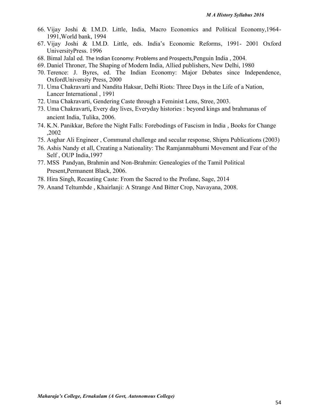- 66. Vijay Joshi & I.M.D. Little, India, Macro Economics and Political Economy,1964- 1991,World bank, 1994
- 67. Vijay Joshi & I.M.D. Little, eds. India's Economic Reforms, 1991- 2001 Oxford UniversityPress. 1996
- 68. Bimal Jalal ed. The Indian Economy: Problems and Prospects,Penguin India , 2004.
- 69. Daniel Throner, The Shaping of Modern India, Allied publishers, New Delhi, 1980
- 70. Terence: J. Byres, ed. The Indian Economy: Major Debates since Independence, OxfordUniversity Press, 2000
- 71. Uma Chakravarti and Nandita Haksar, Delhi Riots: Three Days in the Life of a Nation, Lancer International , 1991
- 72. Uma Chakravarti, Gendering Caste through a Feminist Lens, Stree, 2003.
- 73. Uma Chakravarti**,** Every day lives, Everyday histories : beyond kings and brahmanas of ancient India, Tulika, 2006.
- 74. K.N. Panikkar, Before the Night Falls: Forebodings of Fascism in India , Books for Change ,2002
- 75. Asghar Ali Engineer , Communal challenge and secular response, Shipra Publications (2003)
- 76. Ashis Nandy et all, Creating a Nationality: The Ramjanmabhumi Movement and Fear of the Self , OUP India,1997
- 77. MSS Pandyan, Brahmin and Non-Brahmin: Genealogies of the Tamil Political Present,Permanent Black, 2006.
- 78. Hira Singh, Recasting Caste: From the Sacred to the Profane, Sage, 2014
- 79. Anand Teltumbde , Khairlanji: A Strange And Bitter Crop, Navayana, 2008.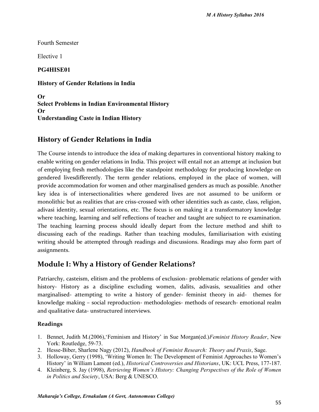Fourth Semester

Elective 1

**PG4HISE01**

**History of Gender Relations in India**

**Or Select Problems in Indian Environmental History Or Understanding Caste in Indian History**

# **History of Gender Relations in India**

The Course intends to introduce the idea of making departures in conventional history making to enable writing on gender relations in India. This project will entail not an attempt at inclusion but of employing fresh methodologies like the standpoint methodology for producing knowledge on gendered livesdifferently. The term gender relations, employed in the place of women, will provide accommodation for women and other marginalised genders as much as possible. Another key idea is of intersectionalities where gendered lives are not assumed to be uniform or monolithic but as realities that are criss-crossed with other identities such as caste, class, religion, adivasi identity, sexual orientations, etc. The focus is on making it a transformatory knowledge where teaching, learning and self reflections of teacher and taught are subject to re examination. The teaching learning process should ideally depart from the lecture method and shift to discussing each of the readings. Rather than teaching modules, familiarisation with existing writing should be attempted through readings and discussions. Readings may also form part of assignments.

# **Module I: Why a History of Gender Relations?**

Patriarchy, casteism, elitism and the problems of exclusion- problematic relations of gender with history- History as a discipline excluding women, dalits, adivasis, sexualities and other marginalised- attempting to write a history of gender- feminist theory in aid- themes for knowledge making – social reproduction- methodologies- methods of research- emotional realm and qualitative data- unstructured interviews.

- 1. Bennet, Judith M.(2006),'Feminism and History' in Sue Morgan(ed.)*Feminist History Reader*, New York: Routledge, 59-73.
- 2. Hesse-Biber, Sharlene Nagy (2012), *Handbook of Feminist Research: Theory and Praxis*, Sage.
- 3. Holloway, Gerry (1998), 'Writing Women In: The Development of Feminist Approaches to Women's History' in William Lamont (ed.), *Historical Controversies and Historians*, UK: UCL Press, 177-187.
- 4. Kleinberg, S. Jay (1998), *Retrieving Women's History: Changing Perspectives of the Role of Women in Politics and Society*, USA: Berg & UNESCO.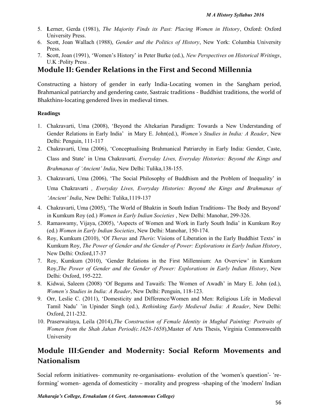- 5. **L**erner, Gerda (1981), *The Majority Finds its Past: Placing Women in History*, Oxford: Oxford University Press.
- 6. Scott, Joan Wallach (1988), *Gender and the Politics of History*, New York: Columbia University Press.
- 7. **S**cott, Joan (1991), 'Women's History' in Peter Burke (ed.), *New Perspectives on Historical Writings*, U.K :Polity Press .

# **Module II: Gender Relations in the First and Second Millennia**

Constructing a history of gender in early India-Locating women in the Sangham period, Brahmanical patriarchy and gendering caste, Sastraic traditions - Buddhist traditions, the world of Bhakthins-locating gendered lives in medieval times.

### **Readings**

- 1. Chakravarti, Uma (2008), 'Beyond the Altekarian Paradigm: Towards a New Understanding of Gender Relations in Early India' in Mary E. John(ed.), *Women's Studies in India: A Reader*, New Delhi: Penguin, 111-117
- 2. Chakravarti, Uma (2006), 'Conceptualising Brahmanical Patriarchy in Early India: Gender, Caste, Class and State' in Uma Chakravarti*, Everyday Lives, Everyday Histories: Beyond the Kings and Brahmanas of 'Ancient' India*, New Delhi: Tulika,138-155.
- 3. Chakravarti, Uma (2006), 'The Social Philosophy of Buddhism and the Problem of Inequality' in Uma Chakravarti *, Everyday Lives, Everyday Histories: Beyond the Kings and Brahmanas of 'Ancient' India*, New Delhi: Tulika,1119-137
- 4. Chakravarti, Uma (2005), 'The World of Bhaktin in South Indian Traditions- The Body and Beyond' in Kumkum Roy (ed.) *Women in Early Indian Societies* , New Delhi: Manohar, 299-326.
- 5. Ramaswamy, Vijaya, (2005), 'Aspects of Women and Work in Early South India' in Kumkum Roy (ed.) *Women in Early Indian Societies*, New Delhi: Manohar, 150-174.
- 6. Roy, Kumkum (2010), 'Of *Theras* and *Theris*: Visions of Liberation in the Early Buddhist Texts' in Kumkum Roy, *The Power of Gender and the Gender of Power: Explorations in Early Indian History*, New Delhi: Oxford,17-37
- 7. Roy, Kumkum (2010), 'Gender Relations in the First Millennium: An Overview' in Kumkum Roy,*The Power of Gender and the Gender of Power: Explorations in Early Indian History*, New Delhi: Oxford, 195-222.
- 8. Kidwai, Saleem (2008) 'Of Begums and Tawaifs: The Women of Awadh' in Mary E. John (ed.), *Women's Studies in India: A Reader*, New Delhi: Penguin, 118-123.
- 9. Orr, Leslie C. (2011), 'Domesticity and Difference/Women and Men: Religious Life in Medieval Tamil Nadu' 'in Upinder Singh (ed.), *Rethinking Early Medieval India: A Reader*, New Delhi: Oxford, 211-232.
- 10. Praserwaitaya, Leila (2014),*The Construction of Female Identity in Mughal Painting: Portraits of Women from the Shah Jahan Period(c.1628-1658*),Master of Arts Thesis, Virginia Commonwealth University

# **Module III:Gender and Modernity: Social Reform Movements and Nationalism**

Social reform initiatives- community re-organisations- evolution of the 'women's question'- 'reforming' women- agenda of domesticity – morality and progress -shaping of the 'modern' Indian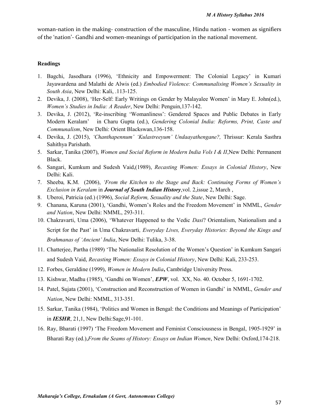woman-nation in the making- construction of the masculine, Hindu nation - women as signifiers of the 'nation'- Gandhi and women-meanings of participation in the national movement.

- 1. Bagchi, Jasodhara (1996), 'Ethnicity and Empowerment: The Colonial Legacy' in Kumari Jayawardena and Malathi de Alwis (ed.) *Embodied Violence: Communalising Women's Sexuality in South Asia*, New Delhi: Kali, .113-125.
- 2. Devika, J. (2008), 'Her-Self: Early Writings on Gender by Malayalee Women' in Mary E. John(ed.), *Women's Studies in India: A Reader*, New Delhi: Penguin,137-142.
- 3. Devika, J. (2012), 'Re-inscribing 'Womanliness': Gendered Spaces and Public Debates in Early Modern Keralam' in Charu Gupta (ed.), *Gendering Colonial India: Reforms, Print, Caste and Communalism*, New Delhi: Orient Blackswan,136-158.
- 4. Devika, J. (2015), *'Chanthapennum' 'Kulastreeyum' Undaayathengane?,* Thrissur: Kerala Sasthra Sahithya Parishath.
- 5. Sarkar, Tanika (2007), *Women and Social Reform in Modern India Vols I & II*,New Delhi: Permanent Black.
- 6. Sangari, Kumkum and Sudesh Vaid,(1989), *Recasting Women: Essays in Colonial History*, New Delhi: Kali.
- 7. Sheeba*,* K.M. (2006), *'From the Kitchen to the Stage and Back: Continuing Forms of Women's Exclusion in Keralam* in *Journal of South Indian History*,vol. 2,issue 2, March ,
- 8. Uberoi, Patricia (ed.) (1996), *Social Reform, Sexuality and the State*, New Delhi: Sage.
- 9. Chanana, Karuna (2001), 'Gandhi, Women's Roles and the Freedom Movement' in NMML, *Gender and Nation*, New Delhi: NMML, 293-311.
- 10. Chakravarti, Uma (2006), 'Whatever Happened to the Vedic *Dasi*? Orientalism, Nationalism and a Script for the Past' in Uma Chakravarti*, Everyday Lives, Everyday Histories: Beyond the Kings and Brahmanas of 'Ancient' India*, New Delhi: Tulika, 3-38.
- 11. Chatterjee, Partha (1989) 'The Nationalist Resolution of the Women's Question' in Kumkum Sangari and Sudesh Vaid, *Recasting Women: Essays in Colonial History*, New Delhi: Kali, 233-253.
- 12. Forbes, Geraldine (1999), *Women in Modern India***,** Cambridge University Press.
- 13. Kishwar, Madhu (1985), 'Gandhi on Women', *EPW*, vol. XX, No. 40. October 5, 1691-1702.
- 14. Patel, Sujata (2001), 'Construction and Reconstruction of Women in Gandhi' in NMML, *Gender and Nation*, New Delhi: NMML, 313-351.
- 15. Sarkar, Tanika (1984), 'Politics and Women in Bengal: the Conditions and Meanings of Participation' in *IESHR*, 21,1, New Delhi:Sage,91-101.
- 16. Ray, Bharati (1997) 'The Freedom Movement and Feminist Consciousness in Bengal, 1905-1929' in Bharati Ray (ed.),*From the Seams of History: Essays on Indian Women*, New Delhi: Oxford,174-218.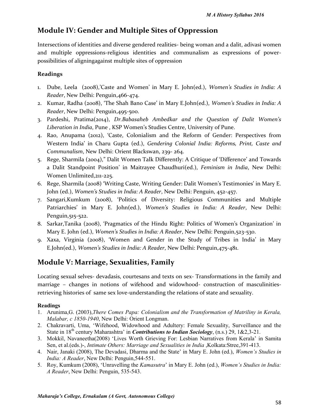# **Module IV: Gender and Multiple Sites of Oppression**

Intersections of identities and diverse gendered realities- being woman and a dalit, adivasi women and multiple oppressions-religious identities and communalism as expressions of power possibilities of aligningagainst multiple sites of oppression

## **Readings**

- 1. Dube, Leela (2008),'Caste and Women' in Mary E. John(ed.), *Women's Studies in India: A Reader*, New Delhi: Penguin,466-474.
- 2. Kumar, Radha (2008), 'The Shah Bano Case' in Mary E.John(ed.), *Women's Studies in India: A Reader*, New Delhi: Penguin,495-500.
- 3. Pardeshi, Pratima(2014), *Dr.Babasaheb Ambedkar and the Question of Dalit Women's Liberation in India*, Pune , KSP Women's Studies Centre, University of Pune.
- 4. Rao, Anupama (2012), 'Caste, Colonialism and the Reform of Gender: Perspectives from Western India' in Charu Gupta (ed.), *Gendering Colonial India: Reforms, Print, Caste and Communalism*, New Delhi: Orient Blackswan, 239- 264.
- 5. Rege, Sharmila (2004)," Dalit Women Talk Differently: A Critique of 'Difference' and Towards a Dalit Standpoint Position' in Maitrayee Chaudhuri(ed.), *Feminism in India*, New Delhi: Women Unlimited,211-225.
- 6. Rege, Sharmila (2008) 'Writing Caste, Writing Gender: Dalit Women's Testimonies' in Mary E. John (ed.), *Women's Studies in India: A Reader*, New Delhi: Penguin, 452-457.
- 7. Sangari,Kumkum (2008), 'Politics of Diversity: Religious Communities and Multiple Patriarchies' in Mary E. John(ed.), *Women's Studies in India: A Reader*, New Delhi: Penguin,515-522.
- 8. Sarkar,Tanika (2008), 'Pragmatics of the Hindu Right: Politics of Women's Organization' in Mary E. John (ed.), *Women's Studies in India: A Reader*, New Delhi: Penguin,523-530.
- 9. Xaxa, Virginia (2008), 'Women and Gender in the Study of Tribes in India' in Mary E.John(ed.), *Women's Studies in India: A Reader*, New Delhi: Penguin,475-481.

# **Module V: Marriage, Sexualities, Family**

Locating sexual selves- devadasis, courtesans and texts on sex- Transformations in the family and marriage – changes in notions of wifehood and widowhood- construction of masculinities retrieving histories of same sex love-understanding the relations of state and sexuality.

- 1. Arunima,G. (2003),*There Comes Papa: Colonialism and the Transformation of Matriliny in Kerala, Malabar, c 1850-1940*, New Delhi: Orient Longman.
- 2. Chakravarti, Uma, 'Wifehood, Widowhood and Adultery: Female Sexuality, Surveillance and the State in 18<sup>th</sup> century Maharashtra' in *Contributions to Indian Sociology*, (n.s.) 29, 1&2,3-21.
- 3. Mokkil, Navaneetha(2008) 'Lives Worth Grieving For: Lesbian Narratives from Kerala' in Samita Sen, et al.(eds.)-, *Intimate Others: Marriage and Sexualities in India* ,Kolkata:Stree,391-413.
- 4. Nair, Janaki (2008), The Devadasi, Dharma and the State' in Mary E. John (ed.), *Women's Studies in India: A Reader*, New Delhi: Penguin,544-551.
- 5. Roy, Kumkum (2008), 'Unravelling the *Kamasutra*' in Mary E. John (ed.), *Women's Studies in India: A Reader*, New Delhi: Penguin, 535-543.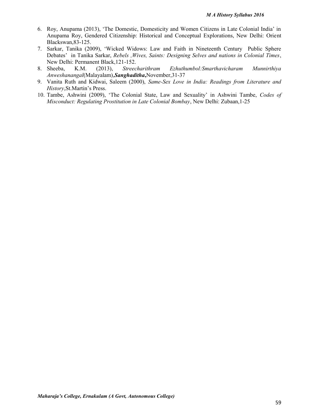- 6. Roy, Anupama (2013), 'The Domestic, Domesticity and Women Citizens in Late Colonial India' in Anupama Roy, Gendered Citizenship: Historical and Conceptual Explorations, New Delhi: Orient Blackswan,83-125.
- 7. Sarkar, Tanika (2009), 'Wicked Widows: Law and Faith in Nineteenth Century Public Sphere Debates' in Tanika Sarkar, *Rebels ,Wives, Saints: Designing Selves and nations in Colonial Times*, New Delhi: Permanent Black, 121-152.<br>8. Sheeba, K.M. (2013), Streecharithram
- 8. Sheeba, K.M. (2013), *Streecharithram Ezhuthumbol:Smarthavicharam Munnirthiya Anweshanangal*(Malayalam),*Sanghaditha***,**November,31-37
- 9. Vanita Ruth and Kidwai, Saleem (2000), *Same-Sex Love in India: Readings from Literature and History*,St.Martin's Press.
- 10. Tambe, Ashwini (2009), 'The Colonial State, Law and Sexuality' in Ashwini Tambe, *Codes of Misconduct: Regulating Prostitution in Late Colonial Bombay*, New Delhi: Zubaan,1-25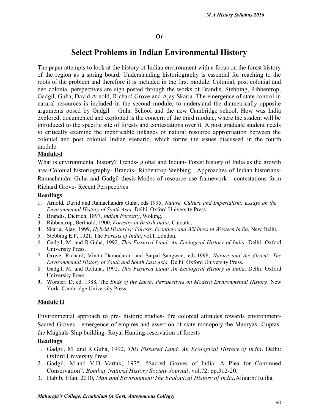# **Select Problems in Indian Environmental History**

The paper attempts to look at the history of Indian environment with a focus on the forest history of the region as a spring board. Understanding historiography is essential for reaching to the roots of the problem and therefore it is included in the first module. Colonial, post colonial and neo colonial perspectives are sign posted through the works of Brandis, Stebbing, Ribbentrop, Gadgil, Guha, David Arnold, Richard Grove and Ajay Skaria. The emergence of state control in natural resources is included in the second module, to understand the diametrically opposite arguments posed by Gadgil – Guha School and the new Cambridge school. How was India explored, documented and exploited is the concern of the third module, where the student will be introduced to the specific site of forests and contestations over it. A post graduate student needs to critically examine the inextricable linkages of natural resource appropriation between the colonial and post colonial Indian scenario, which forms the issues discussed in the fourth module.

#### **Module-I**

What is environmental history? Trends- global and Indian- Forest history of India as the growth area-Colonial historiography- Brandis- Ribbentrop-Stebbing , Approaches of Indian historians- Ramachandra Guha and Gadgil thesis-Modes of resource use framework- contestations form Richard Grove- Recent Perspectives

#### **Readings**

- 1. Arnold, David and Ramachandra Guha, eds.1995, *Nature, Culture and Imperialism: Essays on the Environmental History of South Asia.* Delhi: Oxford University Press.
- 2. Brandis, Dietrich, 1897, *Indian Forestry*, Woking.
- 3. Ribbentrop, Berthold, 1900, *Forestry in British India,* Calcutta.
- 4. Skaria, Ajay, 1999, *Hybrid Histories: Forests, Frontiers and Wildness in Western India,* New Delhi.
- 5. Stebbing E.P, 1921, The *Forests of India*, vol.I, London.
- 6. Gadgil, M. and R.Guha, 1992, *This Fissured Land: An Ecological History of India*. Delhi: Oxford University Press.
- 7. Grove, Richard, Vinita Damodaran and Satpal Sangwan, eds.1998, *Nature and the Orient: The Environmental History of South and South East Asia.* Delhi: Oxford University Press.
- 8. Gadgil, M. and R.Guha, 1992, *This Fissured Land: An Ecological History of India*. Delhi: Oxford University Press.
- **9.** Worster, D, ed, 1988, The *Ends of the Earth: Perspectives on Modern Environmental History*. New York: Cambridge University Press.

#### **Module II**

Environmental approach to pre- historic studies- Pre colonial attitudes towards environment- Sacred Groves- emergence of empires and assertion of state monopoly-the Mauryas- Guptasthe Mughals-Ship building- Royal Hunting-reservation of forests

- 1. Gadgil, M. and R.Guha, 1992, *This Fissured Land: An Ecological History of India*. Delhi: Oxford University Press.
- 2. Gadgil, M.and V.D Vartak, 1975, "Sacred Groves of India: A Plea for Continued Conservation". *Bombay Natural History Society Journal*, vol.72, pp.312-20.
- 3. Habib, Irfan, 2010, *Man and Environment:The Ecological History of India*,Aligarh:Tulika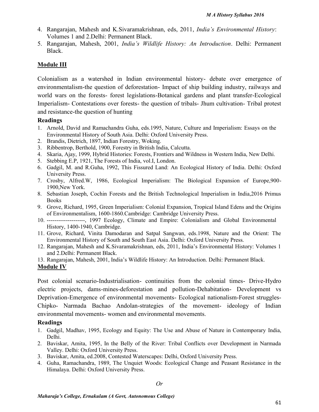- 4. Rangarajan, Mahesh and K.Sivaramakrishnan, eds, 2011, *India's Environmental History*: Volumes 1 and 2.Delhi: Permanent Black.
- 5. Rangarajan, Mahesh, 2001, *India's Wildlife History: An Introduction*. Delhi: Permanent Black.

# **Module III**

Colonialism as a watershed in Indian environmental history- debate over emergence of environmentalism-the question of deforestation- Impact of ship building industry, railways and world wars on the forests- forest legislations-Botanical gardens and plant transfer-Ecological Imperialism- Contestations over forests- the question of tribals- Jhum cultivation- Tribal protest and resistance-the question of hunting

### **Readings**

- 1. Arnold, David and Ramachandra Guha, eds.1995, Nature, Culture and Imperialism: Essays on the Environmental History of South Asia. Delhi: Oxford University Press.
- 2. Brandis, Dietrich, 1897, Indian Forestry, Woking.
- 3. Ribbentrop, Berthold, 1900, Forestry in British India, Calcutta.
- 4. Skaria, Ajay, 1999, Hybrid Histories: Forests, Frontiers and Wildness in Western India, New Delhi.
- 5. Stebbing E.P, 1921, The Forests of India, vol.I, London.
- 6. Gadgil, M. and R.Guha, 1992, This Fissured Land: An Ecological History of India. Delhi: Oxford University Press.
- 7. Crosby, Alfred.W, 1986, Ecological Imperialism: The Biological Expansion of Europe,900- 1900,New York.
- 8. Sebastian Joseph, Cochin Forests and the British Technological Imperialism in India,2016 Primus Books
- 9. Grove, Richard, 1995, Green Imperialism: Colonial Expansion, Tropical Island Edens and the Origins of Environmentalism, 1600-1860.Cambridge: Cambridge University Press.
- 10. --------------------, 1997 Ecology, Climate and Empire: Colonialism and Global Environmental History, 1400-1940, Cambridge.
- 11. Grove, Richard, Vinita Damodaran and Satpal Sangwan, eds.1998, Nature and the Orient: The Environmental History of South and South East Asia. Delhi: Oxford University Press.
- 12. Rangarajan, Mahesh and K.Sivaramakrishnan, eds, 2011, India's Environmental History: Volumes 1 and 2.Delhi: Permanent Black.
- 13. Rangarajan, Mahesh, 2001, India's Wildlife History: An Introduction. Delhi: Permanent Black.

## **Module IV**

Post colonial scenario-Industrialisation- continuities from the colonial times- Drive-Hydro electric projects, dams-mines-deforestation and pollution-Dehabitation- Development vs Deprivation-Emergence of environmental movements- Ecological nationalism-Forest struggles- Chipko- Narmada Bachao Andolan-strategies of the movement- ideology of Indian environmental movements- women and environmental movements.

- 1. Gadgil, Madhav, 1995, Ecology and Equity: The Use and Abuse of Nature in Contemporary India, Delhi.
- 2. Baviskar, Amita, 1995, In the Belly of the River: Tribal Conflicts over Development in Narmada Valley. Delhi: Oxford University Press.
- 3. Baviskar, Amita, ed.2008, Contested Waterscapes: Delhi, Oxford University Press.
- 4. Guha, Ramachandra, 1989, The Unquiet Woods: Ecological Change and Peasant Resistance in the Himalaya. Delhi: Oxford University Press.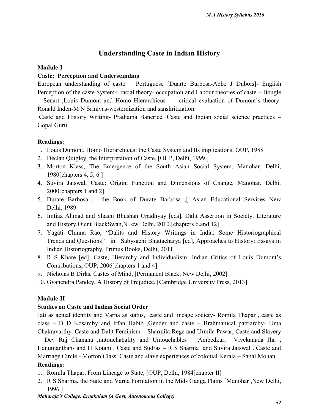# **Understanding Caste in Indian History**

## **Module-I**

# **Caste: Perception and Understanding**

European understanding of caste – Portuguese [Duarte Burbosa-Abbe J Dubois]- English Perception of the caste System- racial theory- occupation and Labour theories of caste – Bougle – Senart ,Louis Dumont and Homo Hierarchicus - critical evaluation of Dumont's theory- Ronald Inden-M N Srinivas-westernization and sanskritization.

Caste and History Writing- Prathama Banerjee, Caste and Indian social science practices – Gopal Guru.

# **Readings:**

- 1. Louis Dumont, Homo Hierarchicus: the Caste System and Its implications, OUP, 1988
- 2. Declan Quigley, the Interpretation of Caste, [OUP, Delhi, 1999.]
- 3. Morton Klass, The Emergence of the South Asian Social System, Manohar, Delhi, 1980[chapters 4, 5, 6.]
- 4. Suvira Jaiswal, Caste: Origin, Function and Dimensions of Change, Manohar, Delhi, 2000[chapters 1 and 2]
- 5. Durate Barbosa , the Book of Durate Barbosa ,[ Asian Educational Services New Delhi,.1989
- 6. Imtiaz Ahmad and Shashi Bhushan Upadhyay [eds], Dalit Assertion in Society, Literature and History,Oient BlackSwan,N ew Delhi, 2010.[chapters 6.and 12]
- 7. Yagati Chinna Rao, "Dalits and History Writings in India: Some Historiographical Trends and Questions" in Sabysachi Bhattacharya [ed], Approaches to History: Essays in Indian Historiography, Primus Books, Delhi, 2011.
- 8. R S Khare [ed], Caste, Hierarchy and Individualism: Indian Critics of Louis Dumont's Contributions, OUP, 2006[chapters 1 and 4]
- 9. Nicholas B Dirks, Castes of Mind, [Permanent Black, New Delhi, 2002]
- 10. Gyanendra Pandey, A History of Prejudice, [Cambridge University Press, 2013]

# **Module-II**

## **Studies on Caste and Indian Social Order**

Jati as actual identity and Varna as status, caste and lineage society- Romila Thapar , caste as class – D D Kosamby and Irfan Habib ,Gender and caste – Brahmanical patriarchy- Uma Chakravarthy. Caste and Dalit Feminism – Sharmila Rege and Urmila Pawar, Caste and Slavery – Dev Raj Chanana ,untouchabality and Untouchables – Ambedkar, Vivekanada Jha , Hanumanthan- and H Kotani , Caste and Sudras – R S Sharma and Suvira Jaiswal . Caste and Marriage Circle - Morton Class. Caste and slave experiences of colonial Kerala – Sanal Mohan. **Readings:**

- 1. Romila Thapar, From Lineage to State, [OUP, Delhi, 1984[chapter II]
- 2. R S Sharma, the State and Varna Formation in the Mid- Ganga Plains [Manohar ,New Delhi, 1996.]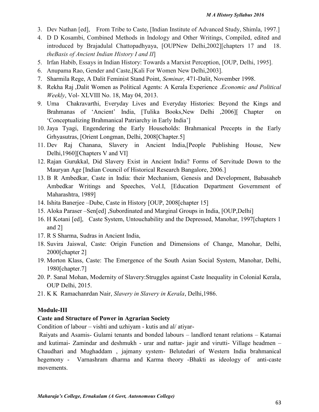- 3. Dev Nathan [ed], From Tribe to Caste, [Indian Institute of Advanced Study, Shimla, 1997.]
- 4. D D Kosambi, Combined Methods in Indology and Other Writings, Compiled, edited and introduced by Brajadulal Chattopadhyaya, [OUPNew Delhi,2002][chapters 17 and 18. *theBasis of Ancient Indian History I and II*]
- 5. Irfan Habib, Essays in Indian History: Towards a Marxist Perception, [OUP, Delhi, 1995].
- 6. Anupama Rao, Gender and Caste,[Kali For Women New Delhi,2003].
- 7. Sharmila Rege, A Dalit Feminist Stand Point, *Seminar,* 471-Dalit, November 1998.
- 8. Rekha Raj ,Dalit Women as Political Agents: A Kerala Experience .*Economic and Political Weekly*, Vol- XLVIII No. 18, May 04, 2013.
- 9. Uma Chakravarthi, Everyday Lives and Everyday Histories: Beyond the Kings and Brahmanas of 'Ancient' India, [Tulika Books,New Delhi ,2006][ Chapter on 'Conceptualizing Brahmanical Patriarchy in Early India']
- 10. Jaya Tyagi, Engendering the Early Households: Brahmanical Precepts in the Early Grhyasutras, [Orient Longman, Delhi, 2008[Chapter.5]
- 11. Dev Raj Chanana, Slavery in Ancient India,[People Publishing House, New Delhi,1960][Chapters V and VI]
- 12. Rajan Gurukkal, Did Slavery Exist in Ancient India? Forms of Servitude Down to the Mauryan Age [Indian Council of Historical Research Bangalore, 2006.]
- 13. B R Ambedkar, Caste in India: their Mechanism, Genesis and Development, Babasaheb Ambedkar Writings and Speeches, Vol.I, [Education Department Government of Maharashtra, 1989]
- 14. Ishita Banerjee –Dube, Caste in History [OUP, 2008[chapter 15]
- 15. Aloka Paraser –Sen[ed] ,Subordinated and Marginal Groups in India, [OUP,Delhi]
- 16. H Kotani [ed], Caste System, Untouchability and the Depressed, Manohar, 1997[chapters 1 and 2]
- 17. R S Sharma, Sudras in Ancient India,
- 18. Suvira Jaiswal, Caste: Origin Function and Dimensions of Change, Manohar, Delhi, 2000[chapter 2]
- 19. Morton Klass, Caste: The Emergence of the South Asian Social System, Manohar, Delhi, 1980[chapter.7]
- 20. P. Sanal Mohan, Modernity of Slavery:Struggles against Caste Inequality in Colonial Kerala, OUP Delhi, 2015.
- 21. K K Ramachanrdan Nair, *Slavery in Slavery in Kerala*, Delhi,1986.

## **Module-III**

## **Caste and Structure of Power in Agrarian Society**

Condition of labour – vishti and uzhiyam - kutis and al/ atiyar-

Raiyats and Asamis- Gulami tenants and bonded labours – landlord tenant relations – Katamai and kutimai- Zamindar and deshmukh - urar and nattar- jagir and virutti- Village headmen – Chaudhari and Mughaddam , jajmany system- Belutedari of Western India brahmanical hegemony - Varnashram dharma and Karma theory -Bhakti as ideology of anti-caste movements.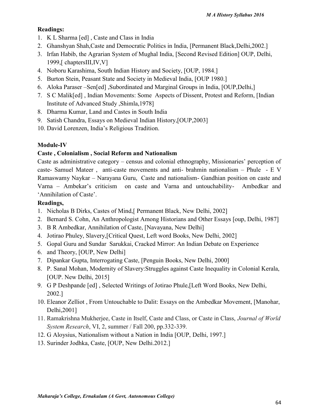# **Readings:**

- 1. K L Sharma [ed] , Caste and Class in India
- 2. Ghanshyan Shah,Caste and Democratic Politics in India, [Permanent Black,Delhi,2002.]
- 3. Irfan Habib, the Agrarian System of Mughal India, [Second Revised Edition] OUP, Delhi, 1999,[ chaptersIII,IV,V]
- 4. Noboru Karashima, South Indian History and Society, [OUP, 1984.]
- 5. Burton Stein, Peasant State and Society in Medieval India, [OUP 1980.]
- 6. Aloka Paraser –Sen[ed] ,Subordinated and Marginal Groups in India, [OUP,Delhi,]
- 7. S C Malik[ed] , Indian Movements: Some Aspects of Dissent, Protest and Reform, [Indian Institute of Advanced Study ,Shimla,1978]
- 8. Dharma Kumar, Land and Castes in South India
- 9. Satish Chandra, Essays on Medieval Indian History,[OUP,2003]
- 10. David Lorenzen, India's Religious Tradition.

# **Module-IV**

# **Caste , Colonialism , Social Reform and Nationalism**

Caste as administrative category – census and colonial ethnography, Missionaries' perception of caste- Samuel Mateer , anti-caste movements and anti- brahmin nationalism – Phule - E V Ramaswamy Naykar – Narayana Guru, Caste and nationalism- Gandhian position on caste and Varna – Ambekar's criticism on caste and Varna and untouchability- Ambedkar and 'Annihilation of Caste'.

- 1. Nicholas B Dirks, Castes of Mind,[ Permanent Black, New Delhi, 2002]
- 2. Bernard S. Cohn, An Anthropologist Among Historians and Other Essays [oup, Delhi, 1987]
- 3. B R Ambedkar, Annihilation of Caste, [Navayana, New Delhi]
- 4. Jotirao Phuley, Slavery,[Critical Quest, Left word Books, New Delhi, 2002]
- 5. Gopal Guru and Sundar Sarukkai, Cracked Mirror: An Indian Debate on Experience
- 6. and Theory, [OUP, New Delhi]
- 7. Dipankar Gupta, Interrogating Caste, [Penguin Books, New Delhi, 2000]
- 8. P. Sanal Mohan, Modernity of Slavery:Struggles against Caste Inequality in Colonial Kerala, [OUP. New Delhi, 2015]
- 9. G P Deshpande [ed] , Selected Writings of Jotirao Phule,[Left Word Books, New Delhi, 2002.]
- 10. Eleanor Zelliot , From Untouchable to Dalit: Essays on the Ambedkar Movement, [Manohar, Delhi,2001]
- 11. Ramakrishna Mukherjee, Caste in Itself, Caste and Class, or Caste in Class, *Journal of World System Research*, VI, 2, summer / Fall 200, pp.332-339.
- 12. G Aloysius, Nationalism without a Nation in India [OUP, Delhi, 1997.]
- 13. Surinder Jodhka, Caste, [OUP, New Delhi.2012.]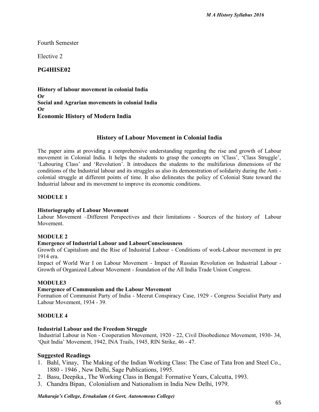Fourth Semester

Elective 2

# **PG4HISE02**

**History of labour movement in colonial India Or Social and Agrarian movements in colonial India Or Economic History of Modern India**

### **History of Labour Movement in Colonial India**

The paper aims at providing a comprehensive understanding regarding the rise and growth of Labour movement in Colonial India. It helps the students to grasp the concepts on 'Class', 'Class Struggle', 'Labouring Class' and 'Revolution'. It introduces the students to the multifarious dimensions of the conditions of the Industrial labour and its struggles as also its demonstration of solidarity during the Anti colonial struggle at different points of time. It also delineates the policy of Colonial State toward the Industrial labour and its movement to improve its economic conditions.

### **MODULE 1**

#### **Historiography of Labour Movement**

Labour Movement –Different Perspectives and their limitations - Sources of the history of Labour Movement.

#### **MODULE 2**

#### **Emergence of Industrial Labour and LabourConsciousness**

Growth of Capitalism and the Rise of Industrial Labour - Conditions of work-Labour movement in pre 1914 era.

Impact of World War I on Labour Movement - Impact of Russian Revolution on Industrial Labour - Growth of Organized Labour Movement - foundation of the All India Trade Union Congress.

#### **MODULE3**

#### **Emergence of Communism and the Labour Movement**

Formation of Communist Party of India - Meerut Conspiracy Case, 1929 - Congress Socialist Party and Labour Movement, 1934 - 39.

#### **MODULE 4**

#### **Industrial Labour and the Freedom Struggle**

Industrial Labour in Non - Cooperation Movement, 1920 - 22, Civil Disobedience Movement, 1930- 34, 'Quit India' Movement, 1942, INA Trails, 1945, RIN Strike, 46 - 47.

#### **Suggested Readings**

- 1. Bahl, Vinay, The Making of the Indian Working Class: The Case of Tata Iron and Steel Co., 1880 - 1946 , New Delhi, Sage Publications, 1995.
- 2. Basu, Deepika., The Working Class in Bengal: Formative Years, Calcutta, 1993.
- 3. Chandra Bipan, Colonialism and Nationalism in India New Delhi, 1979.

#### *Maharaja's College, Ernakulam (A Govt, Autonomous College)*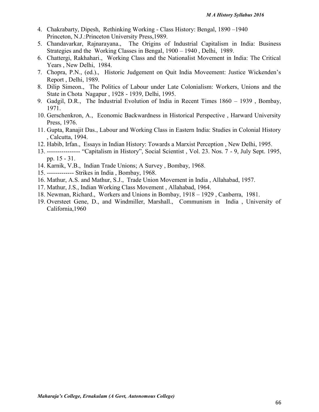- 4. Chakrabarty, Dipesh, Rethinking Working Class History: Bengal, 1890 –1940 Princeton, N.J.:Princeton University Press,1989.
- 5. Chandavarkar, Rajnarayana., The Origins of Industrial Capitalism in India: Business Strategies and the Working Classes in Bengal, 1900 – 1940 , Delhi, 1989.
- 6. Chattergi, Rakhahari., Working Class and the Nationalist Movement in India: The Critical Years , New Delhi, 1984.
- 7. Chopra, P.N., (ed.)., Historic Judgement on Quit India Moveement: Justice Wickenden's Report , Delhi, 1989.
- 8. Dilip Simeon., The Politics of Labour under Late Colonialism: Workers, Unions and the State in Chota Nagapur , 1928 - 1939, Delhi, 1995.
- 9. Gadgil, D.R., The Industrial Evolution of India in Recent Times 1860 1939 , Bombay, 1971.
- 10. Gerschenkron, A., Economic Backwardness in Historical Perspective , Harward University Press, 1976.
- 11. Gupta, Ranajit Das., Labour and Working Class in Eastern India: Studies in Colonial History , Calcutta, 1994.
- 12. Habib, Irfan., Essays in Indian History: Towards a Marxist Perception , New Delhi, 1995.
- 13. ---------------- "Capitalism in History", Social Scientist , Vol. 23. Nos. 7 9, July Sept. 1995, pp. 15 - 31.
- 14. Karnik, V.B., Indian Trade Unions; A Survey , Bombay, 1968.
- 15. ------------- Strikes in India , Bombay, 1968.
- 16. Mathur, A.S. and Mathur, S.J., Trade Union Movement in India , Allahabad, 1957.
- 17. Mathur, J.S., Indian Working Class Movement , Allahabad, 1964.
- 18. Newman, Richard., Workers and Unions in Bombay, 1918 1929 , Canberra, 1981.
- 19. Oversteet Gene, D., and Windmiller, Marshall., Communism in India , University of California,1960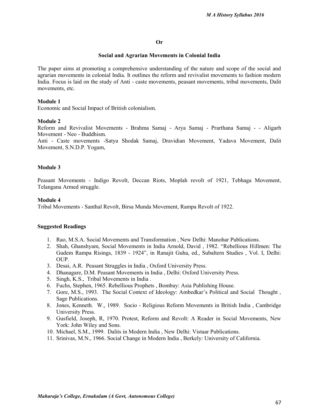#### **Or**

#### **Social and Agrarian Movements in Colonial India**

The paper aims at promoting a comprehensive understanding of the nature and scope of the social and agrarian movements in colonial India. It outlines the reform and revivalist movements to fashion modern India. Focus is laid on the study of Anti - caste movements, peasant movements, tribal movements, Dalit movements, etc.

#### **Module 1**

Economic and Social Impact of British colonialism.

#### **Module 2**

Reform and Revivalist Movements - Brahma Samaj - Arya Samaj - Prarthana Samaj - - Aligarh Movement - Neo - Buddhism.

Anti - Caste movements -Satya Shodak Samaj, Dravidian Movement, Yadava Movement, Dalit Movement, S.N.D.P. Yogam,

#### **Module 3**

Peasant Movements - Indigo Revolt, Deccan Riots, Moplah revolt of 1921, Tebhaga Movement, Telangana Armed struggle.

#### **Module 4**

Tribal Movements - Santhal Revolt, Birsa Munda Movement, Rampa Revolt of 1922.

#### **Suggested Readings**

- 1. Rao, M.S.A. Social Movements and Transformation , New Delhi: Manohar Publications.
- 2. Shah, Ghanshyam, Social Movements in India Arnold, David , 1982. "Rebellious Hillmen: The Gudem Rampa Risings, 1839 - 1924", in Ranajit Guha, ed., Subaltern Studies , Vol. I, Delhi: OUP.
- 3. Desai, A.R. Peasant Struggles in India , Oxford University Press.
- 4. Dhanagare, D.M. Peasant Movements in India , Delhi: Oxford University Press.
- 5. Singh, K.S., Tribal Movements in India .
- 6. Fuchs, Stephen, 1965. Rebellious Prophets , Bombay: Asia Publishing House.
- 7. Gore, M.S., 1993. The Social Context of Ideology: Ambedkar's Political and Social Thought , Sage Publications.
- 8. Jones, Kenneth. W., 1989. Socio Religious Reform Movements in British India , Cambridge University Press.
- 9. Gusfield, Joseph, R, 1970. Protest, Reform and Revolt: A Reader in Social Movements, New York: John Wiley and Sons.
- 10. Michael, S.M., 1999. Dalits in Modern India , New Delhi: Vistaar Publications.
- 11. Srinivas, M.N., 1966. Social Change in Modern India , Berkely: University of California.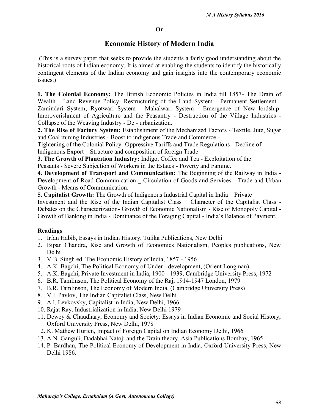#### **Or**

# **Economic History of Modern India**

(This is a survey paper that seeks to provide the students a fairly good understanding about the historical roots of Indian economy. It is aimed at enabling the students to identify the historically contingent elements of the Indian economy and gain insights into the contemporary economic issues.)

**1. The Colonial Economy:** The British Economic Policies in India till 1857- The Drain of Wealth - Land Revenue Policy- Restructuring of the Land System - Permanent Settlement - Zamindari System; Ryotwari System - Mahalwari System - Emergence of New lordship-Improverishment of Agriculture and the Peasantry - Destruction of the Village Industries - Collapse of the Weaving Industry - De - urbanization.

**2. The Rise of Factory System:** Establishment of the Mechanized Factors - Textile, Jute, Sugar and Coal mining Industries - Boost to indigenous Trade and Commerce -

Tightening of the Colonial Policy- Oppressive Tariffs and Trade Regulations - Decline of Indigenous Export \_ Structure and composition of foreign Trade

**3. The Growth of Plantation Industry:** Indigo, Coffee and Tea - Exploitation of the Peasants - Severe Subjection of Workers in the Estates - Poverty and Famine.

**4. Development of Transport and Communication:** The Beginning of the Railway in India - Development of Road Communication \_ Circulation of Goods and Services - Trade and Urban Growth - Means of Communication.

**5. Capitalist Growth:** The Growth of Indigenous Industrial Capital in India Private Investment and the Rise of the Indian Capitalist Class \_ Character of the Capitalist Class - Debates on the Characterization- Growth of Economic Nationalism - Rise of Monopoly Capital - Growth of Banking in India - Dominance of the Foraging Capital - India's Balance of Payment.

- 1. Irfan Habib, Essays in Indian History, Tulika Publications, New Delhi
- 2. Bipan Chandra, Rise and Growth of Economics Nationalism, Peoples publications, New Delhi
- 3. V.B. Singh ed. The Economic History of India, 1857 1956
- 4. A.K. Bagchi, The Political Economy of Under development, (Orient Longman)
- 5. A.K. Bagchi, Private Investment in India, 1900 1939, Cambridge University Press, 1972
- 6. B.R. Tamlinson, The Political Economy of the Raj, 1914-1947 London, 1979
- 7. B.R. Tamlinson, The Economy of Modern India, (Cambridge University Press)
- 8. V.I. Pavlov, The Indian Capitalist Class, New Delhi
- 9. A.l. Levkovsky, Capitalist in India, New Delhi, 1966
- 10. Rajat Ray, Industrialization in India, New Delhi 1979
- 11. Dewey & Chaudhary, Economy and Society: Essays in Indian Economic and Social History, Oxford University Press, New Delhi, 1978
- 12. K. Mathew Hurien, Impact of Foreign Capital on Indian Economy Delhi, 1966
- 13. A.N. Ganguli, Dadabhai Natoji and the Drain theory, Asia Publications Bombay, 1965
- 14. P. Bardhan, The Political Economy of Development in India, Oxford University Press, New Delhi 1986.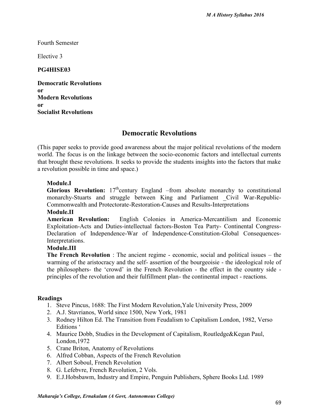Fourth Semester

Elective 3

## **PG4HISE03**

**Democratic Revolutions or Modern Revolutions or Socialist Revolutions**

# **Democratic Revolutions**

(This paper seeks to provide good awareness about the major political revolutions of the modern world. The focus is on the linkage between the socio-economic factors and intellectual currents that brought these revolutions. It seeks to provide the students insights into the factors that make a revolution possible in time and space.)

## **Module.I**

**Glorious Revolution:**  $17<sup>th</sup>$ century England –from absolute monarchy to constitutional monarchy-Stuarts and struggle between King and Parliament Civil War-Republic-Commonwealth and Protectorate-Restoration-Causes and Results-Interpretations

## **Module.II**

**American Revolution:** English Colonies in America-Mercantilism and Economic Exploitation-Acts and Duties-intellectual factors-Boston Tea Party- Continental Congress- Declaration of Independence-War of Independence-Constitution-Global Consequences-Interpretations.

#### **Module.III**

**The French Revolution** : The ancient regime - economic, social and political issues – the warming of the aristocracy and the self- assertion of the bourgeoisie - the ideological role of the philosophers- the 'crowd' in the French Revolution - the effect in the country side principles of the revolution and their fulfillment plan- the continental impact - reactions.

- 1. Steve Pincus, 1688: The First Modern Revolution,Yale University Press, 2009
- 2. A.J. Stavrianos, World since 1500, New York, 1981
- 3. Rodney Hilton Ed. The Transition from Feudalism to Capitalism London, 1982, Verso Editions '
- 4. Maurice Dobb, Studies in the Development of Capitalism, Routledge&Kegan Paul, London,1972
- 5. Crane Briton, Anatomy of Revolutions
- 6. Alfred Cobban, Aspects of the French Revolution
- 7. Albert Soboul, French Revolution
- 8. G. Lefebvre, French Revolution, 2 Vols.
- 9. E.J.Hobsbawm, Industry and Empire, Penguin Publishers, Sphere Books Ltd. 1989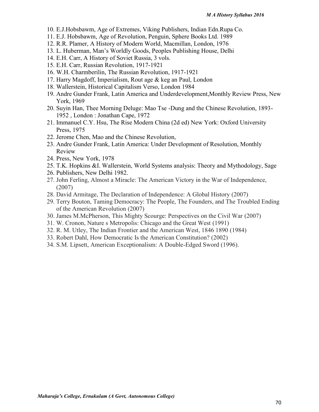- 10. E.J.Hobsbawm, Age of Extremes, Viking Publishers, Indian Edn.Rupa Co.
- 11. E.J. Hobsbawm, Age of Revolution, Penguin, Sphere Books Ltd. 1989
- 12. R.R. Plamer, A History of Modern World, Macmillan, London, 1976
- 13. L. Huberman, Man's Worldly Goods, Peoples Publishing House, Delhi
- 14. E.H. Carr, A History of Soviet Russia, 3 vols.
- 15. E.H. Carr, Russian Revolution, 1917-1921
- 16. W.H. Charmberilin, The Russian Revolution, 1917-1921
- 17. Harry Magdoff, Imperialism, Rout age & keg an Paul, London
- 18. Wallerstein, Historical Capitalism Verso, London 1984
- 19. Andre Gunder Frank, Latin America and Underdevelopment,Monthly Review Press, New York, 1969
- 20. Suyin Han, Thee Morning Deluge: Mao Tse -Dung and the Chinese Revolution, 1893- 1952 , London : Jonathan Cape, 1972
- 21. Immanuel C.Y. Hsu, The Rise Modern China (2d ed) New York: Oxford University Press, 1975
- 22. Jerome Chen, Mao and the Chinese Revolution,
- 23. Andre Gunder Frank, Latin America: Under Development of Resolution, Monthly Review
- 24. Press, New York, 1978
- 25. T.K. Hopkins &I. Wallerstein, World Systems analysis: Theory and Mythodology, Sage
- 26. Publishers, New Delhi 1982.
- 27. John Ferling, Almost a Miracle: The American Victory in the War of Independence, (2007)
- 28. David Armitage, The Declaration of Independence: A Global History (2007)
- 29. Terry Bouton, Taming Democracy: The People, The Founders, and The Troubled Ending of the American Revolution (2007)
- 30. James M.McPherson, This Mighty Scourge: Perspectives on the Civil War (2007)
- 31. W. Cronon, Nature s Metropolis: Chicago and the Great West (1991)
- 32. R. M. Utley, The Indian Frontier and the American West, 1846 1890 (1984)
- 33. Robert Dahl, How Democratic Is the American Constitution? (2002)
- 34. S.M. Lipsett, American Exceptionalism: A Double-Edged Sword (1996).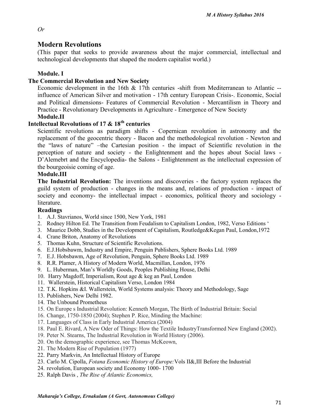#### *Or*

## **Modern Revolutions**

(This paper that seeks to provide awareness about the major commercial, intellectual and technological developments that shaped the modern capitalist world.)

### **Module. I**

#### **The Commercial Revolution and New Society**

Economic development in the 16th & 17th centuries -shift from Mediterranean to Atlantic - influence of American Silver and motivation - 17th century European Crisis-. Economic, Social and Political dimensions- Features of Commercial Revolution - Mercantilism in Theory and Practice - Revolutionary Developments in Agriculture - Emergence of New Society

#### **Module.II**

# **Intellectual Revolutions of 17 & 18th centuries**

Scientific revolutions as paradigm shifts - Copernican revolution in astronomy and the replacement of the geocentric theory - Bacon and the methodological revolution - Newton and the "laws of nature" –the Cartesian position - the impact of Scientific revolution in the perception of nature and society - the Enlightenment and the hopes about Social laws - D'Alemebrt and the Encyclopedia- the Salons - Enlightenment as the intellectual expression of the bourgeoisie coming of age.

#### **Module.III**

**The Industrial Revolution:** The inventions and discoveries - the factory system replaces the guild system of production - changes in the means and, relations of production - impact of society and economy- the intellectual impact - economics, political theory and sociology literature.

- 1. A.J. Stavrianos, World since 1500, New York, 1981
- 2. Rodney Hilton Ed. The Transition from Feudalism to Capitalism London, 1982, Verso Editions '
- 3. Maurice Dobb, Studies in the Development of Capitalism, Routledge&Kegan Paul, London,1972
- 4. Crane Briton, Anatomy of Revolutions
- 5. Thomas Kuhn, Structure of Scientific Revolutions.
- 6. E.J.Hobsbawm, Industry and Empire, Penguin Publishers, Sphere Books Ltd. 1989
- 7. E.J. Hobsbawm, Age of Revolution, Penguin, Sphere Books Ltd. 1989
- 8. R.R. Plamer, A History of Modern World, Macmillan, London, 1976
- 9. L. Huberman, Man's Worldly Goods, Peoples Publishing House, Delhi
- 10. Harry Magdoff, Imperialism, Rout age & keg an Paul, London
- 11. Wallerstein, Historical Capitalism Verso, London 1984
- 12. T.K. Hopkins &I. Wallerstein, World Systems analysis: Theory and Methodology, Sage
- 13. Publishers, New Delhi 1982.
- 14. The Unbound Prometheus
- 15. On Europe s Industrial Revolution: Kenneth Morgan, The Birth of Industrial Britain: Social
- 16. Change, 1750-1850 (2004); Stephen P. Rice, Minding the Machine:
- 17. Languages of Class in Early Industrial America (2004)
- 18. Paul E. Rivard, A New Oder of Things: How the Textile IndustryTransformed New England (2002).
- 19. Peter N. Stearns, The Industrial Revolution in World History (2006).
- 20. On the demographic experience, see Thomas McKeown,
- 21. The Modern Rise of Population (1977)
- 22. Parry Markvin, An Intellectual History of Europe
- 23. Carlo M. Cipolla, *Fotana Economic History of Europe:*Vols II&,III Before the Industrial
- 24. revolution, European society and Economy 1000- 1700
- 25. Ralph Davis , *The Rise of Atlantic Economics,*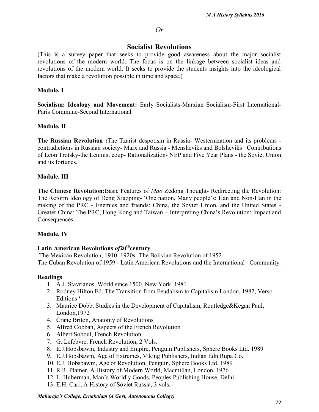#### *Or*

# **Socialist Revolutions**

(This is a survey paper that seeks to provide good awareness about the major socialist revolutions of the modern world. The focus is on the linkage between socialist ideas and revolutions of the modern world. It seeks to provide the students insights into the ideological factors that make a revolution possible in time and space.)

#### **Module. I**

**Socialism: Ideology and Movement:** Early Socialists-Marxian Socialism-First International- Paris Commune-Second International

### **Module. II**

**The Russian Revolution :**The Tzarist despotism in Russia- Westernization and its problems contradictions in Russian society- Marx and Russia - Mensheviks and Bolsheviks –Contributions of Leon Trotsky-the Leninist coup- Rationalization- NEP and Five Year Plans - the Soviet Union and its fortunes.

#### **Module. III**

**The Chinese Revolution:**Basic Features of *Mao* Zedong Thought- Redirecting the Revolution: The Reform Ideology of Deng Xiaoping- 'One nation, Many people's: Han and Non-Han in the making of the PRC - Enemies and friends: China, the Soviet Union, and the United States - Greater China: The PRC, Hong Kong and Taiwan – Interpreting China's Revolution: Impact and Consequences.

#### **Module. IV**

#### **Latin American Revolutions** *of***20thcentury**

The Mexican Revolution, 1910–1920s- The Bolivian Revolution of 1952 The Cuban Revolution of 1959 - Latin American Revolutions and the International Community.

- 1. A.J. Stavrianos, World since 1500, New York, 1981
- 2. Rodney Hilton Ed. The Transition from Feudalism to Capitalism London, 1982, Verso Editions '
- 3. Maurice Dobb, Studies in the Development of Capitalism, Routledge&Kegan Paul, London,1972
- 4. Crane Briton, Anatomy of Revolutions
- 5. Alfred Cobban, Aspects of the French Revolution
- 6. Albert Soboul, French Revolution
- 7. G. Lefebvre, French Revolution, 2 Vols.
- 8. E.J.Hobsbawm, Industry and Empire, Penguin Publishers, Sphere Books Ltd. 1989
- 9. E.J.Hobsbawm, Age of Extremes, Viking Publishers, Indian Edn.Rupa Co.
- 10. E.J. Hobsbawm, Age of Revolution, Penguin, Sphere Books Ltd. 1989
- 11. R.R. Plamer, A History of Modern World, Macmillan, London, 1976
- 12. L. Huberman, Man's Worldly Goods, Peoples Publishing House, Delhi
- 13. E.H. Carr, A History of Soviet Russia, 3 vols.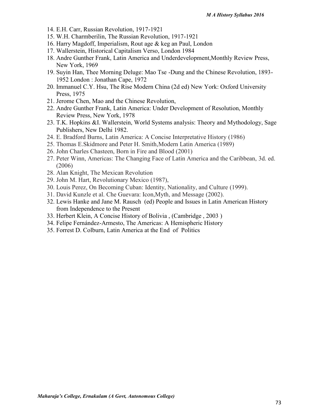- 14. E.H. Carr, Russian Revolution, 1917-1921
- 15. W.H. Charmberilin, The Russian Revolution, 1917-1921
- 16. Harry Magdoff, Imperialism, Rout age & keg an Paul, London
- 17. Wallerstein, Historical Capitalism Verso, London 1984
- 18. Andre Gunther Frank, Latin America and Underdevelopment,Monthly Review Press, New York, 1969
- 19. Suyin Han, Thee Morning Deluge: Mao Tse -Dung and the Chinese Revolution, 1893- 1952 London : Jonathan Cape, 1972
- 20. Immanuel C.Y. Hsu, The Rise Modern China (2d ed) New York: Oxford University Press, 1975
- 21. Jerome Chen, Mao and the Chinese Revolution,
- 22. Andre Gunther Frank, Latin America: Under Development of Resolution, Monthly Review Press, New York, 1978
- 23. T.K. Hopkins &I. Wallerstein, World Systems analysis: Theory and Mythodology, Sage Publishers, New Delhi 1982.
- 24. E. Bradford Burns, Latin America: A Concise Interpretative History (1986)
- 25. Thomas E.Skidmore and Peter H. Smith,Modern Latin America (1989)
- 26. John Charles Chasteen, Born in Fire and Blood (2001)
- 27. Peter Winn, Americas: The Changing Face of Latin America and the Caribbean, 3d. ed. (2006)
- 28. Alan Knight, The Mexican Revolution
- 29. John M. Hart, Revolutionary Mexico (1987),
- 30. Louis Perez, On Becoming Cuban: Identity, Nationality, and Culture (1999).
- 31. David Kunzle et al. Che Guevara: Icon,Myth, and Message (2002).
- 32. Lewis Hanke and Jane M. Rausch (ed) People and Issues in Latin American History from Independence to the Present
- 33. Herbert Klein, A Concise History of Bolivia , (Cambridge , 2003 )
- 34. Felipe Fernández-Armesto, The Americas: A Hemispheric History
- 35. Forrest D. Colburn, Latin America at the End of Politics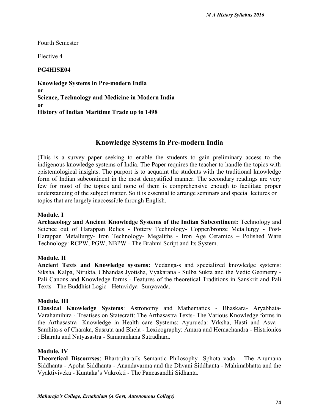Fourth Semester

Elective 4

# **PG4HISE04**

**Knowledge Systems in Pre-modern India or Science, Technology and Medicine in Modern India or History of Indian Maritime Trade up to 1498**

# **Knowledge Systems in Pre-modern India**

(This is a survey paper seeking to enable the students to gain preliminary access to the indigenous knowledge systems of India. The Paper requires the teacher to handle the topics with epistemological insights. The purport is to acquaint the students with the traditional knowledge form of Indian subcontinent in the most demystified manner. The secondary readings are very few for most of the topics and none of them is comprehensive enough to facilitate proper understanding of the subject matter. So it is essential to arrange seminars and special lectures on topics that are largely inaccessible through English.

# **Module. I**

**Archaeology and Ancient Knowledge Systems of the Indian Subcontinent:** Technology and Science out of Harappan Relics - Pottery Technology- Copper/bronze Metallurgy - Post- Harappan Metallurgy- Iron Technology- Megaliths - Iron Age Ceramics – Polished Ware Technology: RCPW, PGW, NBPW - The Brahmi Script and Its System.

# **Module. II**

**Ancient Texts and Knowledge systems:** Vedanga-s and specialized knowledge systems: Siksha, Kalpa, Nirukta, Chhandas Jyotisha, Vyakarana - Sulba Sukta and the Vedic Geometry - Pali Canons and Knowledge forms - Features of the theoretical Traditions in Sanskrit and Pali Texts - The Buddhist Logic - Hetuvidya- Sunyavada.

#### **Module. III**

**Classical Knowledge Systems**: Astronomy and Mathematics - Bhaskara- Aryabhata- Varahamihira - Treatises on Statecraft: The Arthasastra Texts- The Various Knowledge forms in the Arthasastra- Knowledge in Health care Systems: Ayurueda: Vrksha, Hasti and Asva -Samhita-s of Charaka, Susruta and Bhela - Lexicography: Amara and Hemachandra - Histrionics : Bharata and Natyasastra - Samarankana Sutradhara.

# **Module. IV**

**Theoretical Discourses**: Bhartruharai's Semantic Philosophy- Sphota vada – The Anumana Siddhanta - Apoha Siddhanta - Anandavarma and the Dhvani Siddhanta - Mahimabhatta and the Vyaktiviveka - Kuntaka's Vakrokti - The Pancasandhi Sidhanta.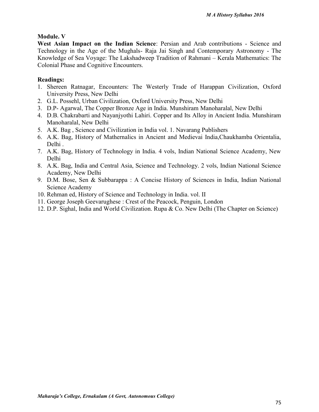# **Module. V**

**West Asian Impact on the Indian Science**: Persian and Arab contributions - Science and Technology in the Age of the Mughals- Raja Jai Singh and Contemporary Astronomy - The Knowledge of Sea Voyage: The Lakshadweep Tradition of Rahmani – Kerala Mathematics: The Colonial Phase and Cognitive Encounters.

### **Readings:**

- 1. Shereen Ratnagar, Encounters: The Westerly Trade of Harappan Civilization, Oxford University Press, New Delhi
- 2. G.L. Possehl, Urban Civilization, Oxford University Press, New Delhi
- 3. D.P- Agarwal, The Copper Bronze Age in India. Munshiram Manoharalal, New Delhi
- 4. D.B. Chakrabarti and Nayanjyothi Lahiri. Copper and Its Alloy in Ancient India. Munshiram Manoharalal, New Delhi
- 5. A.K. Bag , Science and Civilization in India vol. 1. Navarang Publishers
- 6. A.K. Bag, History of Mathernalics in Ancient and Medievai India,Chaukhamba Orientalia, Delhi .
- 7. A.K. Bag, History of Technology in India. 4 vols, Indian National Science Academy, New Delhi
- 8. A.K. Bag, India and Central Asia, Science and Technology. 2 vols, Indian National Science Academy, New Delhi
- 9. D.M. Bose, Sen & Subbarappa : A Concise History of Sciences in India, Indian National Science Academy
- 10. Rehman ed, History of Science and Technology in India. vol. II
- 11. George Joseph Geevarughese : Crest of the Peacock, Penguin, London
- 12. D.P. Sighal, India and World Civilization. Rupa & Co. New Delhi (The Chapter on Science)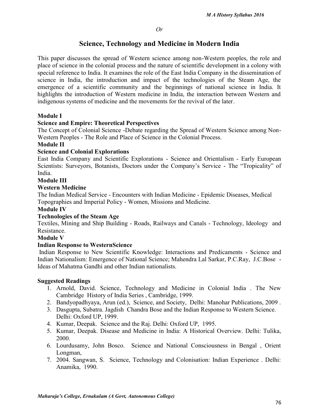# **Science, Technology and Medicine in Modern India**

This paper discusses the spread of Western science among non-Western peoples, the role and place of science in the colonial process and the nature of scientific development in a colony with special reference to India. It examines the role of the East India Company in the dissemination of science in India, the introduction and impact of the technologies of the Steam Age, the emergence of a scientific community and the beginnings of national science in India. It highlights the introduction of Western medicine in India, the interaction between Western and indigenous systems of medicine and the movements for the revival of the later.

# **Module I**

# **Science and Empire: Theoretical Perspectives**

The Concept of Colonial Science -Debate regarding the Spread of Western Science among Non- Western Peoples - The Role and Place of Science in the Colonial Process.

# **Module II**

# **Science and Colonial Explorations**

East India Company and Scientific Explorations - Science and Orientalism - Early European Scientists: Surveyors, Botanists, Doctors under the Company's Service - The "Tropicality" of India.

#### **Module III**

#### **Western Medicine**

The Indian Medical Service - Encounters with Indian Medicine - Epidemic Diseases, Medical Topographies and Imperial Policy - Women, Missions and Medicine.

#### **Module IV**

# **Technologies of the Steam Age**

Textiles, Mining and Ship Building - Roads, Railways and Canals - Technology, Ideology and **Resistance** 

#### **Module V**

#### **Indian Response to WesternScience**

Indian Response to New Scientific Knowledge: Interactions and Predicaments - Science and Indian Nationalism: Emergence of National Science; Mahendra Lal Sarkar, P.C.Ray, J.C.Bose - Ideas of Mahatma Gandhi and other Indian nationalists.

#### **Suggested Readings**

- 1. Arnold, David. Science, Technology and Medicine in Colonial India . The New Cambridge History of India Series , Cambridge, 1999.
- 2. Bandyopadhyaya, Arun (ed.), Science, and Society, Delhi: Manohar Publications, 2009 .
- 3. Dasgupta, Subatra. Jagdish Chandra Bose and the Indian Response to Western Science. Delhi: Oxford UP, 1999.
- 4. Kumar, Deepak. Science and the Raj. Delhi: Oxford UP, 1995.
- 5. Kumar, Deepak. Disease and Medicine in India: A Historical Overview. Delhi: Tulika, 2000.
- 6. Lourdusamy, John Bosco. Science and National Consciousness in Bengal , Orient Longman,
- 7. 2004. Sangwan, S. Science, Technology and Colonisation: Indian Experience . Delhi: Anamika, 1990.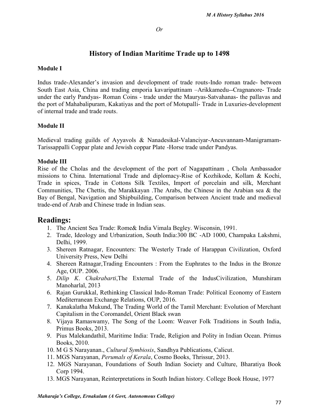#### *Or*

# **History of Indian Maritime Trade up to 1498**

#### **Module I**

Indus trade-Alexander's invasion and development of trade routs-Indo roman trade- between South East Asia, China and trading emporia kavaripattinam –Arikkamedu--Cragnanore- Trade under the early Pandyas- Roman Coins - trade under the Mauryas-Satvahanas- the pallavas and the port of Mahabalipuram, Kakatiyas and the port of Motupalli- Trade in Luxuries-development of internal trade and trade routs.

#### **Module II**

Medieval trading guilds of Ayyavols & Nanadesikal-Valanciyar-Ancuvannam-Manigramam- Tarissappalli Coppar plate and Jewish coppar Plate -Horse trade under Pandyas.

#### **Module III**

Rise of the Cholas and the development of the port of Nagapattinam , Chola Ambassador missions to China. International Trade and diplomacy-Rise of Kozhikode, Kollam & Kochi, Trade in spices, Trade in Cottons Silk Textiles, Import of porcelain and silk, Merchant Communities, The Chettis, the Marakkayan .The Arabs, the Chinese in the Arabian sea & the Bay of Bengal, Navigation and Shipbuilding, Comparison between Ancient trade and medieval trade-end of Arab and Chinese trade in Indian seas.

# **Readings:**

- 1. The Ancient Sea Trade: Rome& India Vimala Begley. Wisconsin, 1991.
- 2. Trade, Ideology and Urbanization, South India:300 BC -AD 1000, Champaka Lakshmi, Delhi, 1999.
- 3. Shereen Ratnagar, Encounters: The Westerly Trade of Harappan Civilization, Oxford University Press, New Delhi
- 4. Shereen Ratnagar,Trading Encounters : From the Euphrates to the Indus in the Bronze Age, OUP. 2006.
- 5. *Dilip K*. *Chakrabarti*,The External Trade of the IndusCivilization, Munshiram Manoharlal, 2013
- 6. Rajan Gurukkal, Rethinking Classical Indo-Roman Trade: Political Economy of Eastern Mediterranean Exchange Relations, OUP, 2016.
- 7. Kanakalatha Mukund, The Trading World of the Tamil Merchant: Evolution of Merchant Capitalism in the Coromandel, Orient Black swan
- 8. Vijaya Ramaswamy, The Song of the Loom: Weaver Folk Traditions in South India, Primus Books, 2013.
- 9. Pius Malekandathil, Maritime India: Trade, Religion and Polity in Indian Ocean. Primus Books, 2010.
- 10. M G S Narayanan., *Cultural Symbiosis*, Sandhya Publications, Calicut.
- 11. MGS Narayanan, *Perumals of Kerala*, Cosmo Books, Thrissur, 2013.
- 12. MGS Narayanan, Foundations of South Indian Society and Culture, Bharatiya Book Corp 1994.
- 13. MGS Narayanan, Reinterpretations in South Indian history. College Book House, 1977